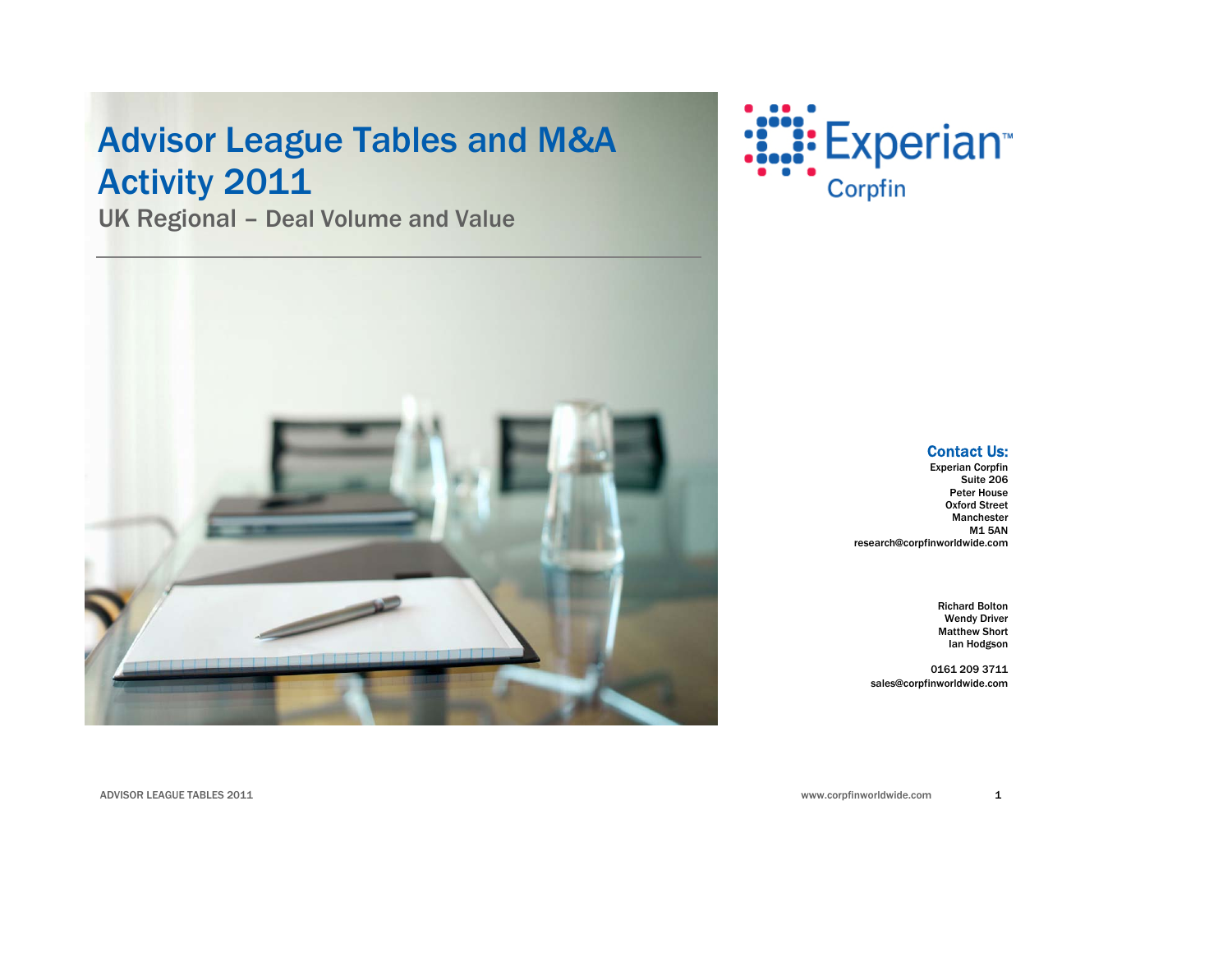# Advisor League Tables and M&A Activity 2011

UK Regional – Deal Volume and Value





#### Contact Us:

Experian Corpfin Suite 206 Peter House Oxford Street Manchester M1 5AN research@corpfinworldwide.com

> Richard Bolton Wendy Driver Matthew Short Ian Hodgson

0161 209 3711 sales@corpfinworldwide.com

www.corpfinworldwide.com

ADVISOR LEAGUE TABLES 2011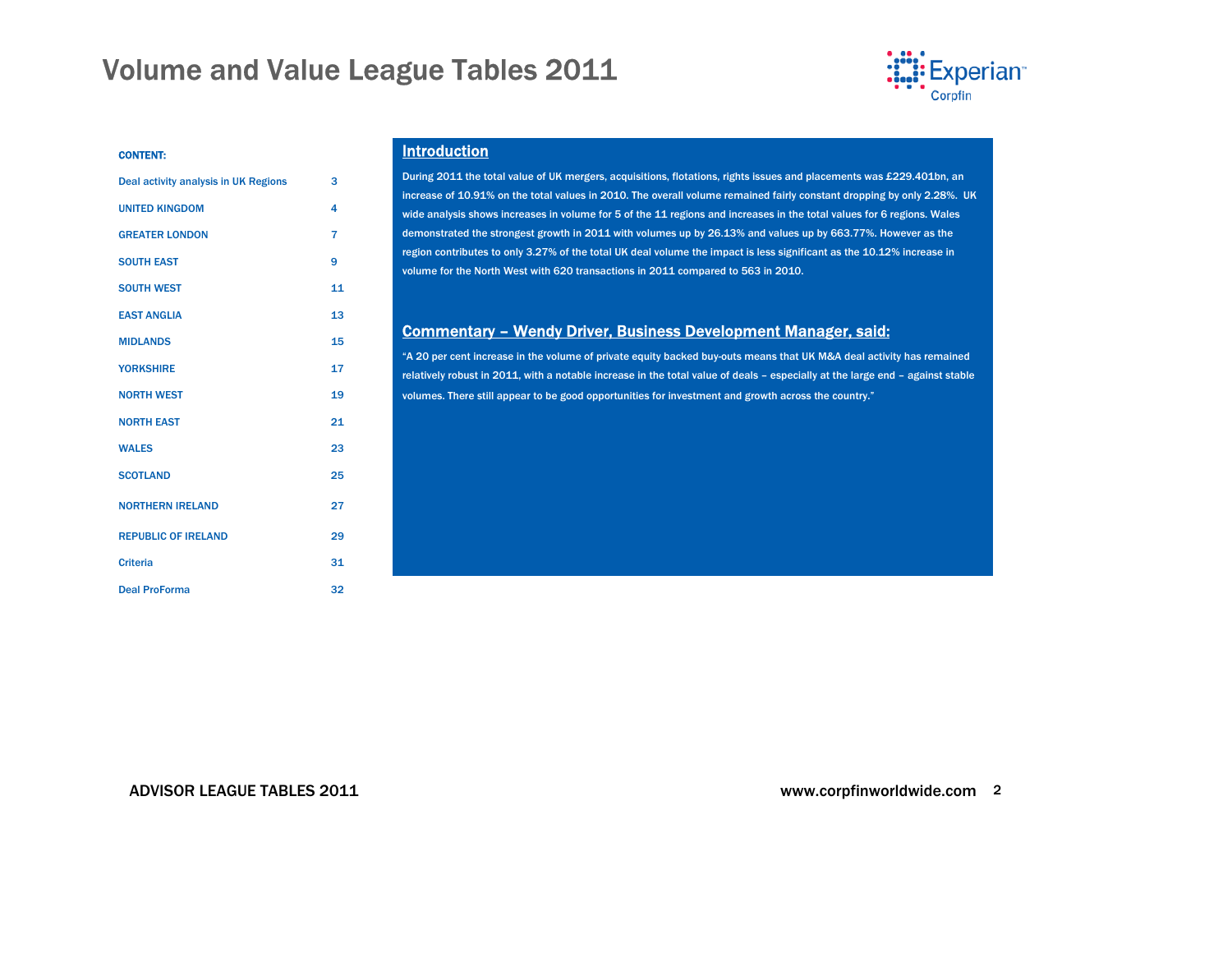

#### CONTENT:

| Deal activity analysis in UK Regions | 3  |
|--------------------------------------|----|
| <b>UNITED KINGDOM</b>                | 4  |
| <b>GREATER LONDON</b>                | 7  |
| <b>SOUTH EAST</b>                    | 9  |
| <b>SOUTH WEST</b>                    | 11 |
| <b>EAST ANGLIA</b>                   | 13 |
| <b>MIDLANDS</b>                      | 15 |
| <b>YORKSHIRE</b>                     | 17 |
| <b>NORTH WEST</b>                    | 19 |
| <b>NORTH EAST</b>                    | 21 |
| <b>WALES</b>                         | 23 |
| <b>SCOTLAND</b>                      | 25 |
| <b>NORTHERN IRELAND</b>              | 27 |
| <b>REPUBLIC OF IRELAND</b>           | 29 |
| <b>Criteria</b>                      | 31 |
| <b>Deal ProForma</b>                 | 32 |

#### Introduction

During 2011 the total value of UK mergers, acquisitions, flotations, rights issues and placements was £229.401bn, an increase of 10.91% on the total values in 2010. The overall volume remained fairly constant dropping by only 2.28%. UK wide analysis shows increases in volume for 5 of the 11 regions and increases in the total values for 6 regions. Wales demonstrated the strongest growth in 2011 with volumes up by 26.13% and values up by 663.77%. However as the region contributes to only 3.27% of the total UK deal volume the impact is less significant as the 10.12% increase in volume for the North West with 620 transactions in 2011 compared to 563 in 2010.

#### Commentary – Wendy Driver, Business Development Manager, said:

"A 20 per cent increase in the volume of private equity backed buy-outs means that UK M&A deal activity has remained relatively robust in 2011, with a notable increase in the total value of deals – especially at the large end – against stable volumes. There still appear to be good opportunities for investment and growth across the country."

#### ADVISOR LEAGUE TABLES 2011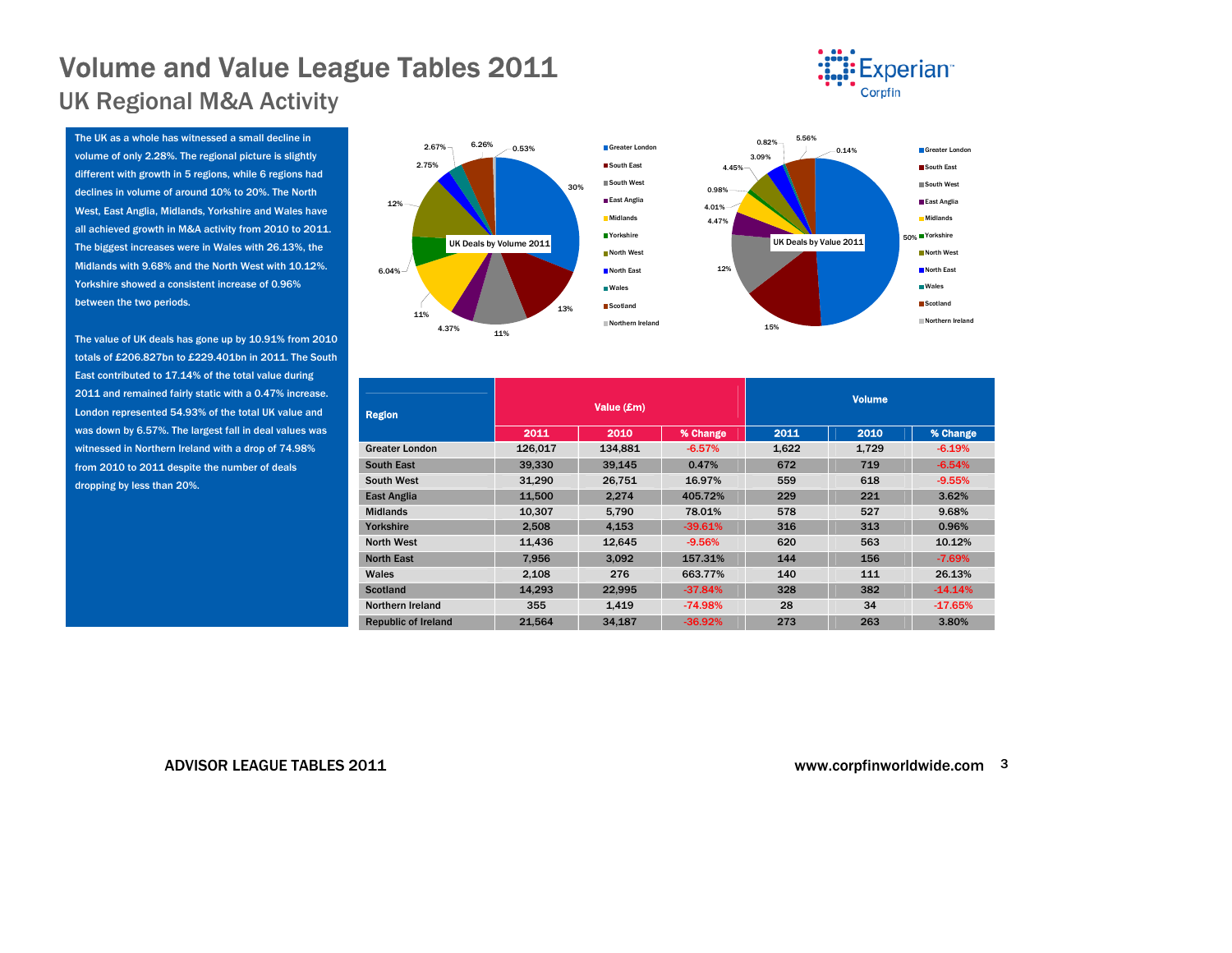### <span id="page-2-0"></span>Volume and Value League Tables 2011 UK Regional M&A Activity

The UK as a whole has witnessed a small decline in volume of only 2.28%. The regional picture is slightly different with growth in 5 regions, while 6 regions had declines in volume of around 10% to 20%. The North West, East Anglia, Midlands, Yorkshire and Wales have all achieved growth in M&A activity from 2010 to 2011. The biggest increases were in Wales with 26.13%, the Midlands with 9.68% and the North West with 10.12%. Yorkshire showed a consistent increase of 0.96% between the two periods.

The value of UK deals has gone up by 10.91% from 2010 totals of £206.827bn to £229.401bn in 2011. The South East contributed to 17.14% of the total value during 2011 and remained fairly static with a 0.47% increase. London represented 54.93% of the total UK value and was down by 6.57%. The largest fall in deal values was witnessed in Northern Ireland with a drop of 74.98% from 2010 to 2011 despite the number of deals dropping by less than 20%.



| <b>Region</b>              |         | Value (£m) |           | <b>Volume</b> |       |           |  |  |
|----------------------------|---------|------------|-----------|---------------|-------|-----------|--|--|
|                            | 2011    | 2010       | % Change  | 2011          | 2010  | % Change  |  |  |
| <b>Greater London</b>      | 126.017 | 134.881    | $-6.57%$  | 1.622         | 1.729 | $-6.19%$  |  |  |
| <b>South East</b>          | 39.330  | 39.145     | 0.47%     | 672           | 719   | $-6.54%$  |  |  |
| <b>South West</b>          | 31.290  | 26.751     | 16.97%    | 559           | 618   | $-9.55%$  |  |  |
| <b>East Anglia</b>         | 11.500  | 2.274      | 405.72%   | 229           | 221   | 3.62%     |  |  |
| <b>Midlands</b>            | 10.307  | 5.790      | 78.01%    | 578           | 527   | 9.68%     |  |  |
| Yorkshire                  | 2.508   | 4.153      | $-39.61%$ | 316           | 313   | 0.96%     |  |  |
| <b>North West</b>          | 11.436  | 12.645     | $-9.56%$  | 620           | 563   | 10.12%    |  |  |
| <b>North East</b>          | 7.956   | 3.092      | 157.31%   | 144           | 156   | $-7.69%$  |  |  |
| Wales                      | 2.108   | 276        | 663.77%   | 140           | 111   | 26.13%    |  |  |
| <b>Scotland</b>            | 14.293  | 22.995     | $-37.84%$ | 328           | 382   | $-14.14%$ |  |  |
| Northern Ireland           | 355     | 1.419      | $-74.98%$ | 28            | 34    | $-17.65%$ |  |  |
| <b>Republic of Ireland</b> | 21.564  | 34,187     | $-36.92%$ | 273           | 263   | 3.80%     |  |  |

ADVISOR LEAGUE TABLES 2011

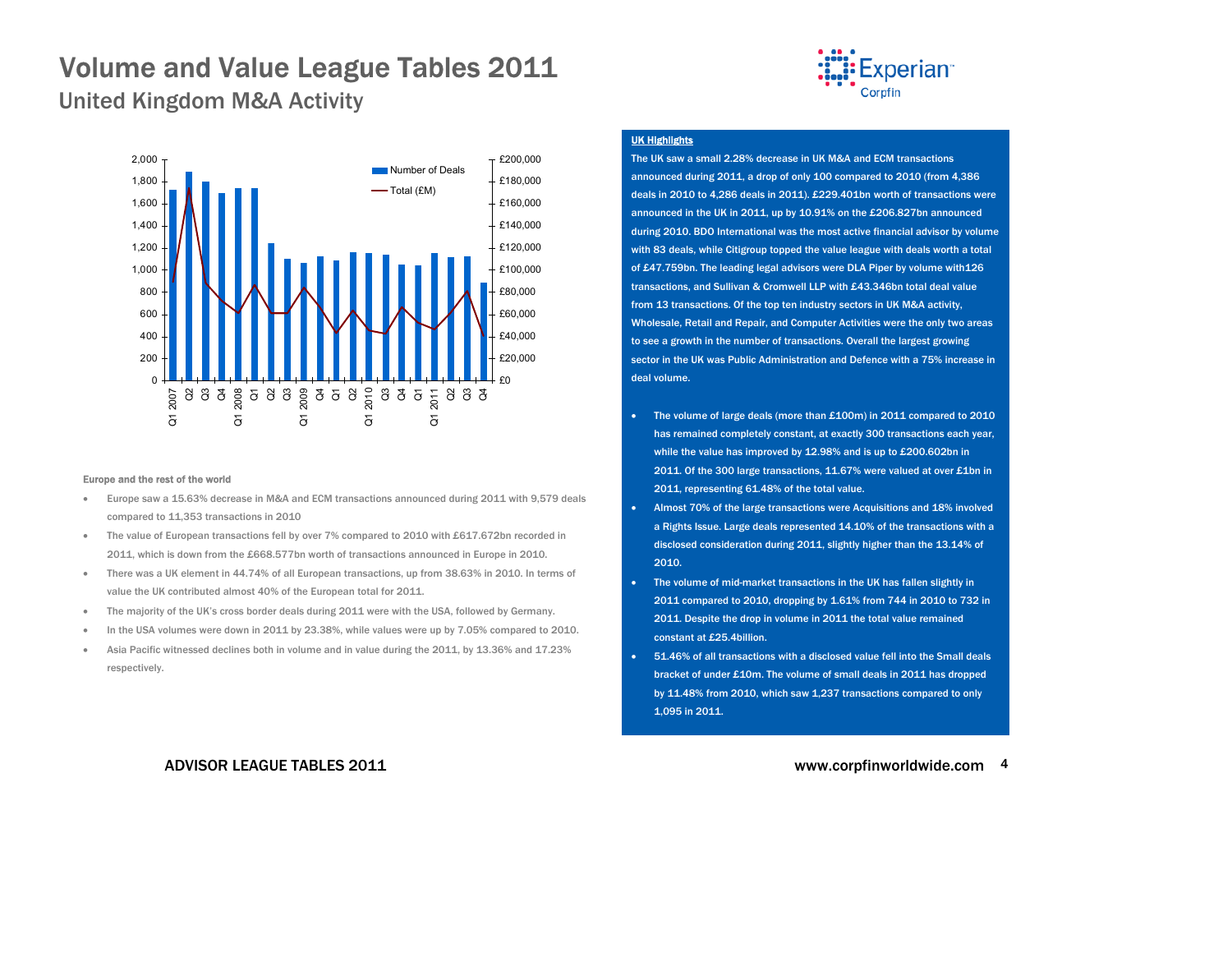

<span id="page-3-0"></span>United Kingdom M&A Activity



#### Europe and the rest of the world

- Europe saw a 15.63% decrease in M&A and ECM transactions announced during 2011 with 9,579 deals compared to 11,353 transactions in 2010
- • The value of European transactions fell by over 7% compared to 2010 with £617.672bn recorded in 2011, which is down from the £668.577bn worth of transactions announced in Europe in 2010.
- • There was a UK element in 44.74% of all European transactions, up from 38.63% in 2010. In terms of value the UK contributed almost 40% of the European total for 2011.
- The majority of the UK's cross border deals during 2011 were with the USA, followed by Germany.
- •In the USA volumes were down in 2011 by 23.38%, while values were up by 7.05% compared to 2010.
- Asia Pacific witnessed declines both in volume and in value during the 2011, by 13.36% and 17.23% respectively.

#### UK Highlights

The UK saw a small 2.28% decrease in UK M&A and ECM transactions announced during 2011, a drop of only 100 compared to 2010 (from 4,386 deals in 2010 to 4,286 deals in 2011). £229.401bn worth of transactions were announced in the UK in 2011, up by 10.91% on the £206.827bn announced during 2010. BDO International was the most active financial advisor by volume with 83 deals, while Citigroup topped the value league with deals worth a total of £47.759bn. The leading legal advisors were DLA Piper by volume with126 transactions, and Sullivan & Cromwell LLP with £43.346bn total deal value from 13 transactions. Of the top ten industry sectors in UK M&A activity, Wholesale, Retail and Repair, and Computer Activities were the only two areas to see a growth in the number of transactions. Overall the largest growing sector in the UK was Public Administration and Defence with a 75% increase in deal volume.

- • The volume of large deals (more than £100m) in 2011 compared to 2010 has remained completely constant, at exactly 300 transactions each year, while the value has improved by 12.98% and is up to £200.602bn in 2011. Of the 300 large transactions, 11.67% were valued at over £1bn in 2011, representing 61.48% of the total value.
- Almost 70% of the large transactions were Acquisitions and 18% involved a Rights Issue. Large deals represented 14.10% of the transactions with a disclosed consideration during 2011, slightly higher than the 13.14% of 2010.
- The volume of mid-market transactions in the UK has fallen slightly in 2011 compared to 2010, dropping by 1.61% from 744 in 2010 to 732 in 2011. Despite the drop in volume in 2011 the total value remained constant at £25.4billion.
- 51.46% of all transactions with a disclosed value fell into the Small deals bracket of under £10m. The volume of small deals in 2011 has dropped by 11.48% from 2010, which saw 1,237 transactions compared to only 1,095 in 2011.

#### ADVISOR LEAGUE TABLES 2011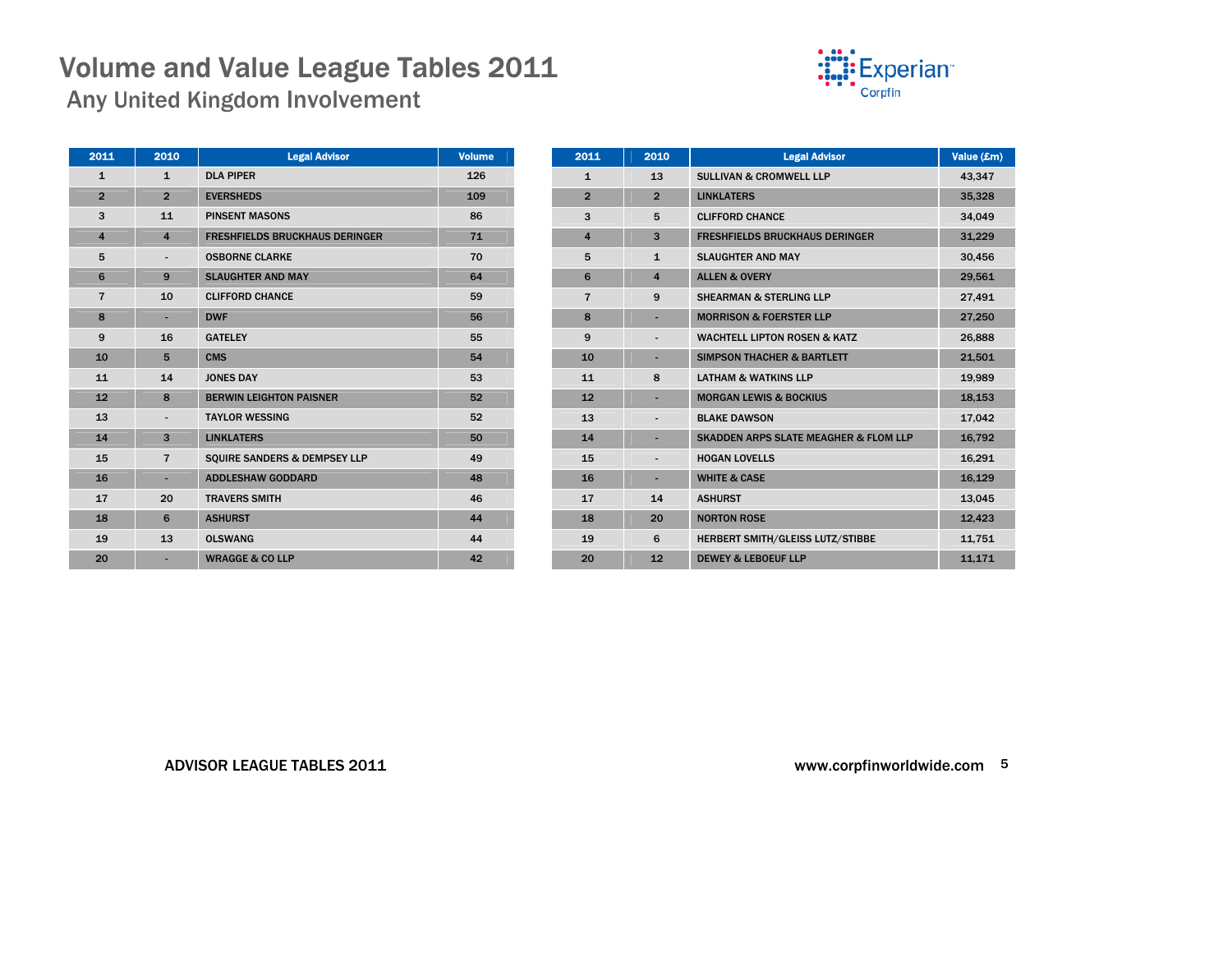Any United Kingdom Involvement



| 2011                    | 2010                     | <b>Legal Advisor</b>                  | <b>Volume</b> |
|-------------------------|--------------------------|---------------------------------------|---------------|
| $\mathbf{1}$            | $\mathbf{1}$             | <b>DLA PIPER</b>                      | 126           |
| $\overline{2}$          | $\overline{2}$           | <b>EVERSHEDS</b>                      | 109           |
| 3                       | 11                       | <b>PINSENT MASONS</b>                 | 86            |
| $\overline{\mathbf{4}}$ | $\overline{\mathbf{4}}$  | <b>FRESHFIELDS BRUCKHAUS DERINGER</b> | 71            |
| 5                       |                          | <b>OSBORNE CLARKE</b>                 | 70            |
| 6                       | 9                        | <b>SLAUGHTER AND MAY</b>              | 64            |
| $\overline{7}$          | 10                       | <b>CLIFFORD CHANCE</b>                | 59            |
| 8                       | ٠                        | <b>DWF</b>                            | 56            |
| 9                       | 16                       | <b>GATELEY</b>                        | 55            |
| 10                      | 5                        | <b>CMS</b>                            | 54            |
| 11                      | 14                       | <b>JONES DAY</b>                      | 53            |
| 12                      | 8                        | <b>BERWIN LEIGHTON PAISNER</b>        | 52            |
| 13                      | $\overline{\phantom{0}}$ | <b>TAYLOR WESSING</b>                 | 52            |
| 14                      | 3                        | <b>LINKLATERS</b>                     | 50            |
| 15                      | $\overline{7}$           | SQUIRE SANDERS & DEMPSEY LLP          | 49            |
| 16                      | ٠                        | <b>ADDLESHAW GODDARD</b>              | 48            |
| 17                      | 20                       | <b>TRAVERS SMITH</b>                  | 46            |
| 18                      | 6                        | <b>ASHURST</b>                        | 44            |
| 19                      | 13                       | <b>OLSWANG</b>                        | 44            |
| 20                      |                          | <b>WRAGGE &amp; CO LLP</b>            | 42            |
|                         |                          |                                       |               |

| 2011           | 2010                    | <b>Legal Advisor</b>                             | Value (£m) |
|----------------|-------------------------|--------------------------------------------------|------------|
| $\mathbf{1}$   | 13                      | <b>SULLIVAN &amp; CROMWELL LLP</b>               | 43,347     |
| $\overline{2}$ | $\overline{2}$          | <b>LINKLATERS</b>                                | 35,328     |
| 3              | 5                       | <b>CLIFFORD CHANCE</b>                           | 34,049     |
| $\overline{4}$ | 3                       | <b>FRESHFIELDS BRUCKHAUS DERINGER</b>            | 31,229     |
| 5              | $\mathbf{1}$            | <b>SLAUGHTER AND MAY</b>                         | 30,456     |
| 6              | $\overline{\mathbf{4}}$ | <b>ALLEN &amp; OVERY</b>                         | 29,561     |
| $\overline{7}$ | 9                       | <b>SHEARMAN &amp; STERLING LLP</b>               | 27,491     |
| 8              |                         | <b>MORRISON &amp; FOERSTER LLP</b>               | 27,250     |
| 9              |                         | <b>WACHTELL LIPTON ROSEN &amp; KATZ</b>          | 26,888     |
| 10             |                         | <b>SIMPSON THACHER &amp; BARTLETT</b>            | 21,501     |
| 11             | 8                       | <b>LATHAM &amp; WATKINS LLP</b>                  | 19,989     |
| 12             |                         | <b>MORGAN LEWIS &amp; BOCKIUS</b>                | 18,153     |
| 13             | $\centerdot$            | <b>BLAKE DAWSON</b>                              | 17,042     |
| 14             |                         | <b>SKADDEN ARPS SLATE MEAGHER &amp; FLOM LLP</b> | 16,792     |
| 15             |                         | <b>HOGAN LOVELLS</b>                             | 16,291     |
| 16             |                         | <b>WHITE &amp; CASE</b>                          | 16,129     |
| 17             | 14                      | <b>ASHURST</b>                                   | 13,045     |
| 18             | 20                      | <b>NORTON ROSE</b>                               | 12,423     |
| 19             | 6                       | <b>HERBERT SMITH/GLEISS LUTZ/STIBBE</b>          | 11,751     |
| 20             | 12                      | <b>DEWEY &amp; LEBOEUF LLP</b>                   | 11,171     |

#### ADVISOR LEAGUE TABLES 2011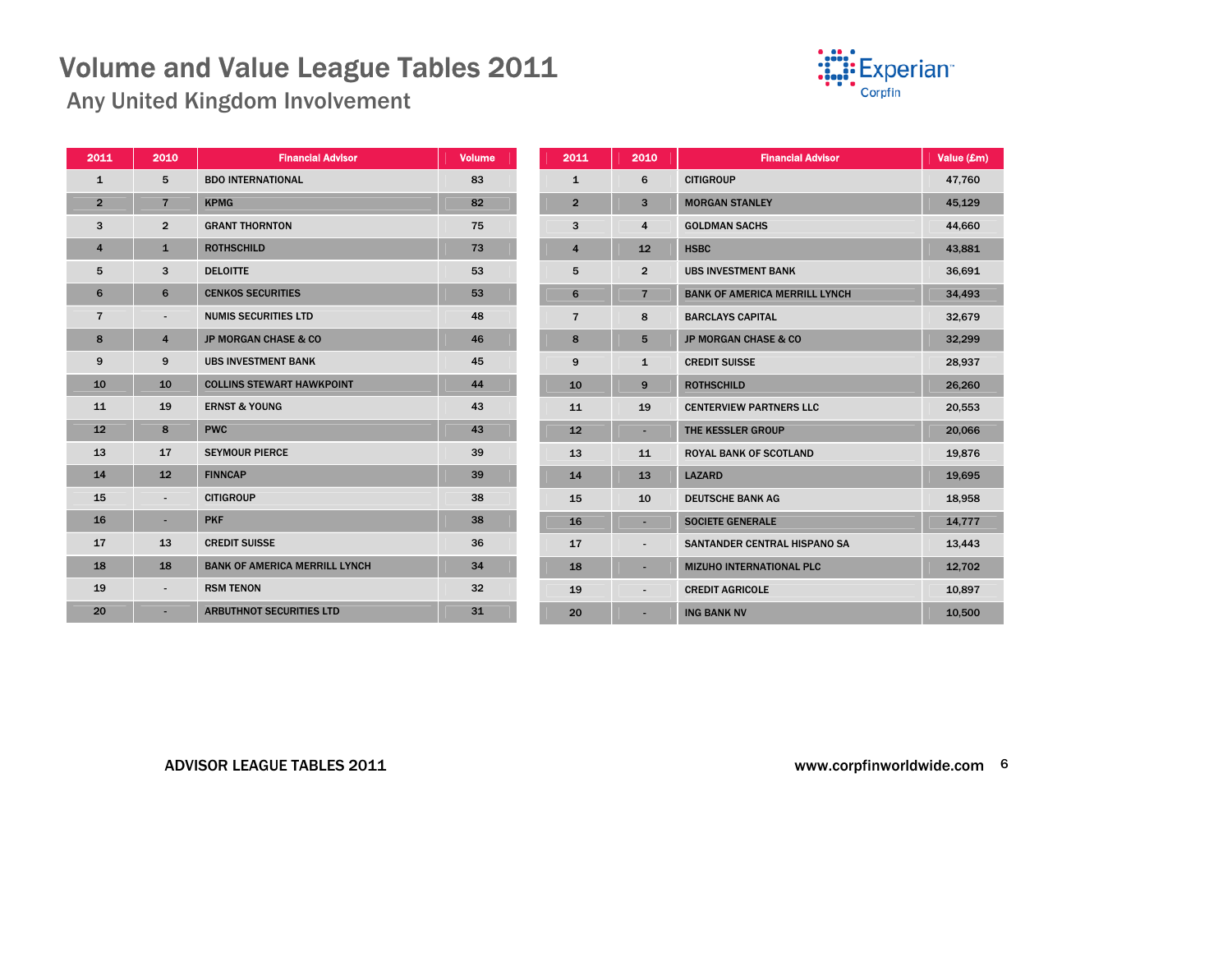

Any United Kingdom Involvement

| 2011           | 2010                     | <b>Financial Advisor</b>             | <b>Volume</b> | ź |
|----------------|--------------------------|--------------------------------------|---------------|---|
| $\mathbf{1}$   | 5                        | <b>BDO INTERNATIONAL</b>             | 83            |   |
| $\overline{2}$ | $\overline{7}$           | <b>KPMG</b>                          | 82            |   |
| 3              | $\overline{2}$           | <b>GRANT THORNTON</b>                | 75            |   |
| $\overline{4}$ | $\mathbf{1}$             | <b>ROTHSCHILD</b>                    | 73            |   |
| 5              | 3                        | <b>DELOITTE</b>                      | 53            |   |
| 6              | 6                        | <b>CENKOS SECURITIES</b>             | 53            |   |
| $\overline{7}$ | $\overline{\phantom{a}}$ | <b>NUMIS SECURITIES LTD</b>          | 48            |   |
| 8              | $\overline{4}$           | <b>JP MORGAN CHASE &amp; CO</b>      | 46            |   |
| 9              | 9                        | <b>UBS INVESTMENT BANK</b>           | 45            |   |
| 10             | 10                       | <b>COLLINS STEWART HAWKPOINT</b>     | 44            |   |
| 11             | 19                       | <b>ERNST &amp; YOUNG</b>             | 43            |   |
| 12             | 8                        | <b>PWC</b>                           | 43            |   |
| 13             | 17                       | <b>SEYMOUR PIERCE</b>                | 39            |   |
| 14             | 12                       | <b>FINNCAP</b>                       | 39            |   |
| 15             | $\overline{\phantom{a}}$ | <b>CITIGROUP</b>                     | 38            |   |
| 16             | ٠                        | <b>PKF</b>                           | 38            |   |
| 17             | 13                       | <b>CREDIT SUISSE</b>                 | 36            |   |
| 18             | 18                       | <b>BANK OF AMERICA MERRILL LYNCH</b> | 34            |   |
| 19             |                          | <b>RSM TENON</b>                     | 32            |   |
| 20             | ٠                        | <b>ARBUTHNOT SECURITIES LTD</b>      | 31            |   |
|                |                          |                                      |               |   |

| 2011           | 2010                    | <b>Financial Advisor</b>             | Value (£m) |
|----------------|-------------------------|--------------------------------------|------------|
| $\mathbf{1}$   | 6                       | <b>CITIGROUP</b>                     | 47,760     |
| $\overline{2}$ | 3                       | <b>MORGAN STANLEY</b>                | 45,129     |
| 3              | $\overline{\mathbf{4}}$ | <b>GOLDMAN SACHS</b>                 | 44,660     |
| $\overline{4}$ | 12                      | <b>HSBC</b>                          | 43,881     |
| 5              | $\overline{2}$          | <b>UBS INVESTMENT BANK</b>           | 36,691     |
| 6              | $\overline{7}$          | <b>BANK OF AMERICA MERRILL LYNCH</b> | 34,493     |
| $\overline{7}$ | 8                       | <b>BARCLAYS CAPITAL</b>              | 32,679     |
| 8              | 5                       | <b>JP MORGAN CHASE &amp; CO</b>      | 32,299     |
| 9              | $\mathbf{1}$            | <b>CREDIT SUISSE</b>                 | 28,937     |
| 10             | 9                       | <b>ROTHSCHILD</b>                    | 26,260     |
| 11             | 19                      | <b>CENTERVIEW PARTNERS LLC</b>       | 20,553     |
| 12             |                         | THE KESSLER GROUP                    | 20,066     |
| 13             | 11                      | <b>ROYAL BANK OF SCOTLAND</b>        | 19,876     |
| 14             | 13                      | <b>LAZARD</b>                        | 19,695     |
| 15             | 10                      | <b>DEUTSCHE BANK AG</b>              | 18,958     |
| 16             |                         | <b>SOCIETE GENERALE</b>              | 14,777     |
| 17             |                         | SANTANDER CENTRAL HISPANO SA         | 13,443     |
| 18             | ٠                       | <b>MIZUHO INTERNATIONAL PLC</b>      | 12,702     |
| 19             | $\overline{a}$          | <b>CREDIT AGRICOLE</b>               | 10,897     |
| 20             |                         | <b>ING BANK NV</b>                   | 10,500     |

ADVISOR LEAGUE TABLES 2011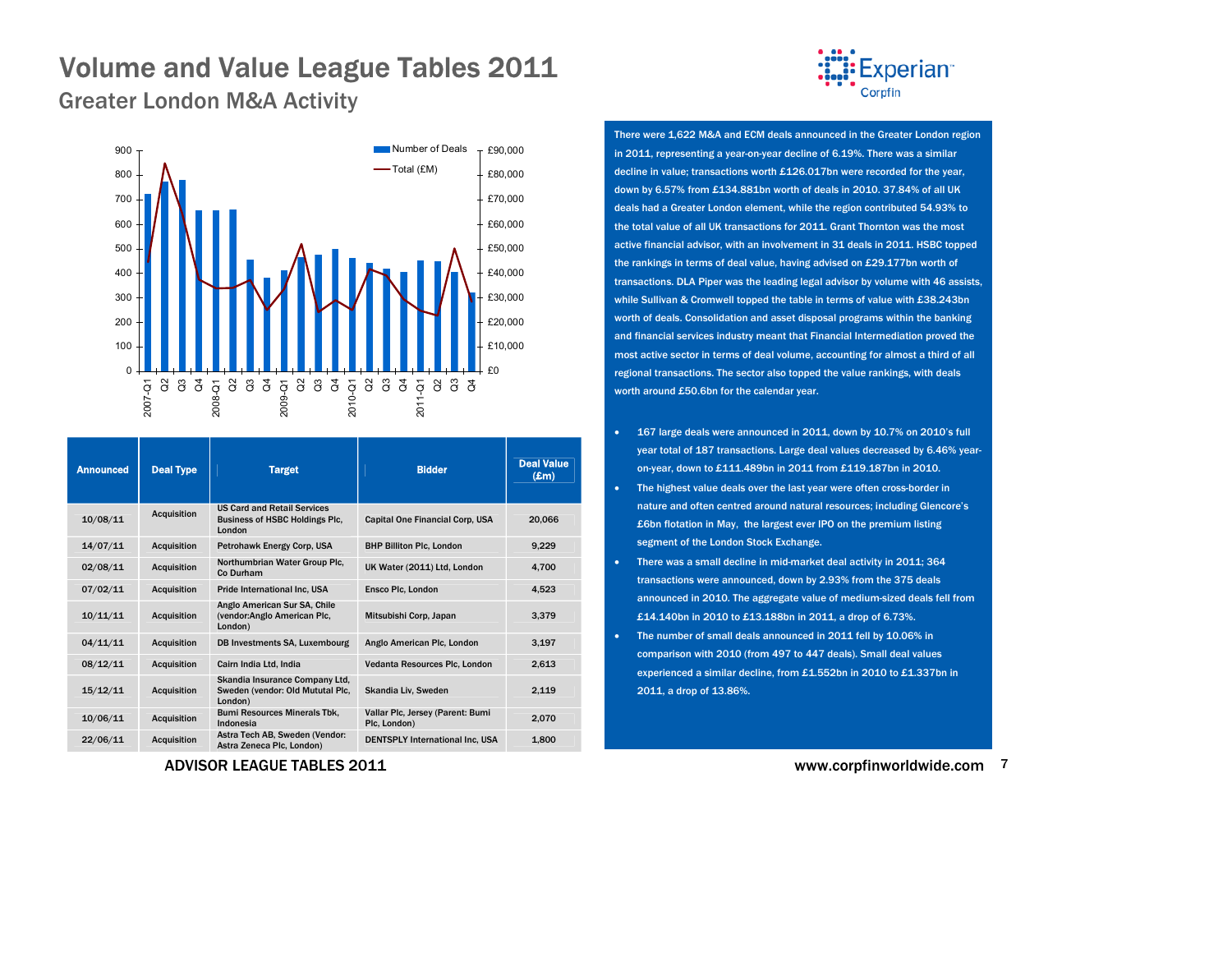

<span id="page-6-0"></span>Greater London M&A Activity



| <b>Announced</b> | <b>Deal Type</b>   | <b>Target</b>                                                                  | <b>Bidder</b>                                    | <b>Deal Value</b><br>$(\mathbf{Em})$ |
|------------------|--------------------|--------------------------------------------------------------------------------|--------------------------------------------------|--------------------------------------|
| 10/08/11         | <b>Acquisition</b> | <b>US Card and Retail Services</b><br>Business of HSBC Holdings Plc.<br>London | Capital One Financial Corp. USA                  | 20,066                               |
| 14/07/11         | <b>Acquisition</b> | Petrohawk Energy Corp. USA                                                     | <b>BHP Billiton Plc. London</b>                  | 9.229                                |
| 02/08/11         | <b>Acquisition</b> | Northumbrian Water Group Plc.<br>Co Durham                                     | UK Water (2011) Ltd, London                      | 4.700                                |
| 07/02/11         | <b>Acquisition</b> | <b>Pride International Inc. USA</b>                                            | <b>Ensco Plc. London</b>                         | 4.523                                |
| 10/11/11         | <b>Acquisition</b> | Anglo American Sur SA, Chile<br>(vendor:Anglo American Plc,<br>London)         | Mitsubishi Corp, Japan                           | 3,379                                |
| 04/11/11         | <b>Acquisition</b> | DB Investments SA, Luxembourg                                                  | Anglo American Plc, London                       | 3,197                                |
| 08/12/11         | <b>Acquisition</b> | Cairn India Ltd, India                                                         | Vedanta Resources Plc, London                    | 2,613                                |
| 15/12/11         | <b>Acquisition</b> | Skandia Insurance Company Ltd.<br>Sweden (vendor: Old Mututal Plc,<br>London)  | Skandia Liv. Sweden                              | 2,119                                |
| 10/06/11         | <b>Acquisition</b> | <b>Bumi Resources Minerals Tbk.</b><br>Indonesia                               | Vallar Plc, Jersey (Parent: Bumi<br>Plc. London) | 2.070                                |
| 22/06/11         | Acquisition        | Astra Tech AB. Sweden (Vendor:<br>Astra Zeneca Plc, London)                    | <b>DENTSPLY International Inc. USA</b>           | 1.800                                |

ADVISOR LEAGUE TABLES 2011

There were 1,622 M&A and ECM deals announced in the Greater London region in 2011, representing a year-on-year decline of 6.19%. There was a similar decline in value; transactions worth £126.017bn were recorded for the year, down by 6.57% from £134.881bn worth of deals in 2010. 37.84% of all UK deals had a Greater London element, while the region contributed 54.93% to the total value of all UK transactions for 2011. Grant Thornton was the most active financial advisor, with an involvement in 31 deals in 2011. HSBC topped the rankings in terms of deal value, having advised on £29.177bn worth of transactions. DLA Piper was the leading legal advisor by volume with 46 assists, while Sullivan & Cromwell topped the table in terms of value with £38.243bn worth of deals. Consolidation and asset disposal programs within the banking and financial services industry meant that Financial Intermediation proved the most active sector in terms of deal volume, accounting for almost a third of all regional transactions. The sector also topped the value rankings, with deals worth around £50.6bn for the calendar year.

- 167 large deals were announced in 2011, down by 10.7% on 2010's full year total of 187 transactions. Large deal values decreased by 6.46% yearon-year, down to £111.489bn in 2011 from £119.187bn in 2010.
- The highest value deals over the last year were often cross-border in nature and often centred around natural resources; including Glencore's £6bn flotation in May, the largest ever IPO on the premium listing segment of the London Stock Exchange.
- • There was a small decline in mid-market deal activity in 2011; 364 transactions were announced, down by 2.93% from the 375 deals announced in 2010. The aggregate value of medium-sized deals fell from £14.140bn in 2010 to £13.188bn in 2011, a drop of 6.73%.
- • The number of small deals announced in 2011 fell by 10.06% in comparison with 2010 (from 497 to 447 deals). Small deal values experienced a similar decline, from £1.552bn in 2010 to £1.337bn in 2011, a drop of 13.86%.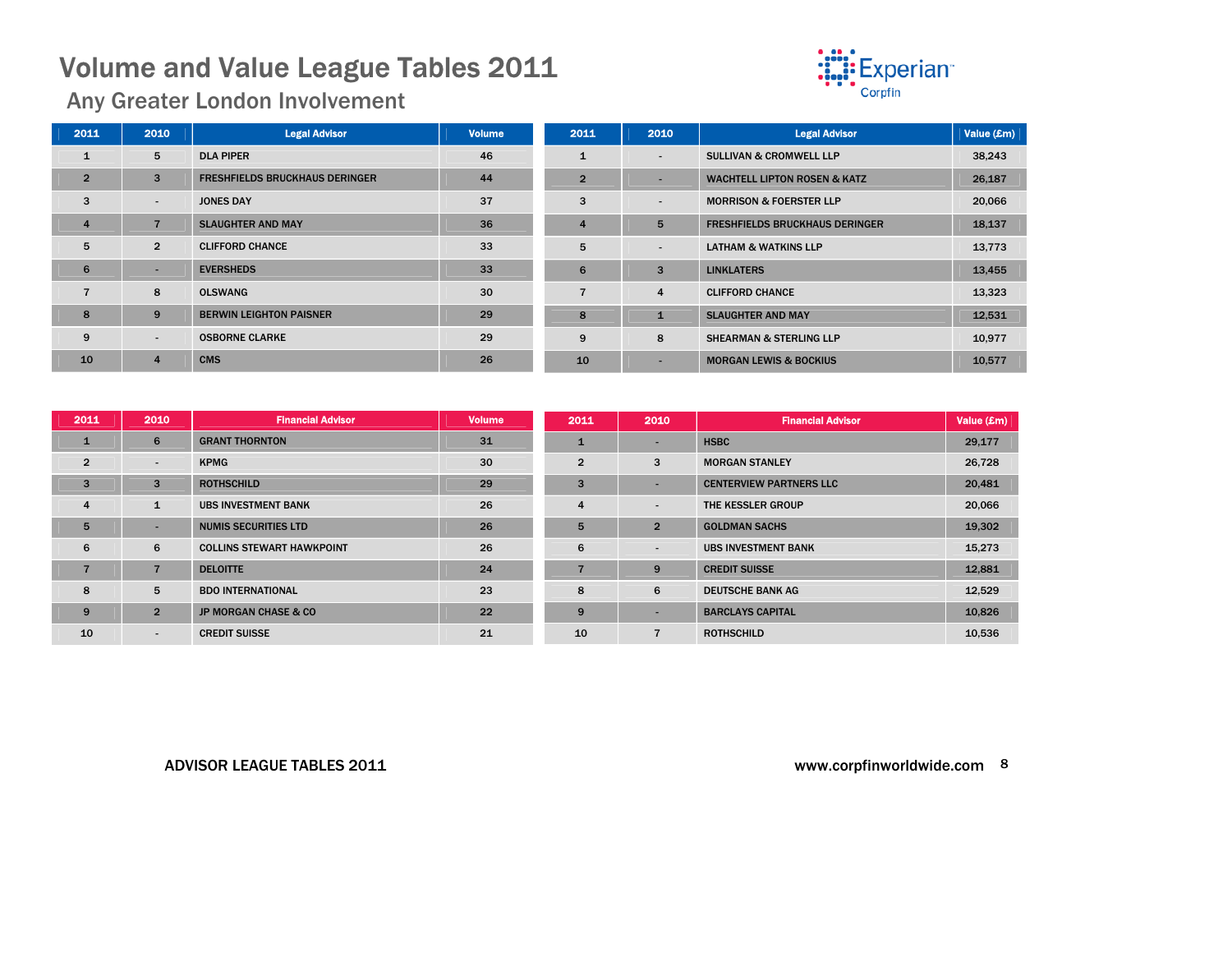

Any Greater London Involvement

| 2011           | 2010                     | <b>Legal Advisor</b>                  | <b>Volume</b> | 2011           | 2010                     | <b>Legal Advisor</b>                    | Value (£m) |
|----------------|--------------------------|---------------------------------------|---------------|----------------|--------------------------|-----------------------------------------|------------|
| $\mathbf{1}$   | 5                        | <b>DLA PIPER</b>                      | 46            |                | $\overline{\phantom{a}}$ | <b>SULLIVAN &amp; CROMWELL LLP</b>      | 38,243     |
| $\overline{2}$ | 3                        | <b>FRESHFIELDS BRUCKHAUS DERINGER</b> | 44            | $\overline{2}$ |                          | <b>WACHTELL LIPTON ROSEN &amp; KATZ</b> | 26,187     |
| 3              | $\overline{\phantom{a}}$ | <b>JONES DAY</b>                      | 37            | 3              | $\overline{\phantom{a}}$ | <b>MORRISON &amp; FOERSTER LLP</b>      | 20,066     |
| $\overline{4}$ |                          | <b>SLAUGHTER AND MAY</b>              | 36            |                | 5                        | <b>FRESHFIELDS BRUCKHAUS DERINGER</b>   | 18,137     |
| 5              | $\overline{2}$           | <b>CLIFFORD CHANCE</b>                | 33            | 5              | $\overline{\phantom{a}}$ | <b>LATHAM &amp; WATKINS LLP</b>         | 13,773     |
| 6              |                          | <b>EVERSHEDS</b>                      | 33            | 6              | 3                        | <b>LINKLATERS</b>                       | 13,455     |
|                | 8                        | <b>OLSWANG</b>                        | 30            |                | 4                        | <b>CLIFFORD CHANCE</b>                  | 13,323     |
| 8              | 9                        | <b>BERWIN LEIGHTON PAISNER</b>        | 29            | 8              | п.                       | <b>SLAUGHTER AND MAY</b>                | 12,531     |
| 9              | $\overline{\phantom{a}}$ | <b>OSBORNE CLARKE</b>                 | 29            | 9              | 8                        | <b>SHEARMAN &amp; STERLING LLP</b>      | 10,977     |
| 10             | $\overline{4}$           | <b>CMS</b>                            | 26            | 10             | -                        | <b>MORGAN LEWIS &amp; BOCKIUS</b>       | 10,577     |

| 2011           | 2010           | <b>Financial Advisor</b>         | <b>Volume</b> | 2011           | 2010                     | <b>Financial Advisor</b>       | Value (£m) |
|----------------|----------------|----------------------------------|---------------|----------------|--------------------------|--------------------------------|------------|
| 1              | 6              | <b>GRANT THORNTON</b>            | 31            |                | -                        | <b>HSBC</b>                    | 29,177     |
| $\overline{2}$ | $\blacksquare$ | <b>KPMG</b>                      | 30            | $\overline{2}$ | 3                        | <b>MORGAN STANLEY</b>          | 26,728     |
| 3              | 3              | <b>ROTHSCHILD</b>                | 29            | 3              | -                        | <b>CENTERVIEW PARTNERS LLC</b> | 20,481     |
| 4              | $\mathbf{1}$   | <b>UBS INVESTMENT BANK</b>       | 26            | 4              | $\overline{\phantom{a}}$ | THE KESSLER GROUP              | 20,066     |
| 5              |                | <b>NUMIS SECURITIES LTD</b>      | 26            | 5              | $\overline{2}$           | <b>GOLDMAN SACHS</b>           | 19,302     |
| 6              | 6              | <b>COLLINS STEWART HAWKPOINT</b> | 26            | 6              | $\overline{\phantom{a}}$ | <b>UBS INVESTMENT BANK</b>     | 15,273     |
| $\overline{7}$ |                | <b>DELOITTE</b>                  | 24            |                | 9                        | <b>CREDIT SUISSE</b>           | 12,881     |
| 8              | 5              | <b>BDO INTERNATIONAL</b>         | 23            | 8              | 6                        | <b>DEUTSCHE BANK AG</b>        | 12,529     |
| 9              | $\overline{2}$ | <b>JP MORGAN CHASE &amp; CO</b>  | 22            | 9              | $\overline{\phantom{a}}$ | <b>BARCLAYS CAPITAL</b>        | 10,826     |
| 10             | $\blacksquare$ | <b>CREDIT SUISSE</b>             | 21            | 10             |                          | <b>ROTHSCHILD</b>              | 10,536     |

#### ADVISOR LEAGUE TABLES 2011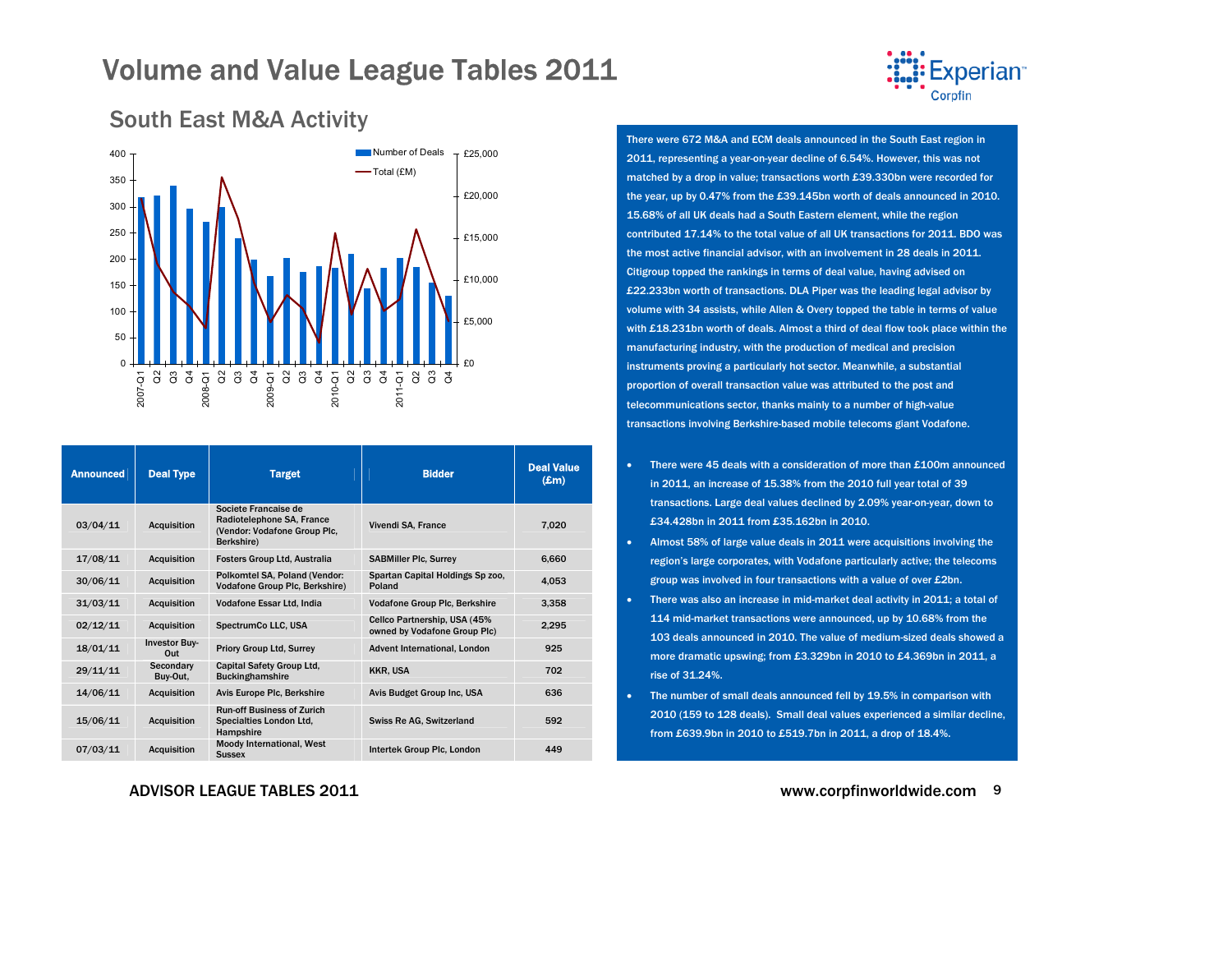

<span id="page-8-0"></span>

| <b>Announced</b> | <b>Deal Type</b>            | <b>Target</b>                                                                                   | <b>Bidder</b>                                                 | <b>Deal Value</b><br>$(\pmb{\pounds} \mathbf{m})$ |
|------------------|-----------------------------|-------------------------------------------------------------------------------------------------|---------------------------------------------------------------|---------------------------------------------------|
| 03/04/11         | <b>Acquisition</b>          | Societe Francaise de<br>Radiotelephone SA, France<br>(Vendor: Vodafone Group Plc,<br>Berkshire) | Vivendi SA, France                                            | 7,020                                             |
| 17/08/11         | <b>Acquisition</b>          | <b>Fosters Group Ltd. Australia</b>                                                             | <b>SABMiller Plc, Surrey</b>                                  | 6,660                                             |
| 30/06/11         | <b>Acquisition</b>          | Polkomtel SA, Poland (Vendor:<br>Vodafone Group Plc, Berkshire)                                 | Spartan Capital Holdings Sp zoo,<br>Poland                    | 4,053                                             |
| 31/03/11         | <b>Acquisition</b>          | Vodafone Essar Ltd, India                                                                       | Vodafone Group Plc, Berkshire                                 | 3.358                                             |
| 02/12/11         | <b>Acquisition</b>          | SpectrumCo LLC, USA                                                                             | Cellco Partnership, USA (45%)<br>owned by Vodafone Group Plc) | 2,295                                             |
| 18/01/11         | <b>Investor Buy-</b><br>Out | <b>Priory Group Ltd, Surrey</b>                                                                 | Advent International, London                                  | 925                                               |
| 29/11/11         | Secondary<br>Buy-Out.       | Capital Safety Group Ltd.<br><b>Buckinghamshire</b>                                             | KKR, USA                                                      | 702                                               |
| 14/06/11         | <b>Acquisition</b>          | Avis Europe Plc, Berkshire                                                                      | Avis Budget Group Inc. USA                                    | 636                                               |
| 15/06/11         | <b>Acquisition</b>          | <b>Run-off Business of Zurich</b><br>Specialties London Ltd.<br>Hampshire                       | Swiss Re AG, Switzerland                                      | 592                                               |
| 07/03/11         | <b>Acquisition</b>          | Moody International, West<br><b>Sussex</b>                                                      | Intertek Group Plc, London                                    | 449                                               |

#### ADVISOR LEAGUE TABLES 2011

There were 672 M&A and ECM deals announced in the South East region in 2011, representing a year-on-year decline of 6.54%. However, this was not matched by a drop in value; transactions worth £39.330bn were recorded for the year, up by 0.47% from the £39.145bn worth of deals announced in 2010. 15.68% of all UK deals had a South Eastern element, while the region contributed 17.14% to the total value of all UK transactions for 2011. BDO was the most active financial advisor, with an involvement in 28 deals in 2011. Citigroup topped the rankings in terms of deal value, having advised on £22.233bn worth of transactions. DLA Piper was the leading legal advisor by volume with 34 assists, while Allen & Overy topped the table in terms of value with £18.231bn worth of deals. Almost a third of deal flow took place within the manufacturing industry, with the production of medical and precision instruments proving a particularly hot sector. Meanwhile, a substantial proportion of overall transaction value was attributed to the post and telecommunications sector, thanks mainly to a number of high-value transactions involving Berkshire-based mobile telecoms giant Vodafone.

- There were 45 deals with a consideration of more than £100m announced in 2011, an increase of 15.38% from the 2010 full year total of 39 transactions. Large deal values declined by 2.09% year-on-year, down to £34.428bn in 2011 from £35.162bn in 2010.
- • Almost 58% of large value deals in 2011 were acquisitions involving the region's large corporates, with Vodafone particularly active; the telecoms group was involved in four transactions with a value of over £2bn.
- There was also an increase in mid-market deal activity in 2011; a total of 114 mid-market transactions were announced, up by 10.68% from the 103 deals announced in 2010. The value of medium-sized deals showed a more dramatic upswing; from £3.329bn in 2010 to £4.369bn in 2011, a rise of 31.24%.
- • The number of small deals announced fell by 19.5% in comparison with 2010 (159 to 128 deals). Small deal values experienced a similar decline, from £639.9bn in 2010 to £519.7bn in 2011, a drop of 18.4%.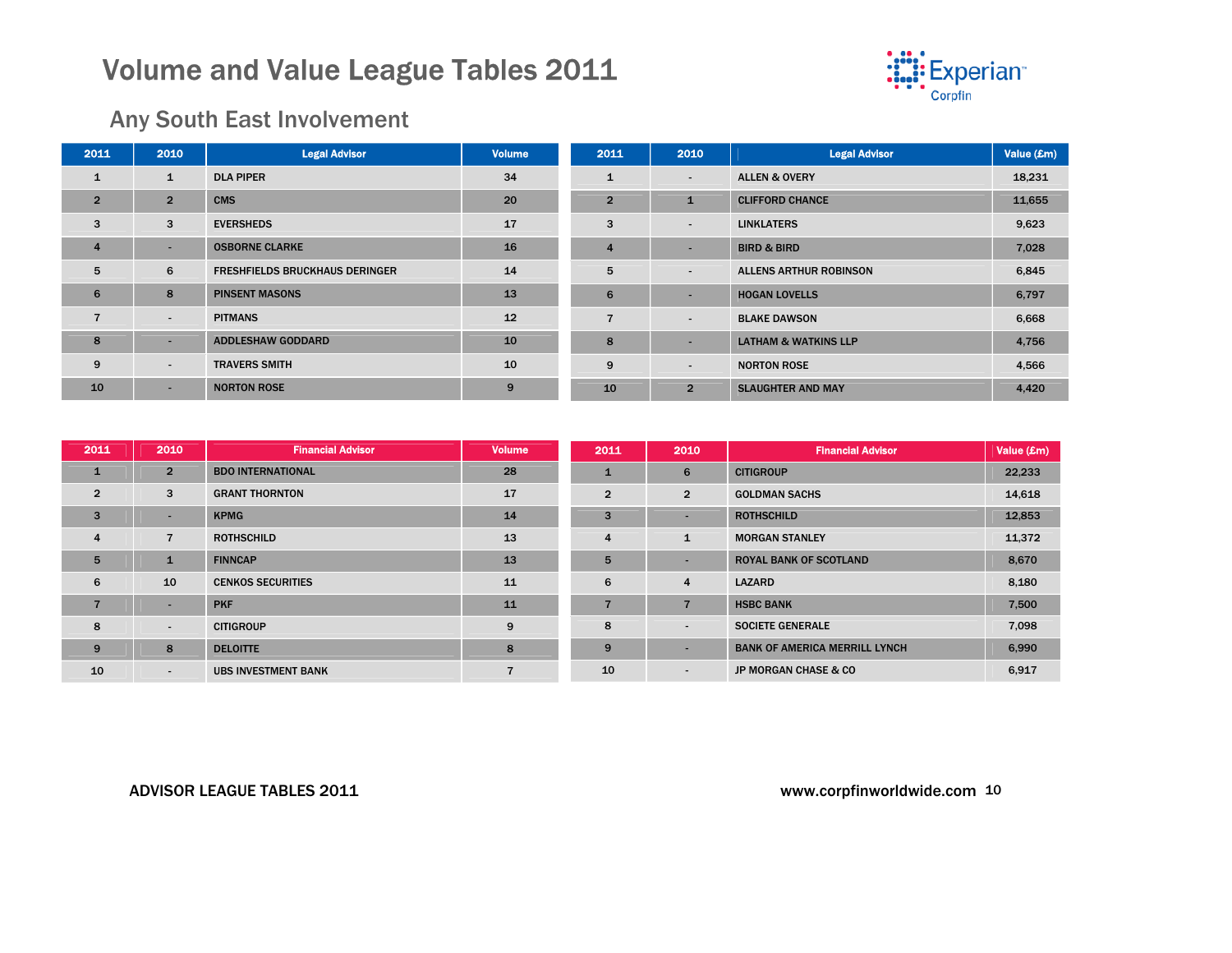

### Any South East Involvement

| 2011           | 2010           | <b>Legal Advisor</b>                  | <b>Volume</b> | 2011           | 2010                     | <b>Legal Advisor</b>            | Value (£m) |
|----------------|----------------|---------------------------------------|---------------|----------------|--------------------------|---------------------------------|------------|
| $\mathbf{1}$   | $\mathbf{1}$   | <b>DLA PIPER</b>                      | 34            | $\mathbf{1}$   | $\sim$                   | <b>ALLEN &amp; OVERY</b>        | 18,231     |
| $\overline{2}$ | $\overline{2}$ | <b>CMS</b>                            | 20            | $\overline{2}$ | $\mathbf{1}$             | <b>CLIFFORD CHANCE</b>          | 11,655     |
| 3              | 3              | <b>EVERSHEDS</b>                      | 17            | 3              | $\overline{\phantom{0}}$ | <b>LINKLATERS</b>               | 9,623      |
| $\overline{4}$ | ۰              | <b>OSBORNE CLARKE</b>                 | 16            | $\overline{4}$ | ۰                        | <b>BIRD &amp; BIRD</b>          | 7,028      |
| 5              | 6              | <b>FRESHFIELDS BRUCKHAUS DERINGER</b> | 14            | 5              | $\sim$                   | <b>ALLENS ARTHUR ROBINSON</b>   | 6,845      |
| 6              | 8              | <b>PINSENT MASONS</b>                 | 13            | 6              |                          | <b>HOGAN LOVELLS</b>            | 6,797      |
|                | $\blacksquare$ | <b>PITMANS</b>                        | 12            | $\overline{7}$ | $\overline{\phantom{a}}$ | <b>BLAKE DAWSON</b>             | 6,668      |
| 8              | -              | <b>ADDLESHAW GODDARD</b>              | 10            | 8              | $\overline{\phantom{a}}$ | <b>LATHAM &amp; WATKINS LLP</b> | 4,756      |
| 9              | $\sim$         | <b>TRAVERS SMITH</b>                  | 10            | 9              | $\overline{\phantom{0}}$ | <b>NORTON ROSE</b>              | 4,566      |
| 10             | $\sim$         | <b>NORTON ROSE</b>                    | 9             | 10             | $\overline{2}$           | <b>SLAUGHTER AND MAY</b>        | 4,420      |

| 2011           | 2010                     | <b>Financial Advisor</b>   | <b>Volume</b> | 2011           | 2010                     | <b>Financial Advisor</b>             | Value (£m) |
|----------------|--------------------------|----------------------------|---------------|----------------|--------------------------|--------------------------------------|------------|
| $\mathbf{1}$   | $\overline{2}$           | <b>BDO INTERNATIONAL</b>   | 28            | $\mathbf{1}$   | 6                        | <b>CITIGROUP</b>                     | 22,233     |
| $\overline{2}$ | 3                        | <b>GRANT THORNTON</b>      | 17            | $\overline{2}$ | $\overline{2}$           | <b>GOLDMAN SACHS</b>                 | 14,618     |
| $\overline{3}$ | $\blacksquare$           | <b>KPMG</b>                | 14            | 3              | $\overline{\phantom{a}}$ | <b>ROTHSCHILD</b>                    | 12,853     |
| $\overline{4}$ | $\overline{7}$           | <b>ROTHSCHILD</b>          | 13            | 4              | $\mathbf{1}$             | <b>MORGAN STANLEY</b>                | 11,372     |
| 5              | 1                        | <b>FINNCAP</b>             | 13            | 5              | $\overline{\phantom{a}}$ | <b>ROYAL BANK OF SCOTLAND</b>        | 8,670      |
| 6              | 10                       | <b>CENKOS SECURITIES</b>   | 11            | 6              | $\overline{4}$           | <b>LAZARD</b>                        | 8,180      |
|                | $\blacksquare$           | <b>PKF</b>                 | 11            |                |                          | <b>HSBC BANK</b>                     | 7,500      |
| 8              | $\overline{\phantom{a}}$ | <b>CITIGROUP</b>           | 9             | 8              | $\sim$                   | <b>SOCIETE GENERALE</b>              | 7,098      |
| 9              | 8                        | <b>DELOITTE</b>            | 8             | 9              | $\overline{\phantom{a}}$ | <b>BANK OF AMERICA MERRILL LYNCH</b> | 6,990      |
| 10             | $\blacksquare$           | <b>UBS INVESTMENT BANK</b> | 7             | 10             | $\overline{\phantom{a}}$ | JP MORGAN CHASE & CO                 | 6,917      |

#### ADVISOR LEAGUE TABLES 2011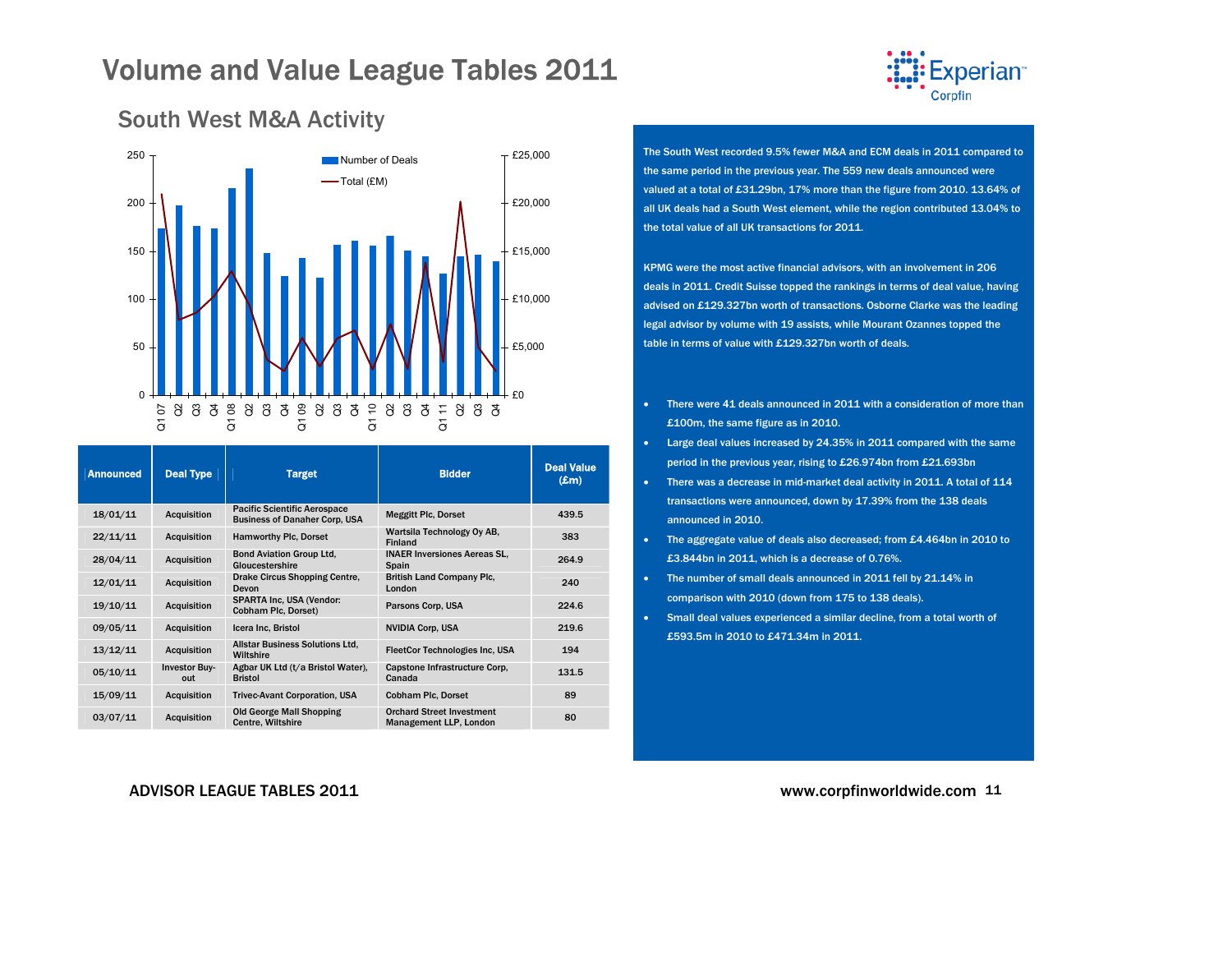

### <span id="page-10-0"></span>South West M&A Activity



| <b>Announced</b> | <b>Deal Type</b>            | <b>Target</b>                                                               | <b>Bidder</b>                                              | <b>Deal Value</b><br>$(\pmb{\pounds}m)$ |
|------------------|-----------------------------|-----------------------------------------------------------------------------|------------------------------------------------------------|-----------------------------------------|
| 18/01/11         | <b>Acquisition</b>          | <b>Pacific Scientific Aerospace</b><br><b>Business of Danaher Corp, USA</b> | <b>Meggitt Plc, Dorset</b>                                 | 439.5                                   |
| 22/11/11         | <b>Acquisition</b>          | Hamworthy Plc, Dorset                                                       | Wartsila Technology Oy AB,<br><b>Finland</b>               | 383                                     |
| 28/04/11         | <b>Acquisition</b>          | <b>Bond Aviation Group Ltd,</b><br>Gloucestershire                          | <b>INAER Inversiones Aereas SL.</b><br>Spain               | 264.9                                   |
| 12/01/11         | <b>Acquisition</b>          | Drake Circus Shopping Centre,<br>Devon                                      | <b>British Land Company Plc.</b><br>London                 | 240                                     |
| 19/10/11         | <b>Acquisition</b>          | <b>SPARTA Inc. USA (Vendor:</b><br>Cobham Plc, Dorset)                      | Parsons Corp, USA                                          | 224.6                                   |
| 09/05/11         | <b>Acquisition</b>          | Icera Inc. Bristol                                                          | <b>NVIDIA Corp. USA</b>                                    | 219.6                                   |
| 13/12/11         | <b>Acquisition</b>          | <b>Allstar Business Solutions Ltd.</b><br>Wiltshire                         | <b>FleetCor Technologies Inc, USA</b>                      | 194                                     |
| 05/10/11         | <b>Investor Buy-</b><br>out | Agbar UK Ltd (t/a Bristol Water),<br><b>Bristol</b>                         | Capstone Infrastructure Corp.<br>Canada                    | 131.5                                   |
| 15/09/11         | <b>Acquisition</b>          | <b>Trivec-Avant Corporation, USA</b>                                        | <b>Cobham Plc, Dorset</b>                                  | 89                                      |
| 03/07/11         | <b>Acquisition</b>          | <b>Old George Mall Shopping</b><br>Centre, Wiltshire                        | <b>Orchard Street Investment</b><br>Management LLP, London | 80                                      |

#### The South West recorded 9.5% fewer M&A and ECM deals in 2011 compared to the same period in the previous year. The 559 new deals announced were valued at a total of £31.29bn, 17% more than the figure from 2010. 13.64% of all UK deals had a South West element, while the region contributed 13.04% to the total value of all UK transactions for 2011.

KPMG were the most active financial advisors, with an involvement in 206 deals in 2011. Credit Suisse topped the rankings in terms of deal value, having advised on £129.327bn worth of transactions. Osborne Clarke was the leading legal advisor by volume with 19 assists, while Mourant Ozannes topped the table in terms of value with £129.327bn worth of deals.

- • There were 41 deals announced in 2011 with a consideration of more than £100m, the same figure as in 2010.
- • Large deal values increased by 24.35% in 2011 compared with the same period in the previous year, rising to £26.974bn from £21.693bn
- There was a decrease in mid-market deal activity in 2011. A total of 114 transactions were announced, down by 17.39% from the 138 deals announced in 2010.
- The aggregate value of deals also decreased; from £4.464bn in 2010 to £3.844bn in 2011, which is a decrease of 0.76%.
- The number of small deals announced in 2011 fell by 21.14% in comparison with 2010 (down from 175 to 138 deals).
- Small deal values experienced a similar decline, from a total worth of £593.5m in 2010 to £471.34m in 2011.

ADVISOR LEAGUE TABLES 2011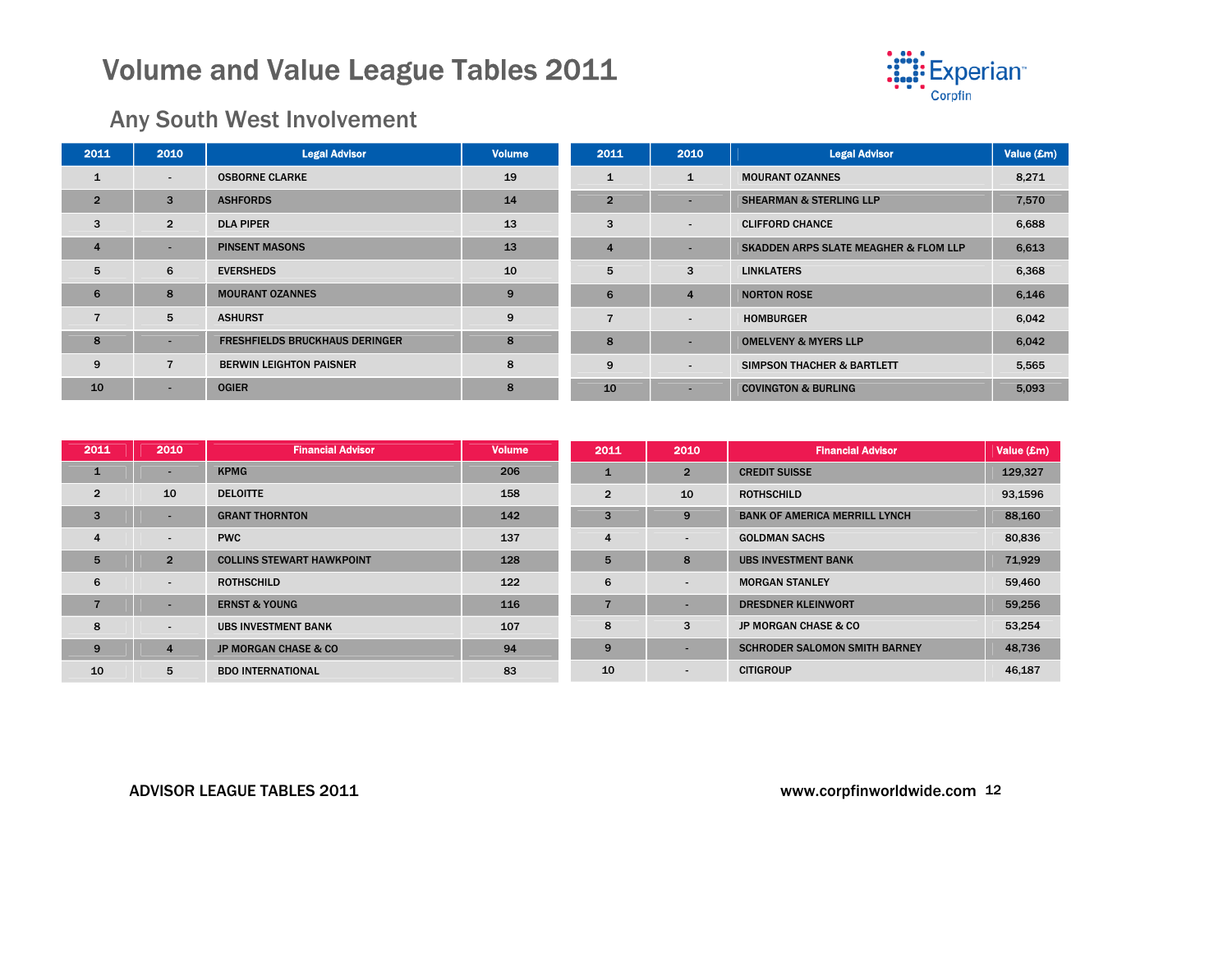

## Any South West Involvement

| 2011           | 2010                     | <b>Legal Advisor</b>                  | <b>Volume</b> | 2011           | 2010                     | <b>Legal Advisor</b>                             | Value (£m) |
|----------------|--------------------------|---------------------------------------|---------------|----------------|--------------------------|--------------------------------------------------|------------|
|                | $\sim$                   | <b>OSBORNE CLARKE</b>                 | 19            |                | $\mathbf{1}$             | <b>MOURANT OZANNES</b>                           | 8,271      |
| $\overline{2}$ | 3                        | <b>ASHFORDS</b>                       | 14            | $2^{\circ}$    | ٠                        | <b>SHEARMAN &amp; STERLING LLP</b>               | 7,570      |
| 3              | $\overline{2}$           | <b>DLA PIPER</b>                      | 13            | 3              | ۰.                       | <b>CLIFFORD CHANCE</b>                           | 6,688      |
| $\overline{a}$ | $\overline{\phantom{a}}$ | <b>PINSENT MASONS</b>                 | 13            | $\overline{4}$ | ۰                        | <b>SKADDEN ARPS SLATE MEAGHER &amp; FLOM LLP</b> | 6,613      |
| 5              | 6                        | <b>EVERSHEDS</b>                      | 10            | 5              | 3                        | <b>LINKLATERS</b>                                | 6,368      |
| 6              | 8                        | <b>MOURANT OZANNES</b>                | 9             | 6              | 4                        | <b>NORTON ROSE</b>                               | 6,146      |
|                | 5                        | <b>ASHURST</b>                        | 9             |                | $\overline{\phantom{a}}$ | <b>HOMBURGER</b>                                 | 6,042      |
| 8              |                          | <b>FRESHFIELDS BRUCKHAUS DERINGER</b> | 8             | 8              |                          | <b>OMELVENY &amp; MYERS LLP</b>                  | 6,042      |
| 9              | $\overline{7}$           | <b>BERWIN LEIGHTON PAISNER</b>        | 8             | 9              | $\overline{\phantom{a}}$ | <b>SIMPSON THACHER &amp; BARTLETT</b>            | 5,565      |
| 10             | $\overline{\phantom{a}}$ | <b>OGIER</b>                          | 8             | 10             |                          | <b>COVINGTON &amp; BURLING</b>                   | 5,093      |

| 2011           | 2010                     | <b>Financial Advisor</b>         | <b>Volume</b> | 2011           | 2010                     | <b>Financial Advisor</b>             | Value (£m) |
|----------------|--------------------------|----------------------------------|---------------|----------------|--------------------------|--------------------------------------|------------|
| $\mathbf{1}$   | $\overline{\phantom{a}}$ | <b>KPMG</b>                      | 206           |                | $\overline{2}$           | <b>CREDIT SUISSE</b>                 | 129,327    |
| $\overline{2}$ | 10                       | <b>DELOITTE</b>                  | 158           | $\overline{2}$ | 10                       | <b>ROTHSCHILD</b>                    | 93,1596    |
| $\overline{3}$ | -                        | <b>GRANT THORNTON</b>            | 142           | 3              | 9                        | <b>BANK OF AMERICA MERRILL LYNCH</b> | 88,160     |
| $\overline{4}$ | $\overline{\phantom{a}}$ | <b>PWC</b>                       | 137           | 4              | $\overline{\phantom{a}}$ | <b>GOLDMAN SACHS</b>                 | 80,836     |
| 5              | $\overline{2}$           | <b>COLLINS STEWART HAWKPOINT</b> | 128           | 5              | 8                        | <b>UBS INVESTMENT BANK</b>           | 71,929     |
| 6              | $\overline{\phantom{a}}$ | <b>ROTHSCHILD</b>                | 122           | 6              | $\overline{\phantom{0}}$ | <b>MORGAN STANLEY</b>                | 59,460     |
|                |                          | <b>ERNST &amp; YOUNG</b>         | 116           |                |                          | <b>DRESDNER KLEINWORT</b>            | 59,256     |
| 8              | $\overline{\phantom{a}}$ | <b>UBS INVESTMENT BANK</b>       | 107           | 8              | 3                        | <b>JP MORGAN CHASE &amp; CO</b>      | 53,254     |
| 9              | 4                        | <b>JP MORGAN CHASE &amp; CO</b>  | 94            | 9              |                          | <b>SCHRODER SALOMON SMITH BARNEY</b> | 48,736     |
| 10             | 5                        | <b>BDO INTERNATIONAL</b>         | 83            | 10             |                          | <b>CITIGROUP</b>                     | 46,187     |

#### ADVISOR LEAGUE TABLES 2011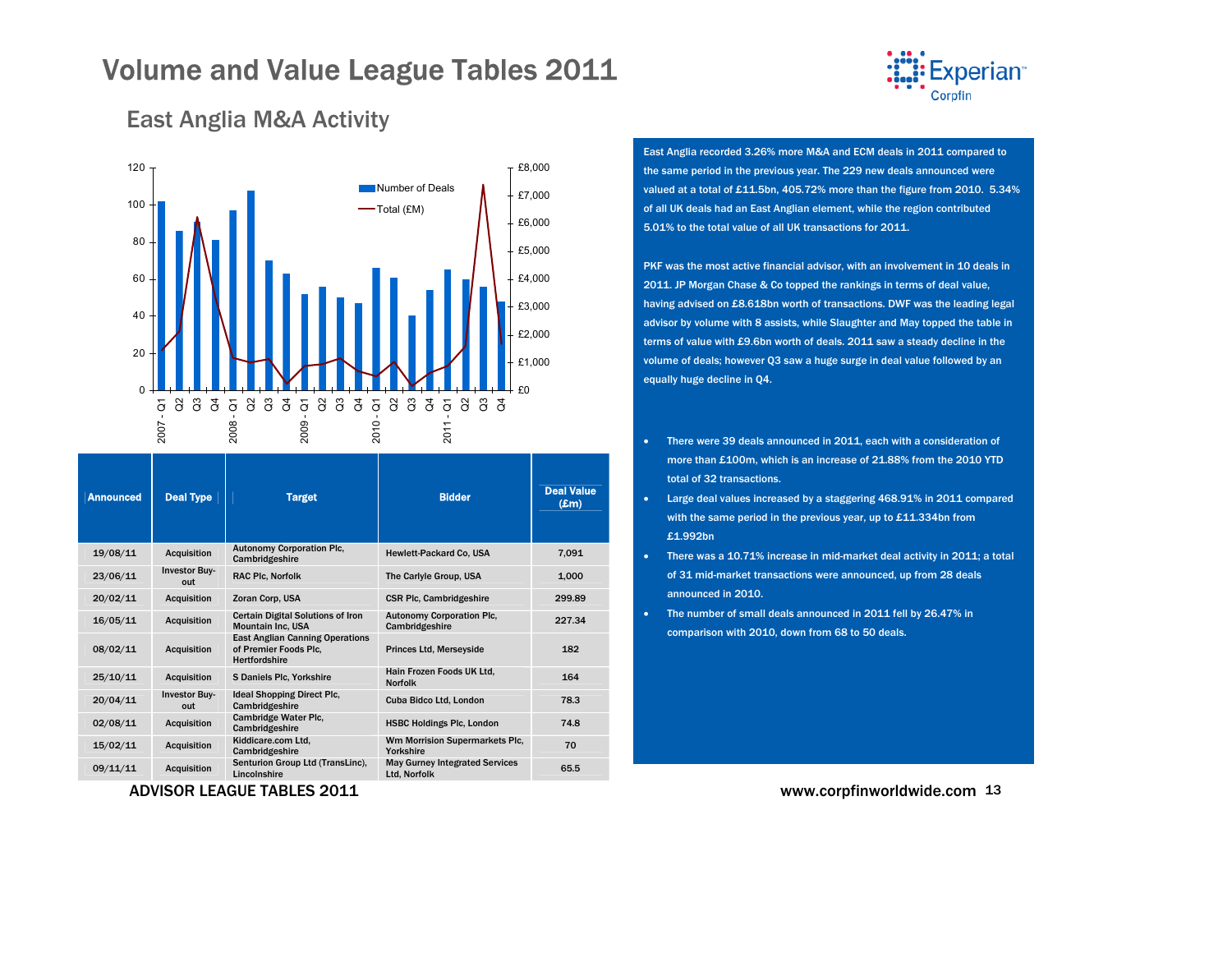

### <span id="page-12-0"></span>East Anglia M&A Activity



| <b>Deal Type</b>            | <b>Target</b>                                                                           | <b>Bidder</b>                                         | <b>Deal Value</b><br>$(\mathbf{Em})$ |
|-----------------------------|-----------------------------------------------------------------------------------------|-------------------------------------------------------|--------------------------------------|
| Acquisition                 | <b>Autonomy Corporation Plc,</b><br>Cambridgeshire                                      | Hewlett-Packard Co. USA                               | 7,091                                |
| <b>Investor Buy-</b><br>out | <b>RAC Plc, Norfolk</b>                                                                 | The Carlyle Group, USA                                | 1,000                                |
| <b>Acquisition</b>          | Zoran Corp, USA                                                                         | <b>CSR Plc. Cambridgeshire</b>                        | 299.89                               |
| <b>Acquisition</b>          | <b>Certain Digital Solutions of Iron</b><br><b>Mountain Inc. USA</b>                    | <b>Autonomy Corporation Plc,</b><br>Cambridgeshire    | 227.34                               |
| <b>Acquisition</b>          | <b>East Anglian Canning Operations</b><br>of Premier Foods Plc.<br><b>Hertfordshire</b> | <b>Princes Ltd. Mersevside</b>                        | 182                                  |
| <b>Acquisition</b>          | <b>S Daniels Plc. Yorkshire</b>                                                         | Hain Frozen Foods UK Ltd.<br><b>Norfolk</b>           | 164                                  |
| <b>Investor Buv-</b><br>out | <b>Ideal Shopping Direct Plc.</b><br>Cambridgeshire                                     | Cuba Bidco Ltd, London                                | 78.3                                 |
| <b>Acquisition</b>          | Cambridge Water Plc.<br>Cambridgeshire                                                  | <b>HSBC Holdings Plc, London</b>                      | 74.8                                 |
| <b>Acquisition</b>          | Kiddicare.com Ltd.<br>Cambridgeshire                                                    | Wm Morrision Supermarkets Plc.<br>Yorkshire           | 70                                   |
| <b>Acquisition</b>          | Senturion Group Ltd (TransLinc),<br>Lincolnshire                                        | <b>May Gurney Integrated Services</b><br>Ltd, Norfolk | 65.5                                 |
|                             |                                                                                         |                                                       |                                      |

East Anglia recorded 3.26% more M&A and ECM deals in 2011 compared to the same period in the previous year. The 229 new deals announced were valued at a total of £11.5bn, 405.72% more than the figure from 2010. 5.34% of all UK deals had an East Anglian element, while the region contributed 5.01% to the total value of all UK transactions for 2011.

PKF was the most active financial advisor, with an involvement in 10 deals in 2011. JP Morgan Chase & Co topped the rankings in terms of deal value, having advised on £8.618bn worth of transactions. DWF was the leading legal advisor by volume with 8 assists, while Slaughter and May topped the table in terms of value with £9.6bn worth of deals. 2011 saw a steady decline in the volume of deals; however Q3 saw a huge surge in deal value followed by an equally huge decline in Q4.

- • There were 39 deals announced in 2011, each with a consideration of more than £100m, which is an increase of 21.88% from the 2010 YTD total of 32 transactions.
- Large deal values increased by a staggering 468.91% in 2011 compared with the same period in the previous year, up to £11.334bn from £1.992bn
- There was a 10.71% increase in mid-market deal activity in 2011; a total of 31 mid-market transactions were announced, up from 28 deals announced in 2010.
- The number of small deals announced in 2011 fell by 26.47% in comparison with 2010, down from 68 to 50 deals.

www.corpfinworldwide.com <sup>13</sup>

ADVISOR LEAGUE TABLES 2011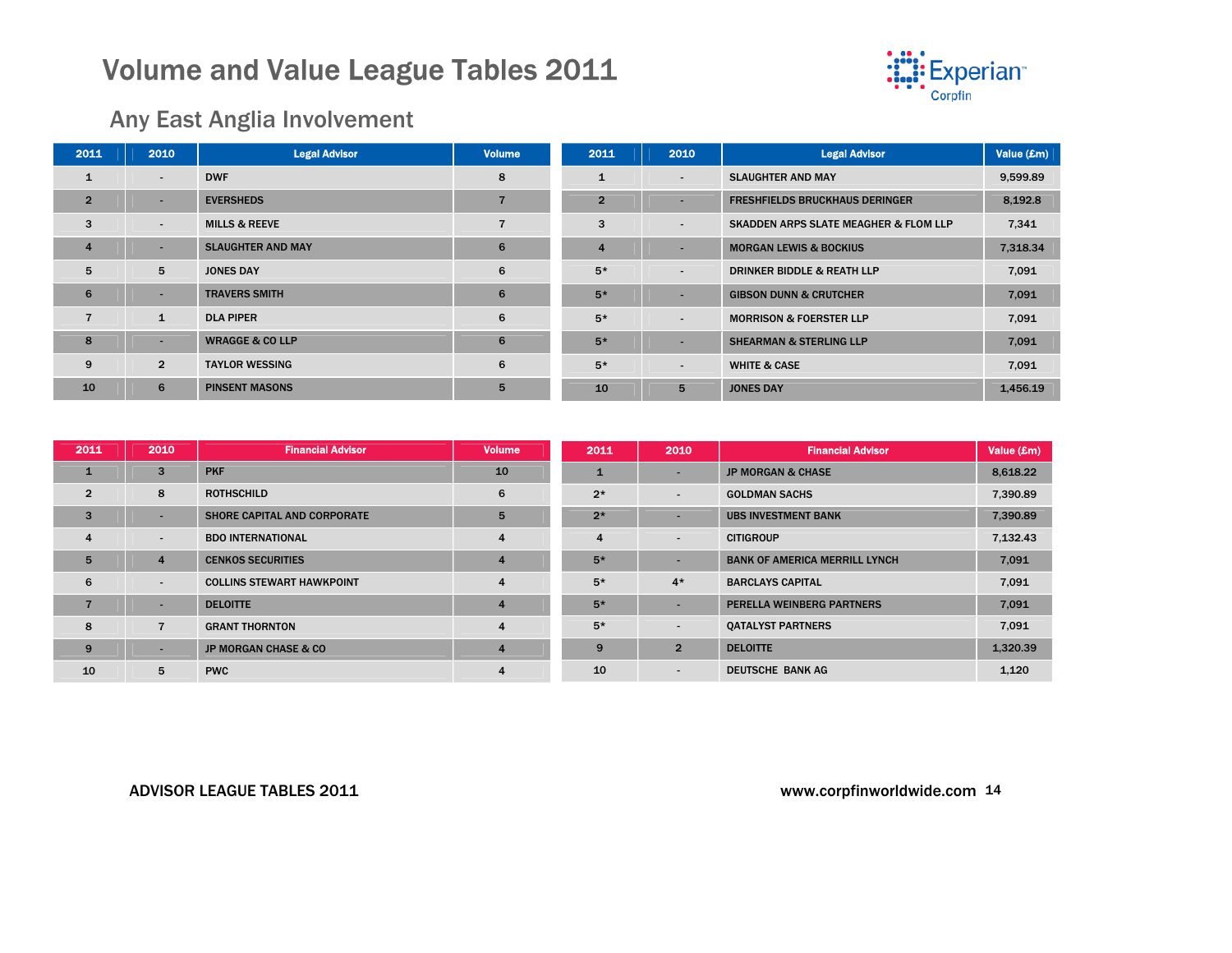

### Any East Anglia Involvement

| 2011           | 2010                     | <b>Legal Advisor</b>       | <b>Volume</b> | 2011           | 2010                     | <b>Legal Advisor</b>                             | Value (£m) |
|----------------|--------------------------|----------------------------|---------------|----------------|--------------------------|--------------------------------------------------|------------|
| 1              | $\overline{\phantom{0}}$ | <b>DWF</b>                 | 8             | $\mathbf{1}$   | $\overline{\phantom{a}}$ | <b>SLAUGHTER AND MAY</b>                         | 9,599.89   |
| $\overline{2}$ | $\overline{\phantom{a}}$ | <b>EVERSHEDS</b>           | 7             | $\overline{2}$ |                          | <b>FRESHFIELDS BRUCKHAUS DERINGER</b>            | 8,192.8    |
| 3              | $\sim$                   | <b>MILLS &amp; REEVE</b>   | ⇁             | 3              | $\overline{\phantom{a}}$ | <b>SKADDEN ARPS SLATE MEAGHER &amp; FLOM LLP</b> | 7,341      |
| 4              | $\overline{\phantom{a}}$ | <b>SLAUGHTER AND MAY</b>   | 6             | 4              |                          | <b>MORGAN LEWIS &amp; BOCKIUS</b>                | 7,318.34   |
| 5              | 5                        | <b>JONES DAY</b>           | 6             | $5*$           | $\overline{\phantom{a}}$ | <b>DRINKER BIDDLE &amp; REATH LLP</b>            | 7,091      |
| 6              | $\overline{\phantom{a}}$ | <b>TRAVERS SMITH</b>       | 6             | $5*$           |                          | <b>GIBSON DUNN &amp; CRUTCHER</b>                | 7,091      |
|                | $\mathbf{1}$             | <b>DLA PIPER</b>           | 6             | $5*$           | $\overline{\phantom{a}}$ | <b>MORRISON &amp; FOERSTER LLP</b>               | 7,091      |
| 8              | $\overline{\phantom{a}}$ | <b>WRAGGE &amp; CO LLP</b> | 6             | $5*$           |                          | <b>SHEARMAN &amp; STERLING LLP</b>               | 7,091      |
| 9              | $\overline{2}$           | <b>TAYLOR WESSING</b>      | 6             | $5*$           | $\overline{\phantom{0}}$ | <b>WHITE &amp; CASE</b>                          | 7,091      |
| 10             | 6                        | <b>PINSENT MASONS</b>      | 5             | 10             | 5                        | <b>JONES DAY</b>                                 | 1,456.19   |

| 2011           | 2010                     | <b>Financial Advisor</b>           | <b>Volume</b>           | 2011         | 2010                     | <b>Financial Advisor</b>             | Value (£m) |
|----------------|--------------------------|------------------------------------|-------------------------|--------------|--------------------------|--------------------------------------|------------|
| $\mathbf{1}$   | 3                        | <b>PKF</b>                         | 10                      | $\mathbf{1}$ | -                        | <b>JP MORGAN &amp; CHASE</b>         | 8,618.22   |
| $\overline{2}$ | 8                        | <b>ROTHSCHILD</b>                  | 6                       | $2*$         | $\blacksquare$           | <b>GOLDMAN SACHS</b>                 | 7,390.89   |
| $\overline{3}$ |                          | <b>SHORE CAPITAL AND CORPORATE</b> | $5^{\circ}$             | $2*$         | $\overline{\phantom{a}}$ | <b>UBS INVESTMENT BANK</b>           | 7,390.89   |
| $\overline{4}$ | $\overline{\phantom{a}}$ | <b>BDO INTERNATIONAL</b>           | $\overline{4}$          | 4            | $\blacksquare$           | <b>CITIGROUP</b>                     | 7,132.43   |
| 5              | $\overline{4}$           | <b>CENKOS SECURITIES</b>           | $\overline{4}$          | $5*$         | $\overline{\phantom{a}}$ | <b>BANK OF AMERICA MERRILL LYNCH</b> | 7,091      |
| 6              | $\sim$                   | <b>COLLINS STEWART HAWKPOINT</b>   | $\overline{4}$          | $5*$         | $4*$                     | <b>BARCLAYS CAPITAL</b>              | 7,091      |
|                | ۰.                       | <b>DELOITTE</b>                    | $\overline{4}$          | $5*$         | $\overline{\phantom{a}}$ | PERELLA WEINBERG PARTNERS            | 7,091      |
| 8              | $\overline{7}$           | <b>GRANT THORNTON</b>              | $\overline{\mathbf{4}}$ | $5*$         | $\blacksquare$           | <b>QATALYST PARTNERS</b>             | 7,091      |
| 9              |                          | <b>JP MORGAN CHASE &amp; CO</b>    | $\overline{4}$          | 9            | $\overline{2}$           | <b>DELOITTE</b>                      | 1.320.39   |
| 10             | 5                        | <b>PWC</b>                         | 4                       | 10           | $\sim$                   | DEUTSCHE BANK AG                     | 1,120      |

#### ADVISOR LEAGUE TABLES 2011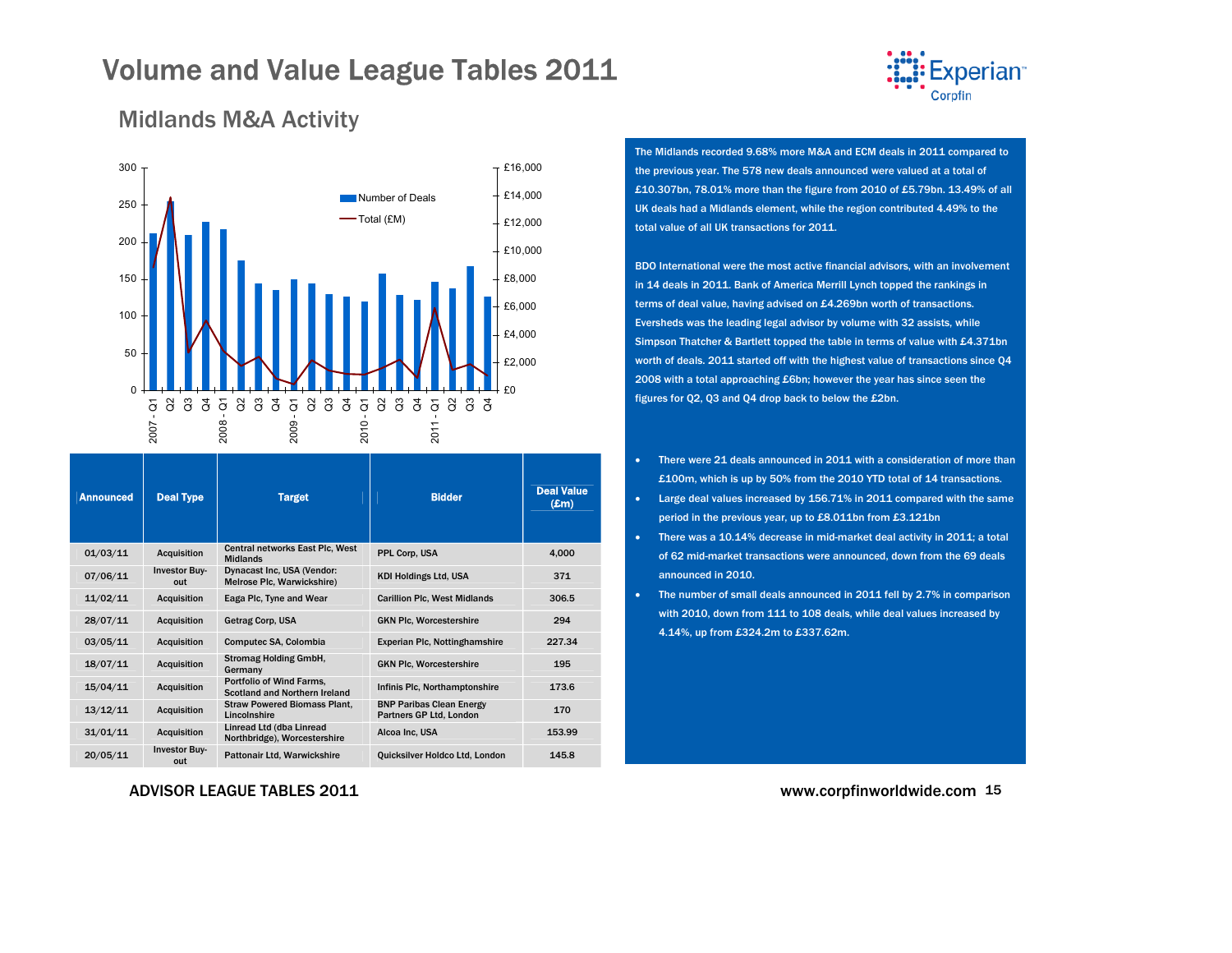

### <span id="page-14-0"></span>Midlands M&A Activity



| <b>Announced</b> | <b>Deal Type</b>            | <b>Target</b>                                                    | <b>Bidder</b>                                              | <b>Deal Value</b><br>$(\pmb{\pounds} \mathbf{m})$ |
|------------------|-----------------------------|------------------------------------------------------------------|------------------------------------------------------------|---------------------------------------------------|
| 01/03/11         | <b>Acquisition</b>          | Central networks East Plc, West<br><b>Midlands</b>               | PPL Corp, USA                                              | 4,000                                             |
| 07/06/11         | <b>Investor Buy-</b><br>out | Dynacast Inc, USA (Vendor:<br>Melrose Plc, Warwickshire)         | <b>KDI Holdings Ltd, USA</b>                               | 371                                               |
| 11/02/11         | <b>Acquisition</b>          | Eaga Plc, Tyne and Wear                                          | <b>Carillion Plc, West Midlands</b>                        | 306.5                                             |
| 28/07/11         | <b>Acquisition</b>          | Getrag Corp, USA                                                 | <b>GKN Plc, Worcestershire</b>                             | 294                                               |
| 03/05/11         | <b>Acquisition</b>          | Computec SA, Colombia                                            | Experian Plc, Nottinghamshire                              | 227.34                                            |
| 18/07/11         | <b>Acquisition</b>          | <b>Stromag Holding GmbH,</b><br>Germany                          | <b>GKN Plc, Worcestershire</b>                             | 195                                               |
| 15/04/11         | <b>Acquisition</b>          | <b>Portfolio of Wind Farms.</b><br>Scotland and Northern Ireland | Infinis Plc, Northamptonshire                              | 173.6                                             |
| 13/12/11         | <b>Acquisition</b>          | <b>Straw Powered Biomass Plant,</b><br>Lincolnshire              | <b>BNP Paribas Clean Energy</b><br>Partners GP Ltd, London | 170                                               |
| 31/01/11         | Acquisition                 | Linread Ltd (dba Linread<br>Northbridge), Worcestershire         | Alcoa Inc. USA                                             | 153.99                                            |
| 20/05/11         | <b>Investor Buy-</b><br>out | Pattonair Ltd, Warwickshire                                      | Quicksilver Holdco Ltd, London                             | 145.8                                             |

#### ADVISOR LEAGUE TABLES 2011

The Midlands recorded 9.68% more M&A and ECM deals in 2011 compared to the previous year. The 578 new deals announced were valued at a total of £10.307bn, 78.01% more than the figure from 2010 of £5.79bn. 13.49% of all UK deals had a Midlands element, while the region contributed 4.49% to the total value of all UK transactions for 2011.

BDO International were the most active financial advisors, with an involvement in 14 deals in 2011. Bank of America Merrill Lynch topped the rankings in terms of deal value, having advised on £4.269bn worth of transactions. Eversheds was the leading legal advisor by volume with 32 assists, while Simpson Thatcher & Bartlett topped the table in terms of value with £4.371bn worth of deals. 2011 started off with the highest value of transactions since Q4 2008 with a total approaching £6bn; however the year has since seen the figures for Q2, Q3 and Q4 drop back to below the £2bn.

- • There were 21 deals announced in 2011 with a consideration of more than £100m, which is up by 50% from the 2010 YTD total of 14 transactions.
- Large deal values increased by 156.71% in 2011 compared with the same period in the previous year, up to £8.011bn from £3.121bn
- There was a 10.14% decrease in mid-market deal activity in 2011; a total of 62 mid-market transactions were announced, down from the 69 deals announced in 2010.
- The number of small deals announced in 2011 fell by 2.7% in comparison with 2010, down from 111 to 108 deals, while deal values increased by 4.14%, up from £324.2m to £337.62m.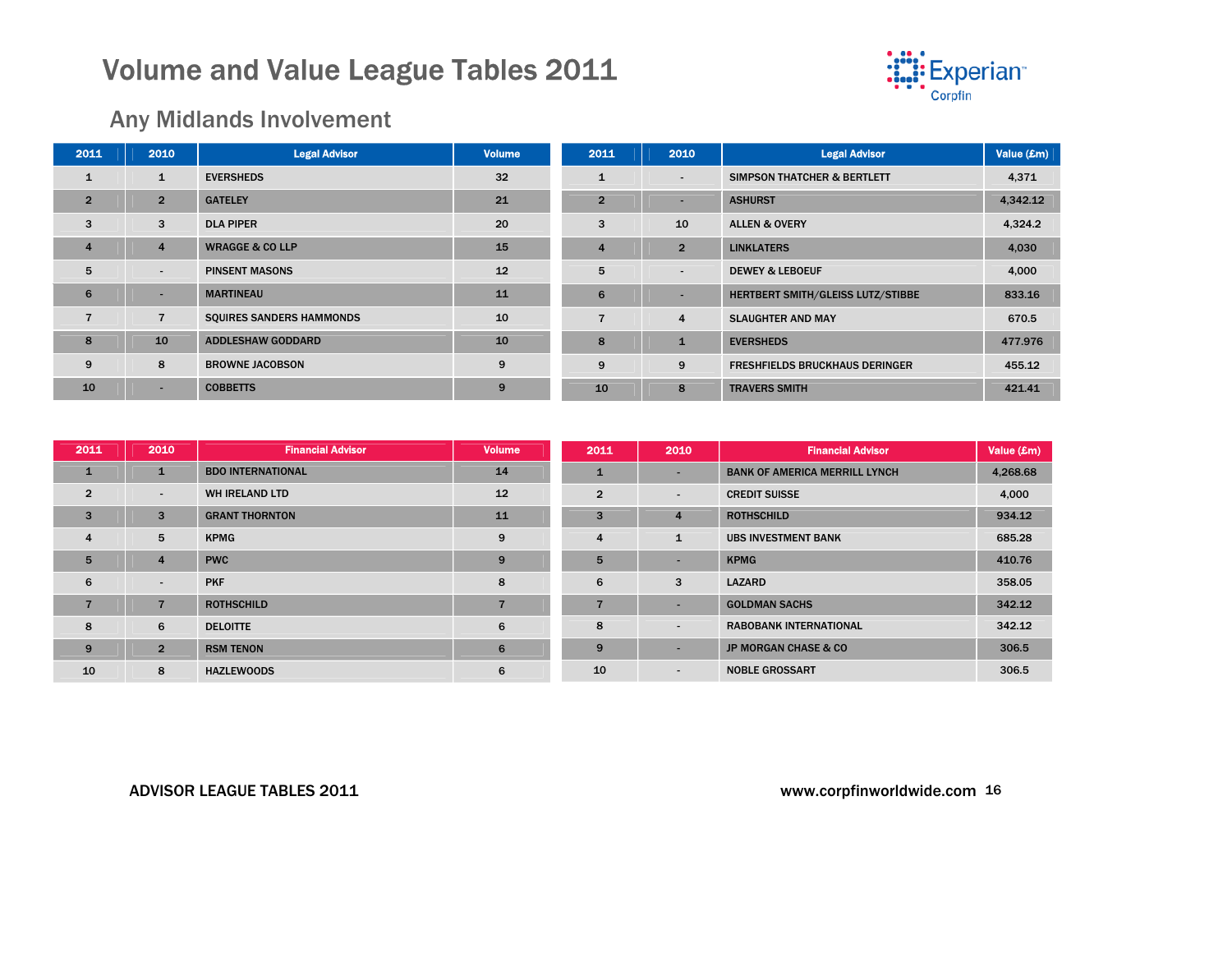

### Any Midlands Involvement

| 2011           | 2010                     | <b>Legal Advisor</b>            | <b>Volume</b> | 2011           | 2010                     | <b>Legal Advisor</b>                     | Value (£m) |
|----------------|--------------------------|---------------------------------|---------------|----------------|--------------------------|------------------------------------------|------------|
| ı              | $\mathbf{1}$             | <b>EVERSHEDS</b>                | 32            |                | $\overline{\phantom{a}}$ | <b>SIMPSON THATCHER &amp; BERTLETT</b>   | 4,371      |
| $\overline{2}$ | 2 <sup>1</sup>           | <b>GATELEY</b>                  | 21            | $\overline{2}$ | $\overline{\phantom{a}}$ | <b>ASHURST</b>                           | 4,342.12   |
| 3              | 3                        | <b>DLA PIPER</b>                | 20            | 3              | 10                       | <b>ALLEN &amp; OVERY</b>                 | 4,324.2    |
| $\overline{4}$ | $\overline{4}$           | <b>WRAGGE &amp; CO LLP</b>      | 15            | 4              | $\overline{2}$           | <b>LINKLATERS</b>                        | 4,030      |
| 5              | $\overline{\phantom{a}}$ | <b>PINSENT MASONS</b>           | 12            | 5              | $\overline{\phantom{a}}$ | <b>DEWEY &amp; LEBOEUF</b>               | 4,000      |
| 6              | $\sim$                   | <b>MARTINEAU</b>                | 11            | 6              |                          | <b>HERTBERT SMITH/GLEISS LUTZ/STIBBE</b> | 833.16     |
|                | $\overline{7}$           | <b>SQUIRES SANDERS HAMMONDS</b> | 10            |                | 4                        | <b>SLAUGHTER AND MAY</b>                 | 670.5      |
| 8              | 10                       | <b>ADDLESHAW GODDARD</b>        | 10            | 8              | $\mathbf{1}$             | <b>EVERSHEDS</b>                         | 477.976    |
| 9              | 8                        | <b>BROWNE JACOBSON</b>          | 9             | 9              | 9                        | <b>FRESHFIELDS BRUCKHAUS DERINGER</b>    | 455.12     |
| 10             | $\overline{\phantom{a}}$ | <b>COBBETTS</b>                 | 9             | 10             | 8                        | <b>TRAVERS SMITH</b>                     | 421.41     |

| 2011           | 2010                     | <b>Financial Advisor</b> | <b>Volume</b> | 2011           | 2010                     | <b>Financial Advisor</b>             | Value (£m) |
|----------------|--------------------------|--------------------------|---------------|----------------|--------------------------|--------------------------------------|------------|
| $\mathbf{1}$   | $\mathbf{1}$             | <b>BDO INTERNATIONAL</b> | 14            |                | $\overline{\phantom{a}}$ | <b>BANK OF AMERICA MERRILL LYNCH</b> | 4,268.68   |
| $\overline{2}$ | $\sim$                   | WH IRELAND LTD           | 12            | $\overline{2}$ | $\blacksquare$           | <b>CREDIT SUISSE</b>                 | 4,000      |
| 3              | 3                        | <b>GRANT THORNTON</b>    | 11            | 3              | 4                        | <b>ROTHSCHILD</b>                    | 934.12     |
| $\overline{4}$ | 5                        | <b>KPMG</b>              | 9             | 4              |                          | <b>UBS INVESTMENT BANK</b>           | 685.28     |
| 5              | 4                        | <b>PWC</b>               | 9             | 5              | $\overline{\phantom{a}}$ | <b>KPMG</b>                          | 410.76     |
| 6              | $\overline{\phantom{a}}$ | <b>PKF</b>               | 8             | 6              | 3                        | <b>LAZARD</b>                        | 358.05     |
|                |                          | <b>ROTHSCHILD</b>        |               | $\overline{ }$ | $\overline{\phantom{a}}$ | <b>GOLDMAN SACHS</b>                 | 342.12     |
| 8              | 6                        | <b>DELOITTE</b>          | 6             | 8              | $\sim$                   | <b>RABOBANK INTERNATIONAL</b>        | 342.12     |
| 9              | $\overline{2}$           | <b>RSM TENON</b>         | 6             | 9              | $\overline{\phantom{a}}$ | <b>JP MORGAN CHASE &amp; CO</b>      | 306.5      |
| 10             | 8                        | <b>HAZLEWOODS</b>        | 6             | 10             | $\blacksquare$           | <b>NOBLE GROSSART</b>                | 306.5      |

#### ADVISOR LEAGUE TABLES 2011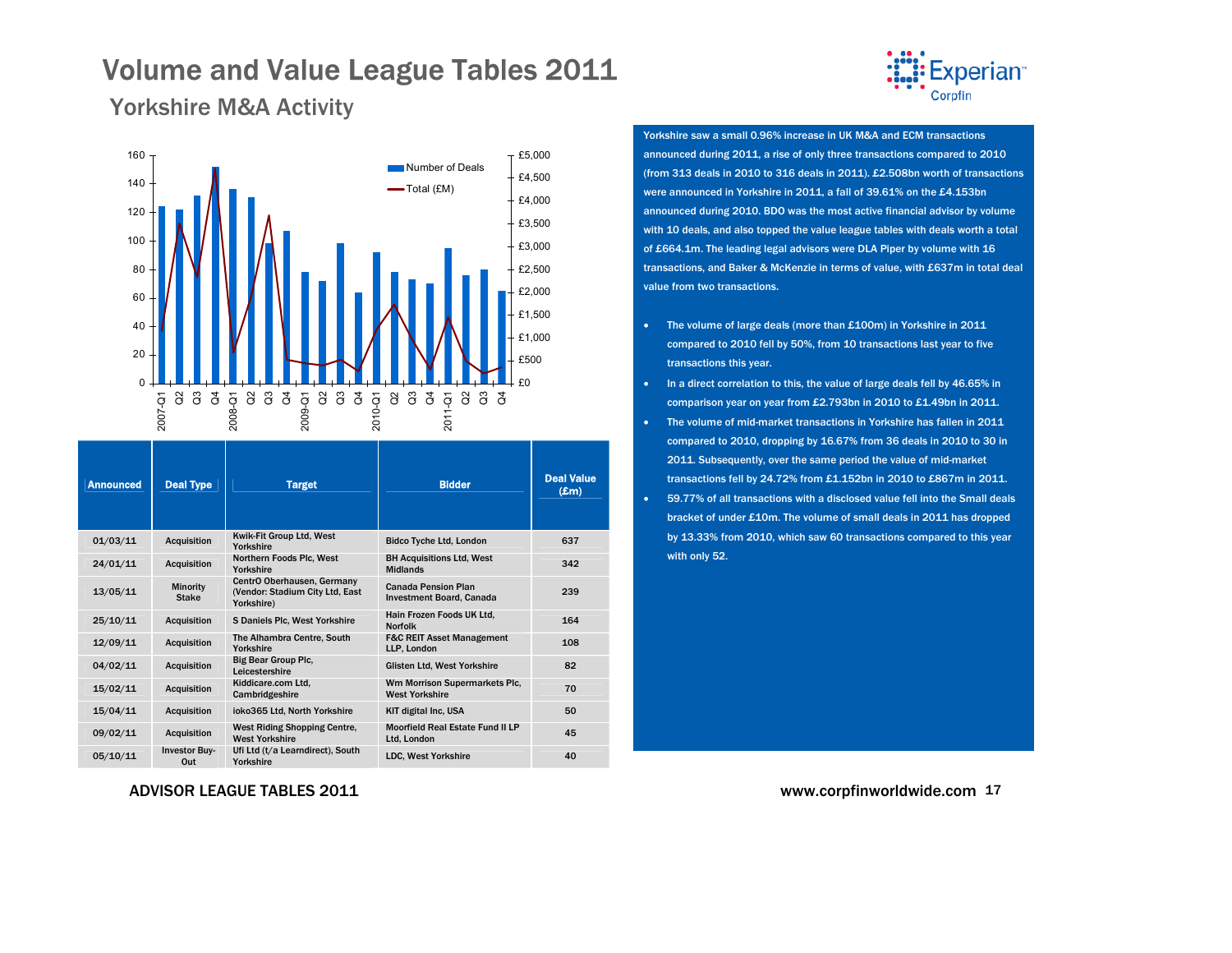

### <span id="page-16-0"></span>Yorkshire M&A Activity



| <b>Announced</b> | <b>Deal Type</b>            | <b>Target</b>                                                               | <b>Bidder</b>                                                 | <b>Deal Value</b><br>$(\pmb{\pounds}$ m) |
|------------------|-----------------------------|-----------------------------------------------------------------------------|---------------------------------------------------------------|------------------------------------------|
| 01/03/11         | Acquisition                 | Kwik-Fit Group Ltd, West<br>Yorkshire                                       | <b>Bidco Tyche Ltd, London</b>                                | 637                                      |
| 24/01/11         | <b>Acquisition</b>          | Northern Foods Plc, West<br>Yorkshire                                       | <b>BH Acquisitions Ltd, West</b><br><b>Midlands</b>           | 342                                      |
| 13/05/11         | Minority<br><b>Stake</b>    | CentrO Oberhausen, Germany<br>(Vendor: Stadium City Ltd, East<br>Yorkshire) | <b>Canada Pension Plan</b><br><b>Investment Board, Canada</b> | 239                                      |
| 25/10/11         | <b>Acquisition</b>          | S Daniels Plc, West Yorkshire                                               | Hain Frozen Foods UK Ltd.<br><b>Norfolk</b>                   | 164                                      |
| 12/09/11         | <b>Acquisition</b>          | The Alhambra Centre, South<br>Yorkshire                                     | <b>F&amp;C REIT Asset Management</b><br>LLP, London           | 108                                      |
| 04/02/11         | Acquisition                 | <b>Big Bear Group Plc.</b><br>Leicestershire                                | Glisten Ltd, West Yorkshire                                   | 82                                       |
| 15/02/11         | <b>Acquisition</b>          | Kiddicare.com Ltd.<br>Cambridgeshire                                        | Wm Morrison Supermarkets Plc,<br><b>West Yorkshire</b>        | 70                                       |
| 15/04/11         | <b>Acquisition</b>          | ioko365 Ltd, North Yorkshire                                                | <b>KIT digital Inc. USA</b>                                   | 50                                       |
| 09/02/11         | Acquisition                 | West Riding Shopping Centre,<br><b>West Yorkshire</b>                       | Moorfield Real Estate Fund II LP<br>Ltd. London               | 45                                       |
| 05/10/11         | <b>Investor Buy-</b><br>Out | Ufi Ltd (t/a Learndirect), South<br>Yorkshire                               | <b>LDC. West Yorkshire</b>                                    | 40                                       |

Yorkshire saw a small 0.96% increase in UK M&A and ECM transactions announced during 2011, a rise of only three transactions compared to 2010 (from 313 deals in 2010 to 316 deals in 2011). £2.508bn worth of transactions were announced in Yorkshire in 2011, a fall of 39.61% on the £4.153bn announced during 2010. BDO was the most active financial advisor by volume with 10 deals, and also topped the value league tables with deals worth a total of £664.1m. The leading legal advisors were DLA Piper by volume with 16 transactions, and Baker & McKenzie in terms of value, with £637m in total deal value from two transactions.

- • The volume of large deals (more than £100m) in Yorkshire in 2011 compared to 2010 fell by 50%, from 10 transactions last year to five transactions this year.
- •In a direct correlation to this, the value of large deals fell by 46.65% in comparison year on year from £2.793bn in 2010 to £1.49bn in 2011.
- The volume of mid-market transactions in Yorkshire has fallen in 2011 compared to 2010, dropping by 16.67% from 36 deals in 2010 to 30 in 2011. Subsequently, over the same period the value of mid-market transactions fell by 24.72% from £1.152bn in 2010 to £867m in 2011.
- • 59.77% of all transactions with a disclosed value fell into the Small deals bracket of under £10m. The volume of small deals in 2011 has dropped by 13.33% from 2010, which saw 60 transactions compared to this year with only 52.

ADVISOR LEAGUE TABLES 2011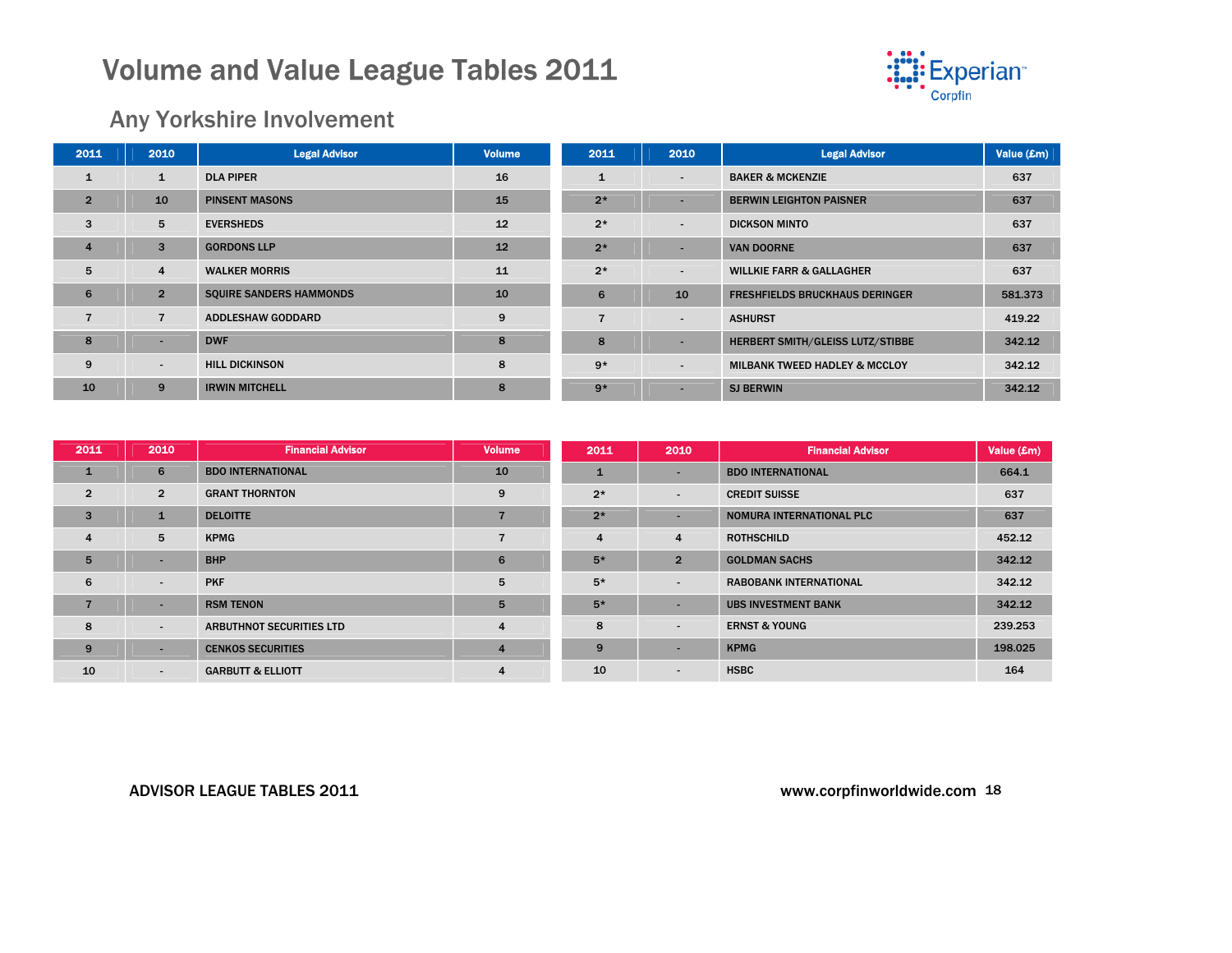

### Any Yorkshire Involvement

| 2011           | 2010                     | <b>Legal Advisor</b>           | <b>Volume</b> | 2011           | 2010                     | <b>Legal Advisor</b>                     | Value (£m) |
|----------------|--------------------------|--------------------------------|---------------|----------------|--------------------------|------------------------------------------|------------|
| 1              | $\mathbf{1}$             | <b>DLA PIPER</b>               | 16            |                | $\overline{\phantom{a}}$ | <b>BAKER &amp; MCKENZIE</b>              | 637        |
| $\overline{2}$ | 10                       | <b>PINSENT MASONS</b>          | 15            | $2*$           |                          | <b>BERWIN LEIGHTON PAISNER</b>           | 637        |
| 3              | 5                        | <b>EVERSHEDS</b>               | 12            | $2*$           | $\sim$                   | <b>DICKSON MINTO</b>                     | 637        |
| $\overline{4}$ | 3                        | <b>GORDONS LLP</b>             | 12            | $2*$           | -                        | <b>VAN DOORNE</b>                        | 637        |
| 5              | $\overline{4}$           | <b>WALKER MORRIS</b>           | 11            | $2*$           | $\overline{\phantom{a}}$ | <b>WILLKIE FARR &amp; GALLAGHER</b>      | 637        |
| 6              | $\overline{2}$           | <b>SQUIRE SANDERS HAMMONDS</b> | 10            | 6              | 10                       | <b>FRESHFIELDS BRUCKHAUS DERINGER</b>    | 581.373    |
|                | $\overline{7}$           | <b>ADDLESHAW GODDARD</b>       | 9             | $\overline{ }$ | $\overline{\phantom{a}}$ | <b>ASHURST</b>                           | 419.22     |
| 8              | $\overline{\phantom{a}}$ | <b>DWF</b>                     | 8             | 8              |                          | <b>HERBERT SMITH/GLEISS LUTZ/STIBBE</b>  | 342.12     |
| 9              | $\blacksquare$           | <b>HILL DICKINSON</b>          | 8             | $9*$           | $\overline{\phantom{a}}$ | <b>MILBANK TWEED HADLEY &amp; MCCLOY</b> | 342.12     |
| 10             | 9                        | <b>IRWIN MITCHELL</b>          | 8             | $9*$           |                          | <b>SJ BERWIN</b>                         | 342.12     |

| 2011           | 2010                     | <b>Financial Advisor</b>        | <b>Volume</b>  | 2011 | 2010           | <b>Financial Advisor</b>      | Value (£m) |
|----------------|--------------------------|---------------------------------|----------------|------|----------------|-------------------------------|------------|
| $\mathbf{1}$   | 6                        | <b>BDO INTERNATIONAL</b>        | 10             | 1    | -              | <b>BDO INTERNATIONAL</b>      | 664.1      |
| $\overline{2}$ | $\overline{2}$           | <b>GRANT THORNTON</b>           | 9              | $2*$ | $\blacksquare$ | <b>CREDIT SUISSE</b>          | 637        |
| $\overline{3}$ | $\mathbf{1}$             | <b>DELOITTE</b>                 |                | $2*$ | -              | NOMURA INTERNATIONAL PLC      | 637        |
| $\overline{4}$ | 5                        | <b>KPMG</b>                     |                | 4    | 4              | <b>ROTHSCHILD</b>             | 452.12     |
| 5              | ۰                        | <b>BHP</b>                      | 6              | $5*$ | $\overline{2}$ | <b>GOLDMAN SACHS</b>          | 342.12     |
| 6              | $\overline{\phantom{a}}$ | <b>PKF</b>                      | 5              | $5*$ | $\blacksquare$ | <b>RABOBANK INTERNATIONAL</b> | 342.12     |
|                |                          | <b>RSM TENON</b>                | 5              | $5*$ |                | <b>UBS INVESTMENT BANK</b>    | 342.12     |
| 8              | $\overline{\phantom{a}}$ | <b>ARBUTHNOT SECURITIES LTD</b> | $\overline{4}$ | 8    | $\blacksquare$ | <b>ERNST &amp; YOUNG</b>      | 239.253    |
| 9              | ٠                        | <b>CENKOS SECURITIES</b>        | $\overline{4}$ | 9    |                | <b>KPMG</b>                   | 198.025    |
| 10             | $\sim$                   | <b>GARBUTT &amp; ELLIOTT</b>    | $\overline{4}$ | 10   |                | <b>HSBC</b>                   | 164        |

#### ADVISOR LEAGUE TABLES 2011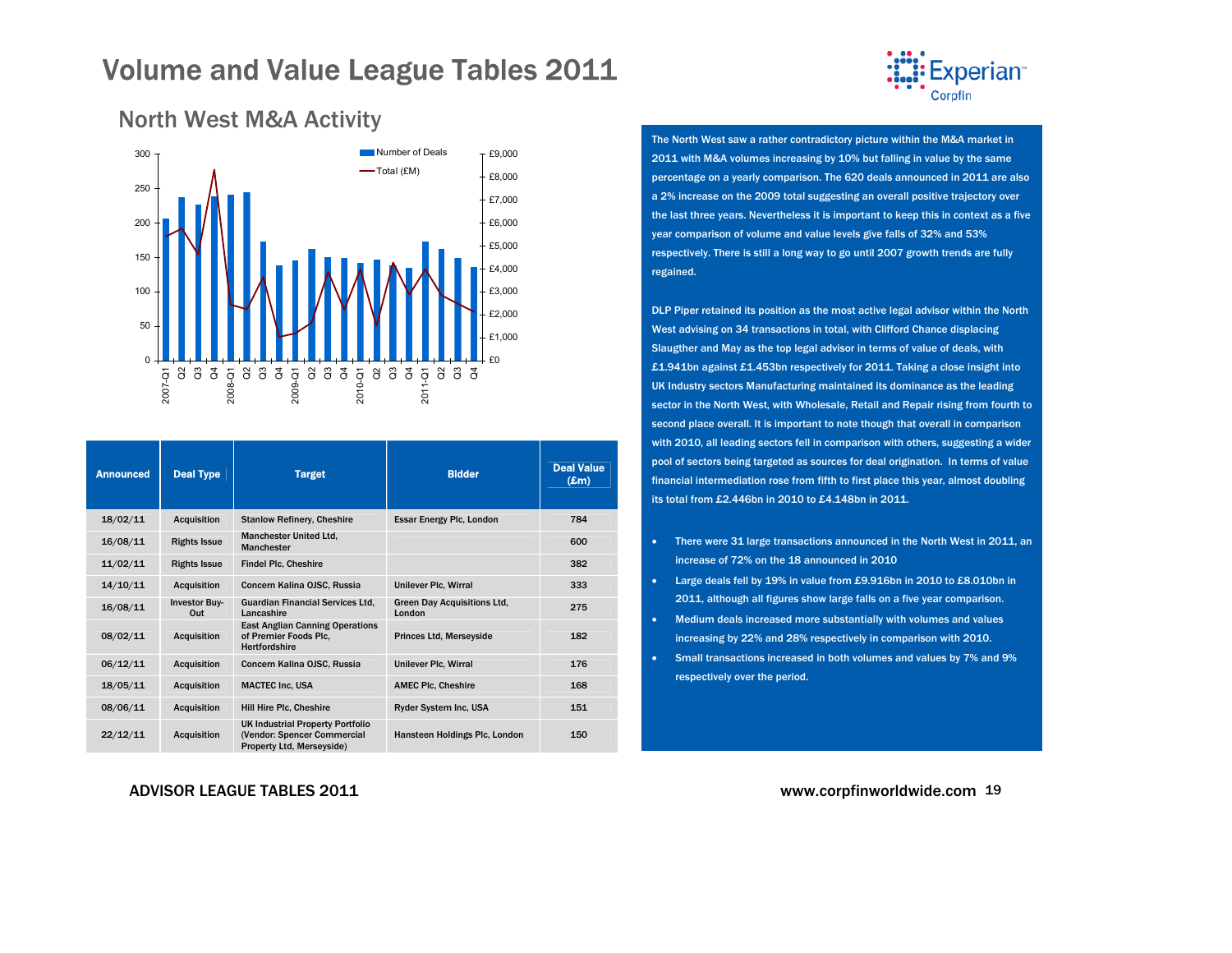

### <span id="page-18-0"></span>North West M&A Activity



| <b>Announced</b> | <b>Deal Type</b>            | <b>Target</b>                                                                                       | <b>Bidder</b>                                | <b>Deal Value</b><br>$(\pmb{\pounds} \mathbf{m})$ |
|------------------|-----------------------------|-----------------------------------------------------------------------------------------------------|----------------------------------------------|---------------------------------------------------|
| 18/02/11         | <b>Acquisition</b>          | <b>Stanlow Refinery, Cheshire</b>                                                                   | Essar Energy Plc, London                     | 784                                               |
| 16/08/11         | <b>Rights Issue</b>         | <b>Manchester United Ltd.</b><br><b>Manchester</b>                                                  |                                              | 600                                               |
| 11/02/11         | <b>Rights Issue</b>         | <b>Findel Plc, Cheshire</b>                                                                         |                                              | 382                                               |
| 14/10/11         | <b>Acquisition</b>          | Concern Kalina OJSC, Russia                                                                         | Unilever Plc, Wirral                         | 333                                               |
| 16/08/11         | <b>Investor Buv-</b><br>Out | <b>Guardian Financial Services Ltd.</b><br>Lancashire                                               | <b>Green Day Acquisitions Ltd.</b><br>London | 275                                               |
| 08/02/11         | <b>Acquisition</b>          | <b>East Anglian Canning Operations</b><br>of Premier Foods Plc.<br><b>Hertfordshire</b>             | <b>Princes Ltd, Merseyside</b>               | 182                                               |
| 06/12/11         | <b>Acquisition</b>          | Concern Kalina OJSC, Russia                                                                         | Unilever Plc, Wirral                         | 176                                               |
| 18/05/11         | <b>Acquisition</b>          | <b>MACTEC Inc. USA</b>                                                                              | <b>AMEC PIc, Cheshire</b>                    | 168                                               |
| 08/06/11         | <b>Acquisition</b>          | Hill Hire Plc, Cheshire                                                                             | Ryder System Inc, USA                        | 151                                               |
| 22/12/11         | <b>Acquisition</b>          | <b>UK Industrial Property Portfolio</b><br>(Vendor: Spencer Commercial<br>Property Ltd, Merseyside) | Hansteen Holdings Plc, London                | 150                                               |

#### ADVISOR LEAGUE TABLES 2011

The North West saw a rather contradictory picture within the M&A market in 2011 with M&A volumes increasing by 10% but falling in value by the same percentage on a yearly comparison. The 620 deals announced in 2011 are also a 2% increase on the 2009 total suggesting an overall positive trajectory over the last three years. Nevertheless it is important to keep this in context as a five year comparison of volume and value levels give falls of 32% and 53% respectively. There is still a long way to go until 2007 growth trends are fully regained.

DLP Piper retained its position as the most active legal advisor within the North West advising on 34 transactions in total, with Clifford Chance displacing Slaugther and May as the top legal advisor in terms of value of deals, with £1.941bn against £1.453bn respectively for 2011. Taking a close insight into UK Industry sectors Manufacturing maintained its dominance as the leading sector in the North West, with Wholesale, Retail and Repair rising from fourth to second place overall. It is important to note though that overall in comparison with 2010, all leading sectors fell in comparison with others, suggesting a wider pool of sectors being targeted as sources for deal origination. In terms of value financial intermediation rose from fifth to first place this year, almost doubling its total from £2.446bn in 2010 to £4.148bn in 2011.

- There were 31 large transactions announced in the North West in 2011, an increase of 72% on the 18 announced in 2010
- Large deals fell by 19% in value from £9.916bn in 2010 to £8.010bn in 2011, although all figures show large falls on a five year comparison.
- Medium deals increased more substantially with volumes and values increasing by 22% and 28% respectively in comparison with 2010.
- Small transactions increased in both volumes and values by 7% and 9% respectively over the period.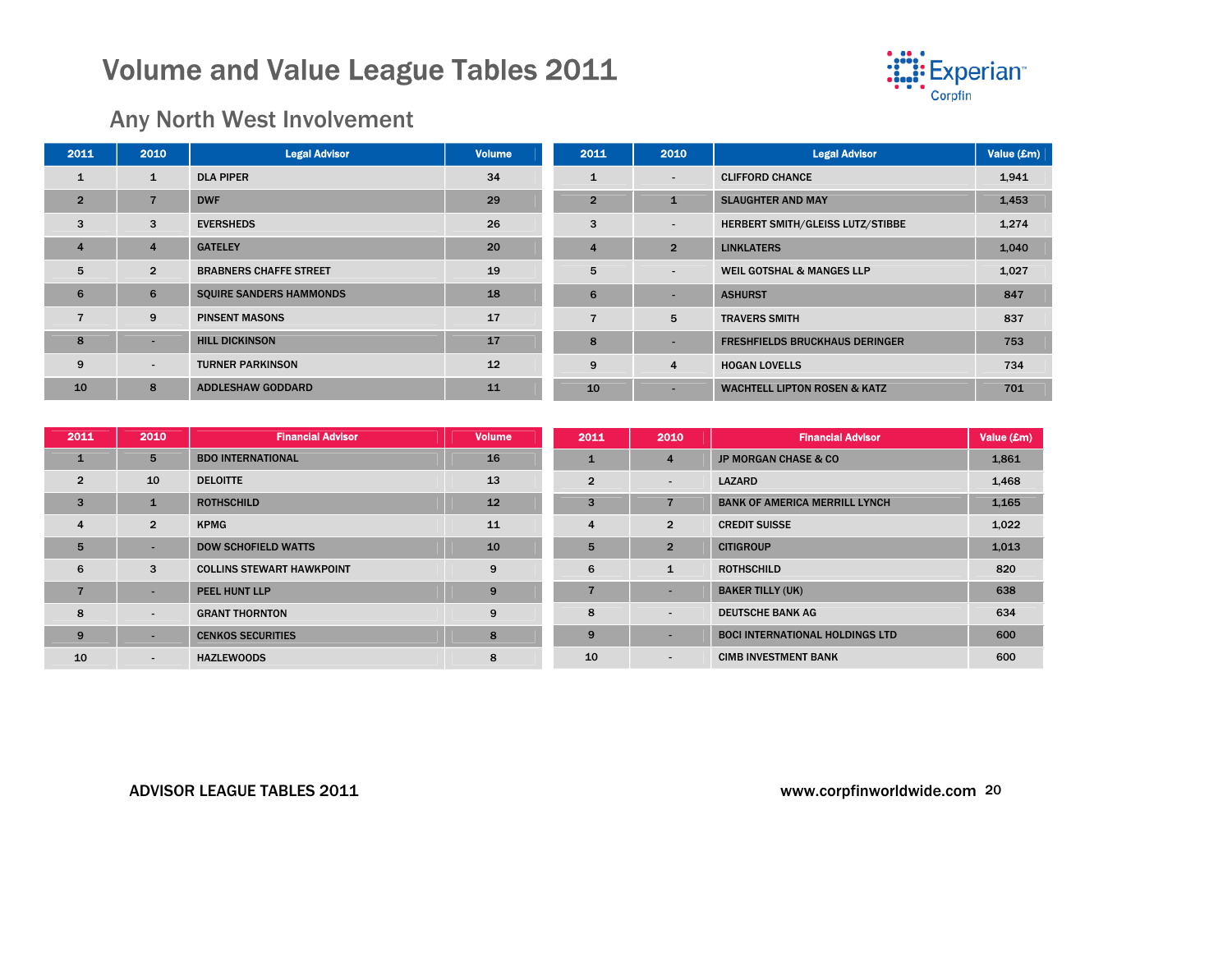

### Any North West Involvement

| 2011           | 2010           | <b>Legal Advisor</b>           | <b>Volume</b> | 2011           | 2010                     | <b>Legal Advisor</b>                    | Value (£m) |
|----------------|----------------|--------------------------------|---------------|----------------|--------------------------|-----------------------------------------|------------|
| $\mathbf{1}$   | $\mathbf{1}$   | <b>DLA PIPER</b>               | 34            | 1              | $\overline{\phantom{a}}$ | <b>CLIFFORD CHANCE</b>                  | 1,941      |
| $\overline{2}$ | $\overline{7}$ | <b>DWF</b>                     | 29            | $\overline{2}$ | 1                        | <b>SLAUGHTER AND MAY</b>                | 1,453      |
| 3              | 3              | <b>EVERSHEDS</b>               | 26            | 3              | $\overline{\phantom{a}}$ | HERBERT SMITH/GLEISS LUTZ/STIBBE        | 1,274      |
| $\overline{4}$ | $\overline{4}$ | <b>GATELEY</b>                 | 20            | $\overline{4}$ | $\overline{2}$           | <b>LINKLATERS</b>                       | 1,040      |
| 5              | $\overline{2}$ | <b>BRABNERS CHAFFE STREET</b>  | 19            | 5              | ۰.                       | <b>WEIL GOTSHAL &amp; MANGES LLP</b>    | 1,027      |
| 6              | 6              | <b>SQUIRE SANDERS HAMMONDS</b> | 18            | 6              | -                        | <b>ASHURST</b>                          | 847        |
| $\overline{7}$ | 9              | <b>PINSENT MASONS</b>          | 17            |                | 5                        | <b>TRAVERS SMITH</b>                    | 837        |
| 8              | ۰              | <b>HILL DICKINSON</b>          | <b>17</b>     | 8              | -                        | <b>FRESHFIELDS BRUCKHAUS DERINGER</b>   | 753        |
| 9              | $\blacksquare$ | <b>TURNER PARKINSON</b>        | 12            | 9              | $\overline{4}$           | <b>HOGAN LOVELLS</b>                    | 734        |
| 10             | 8              | <b>ADDLESHAW GODDARD</b>       | 11            | 10             |                          | <b>WACHTELL LIPTON ROSEN &amp; KATZ</b> | 701        |

| 2011           | 2010                     | <b>Financial Advisor</b>         | <b>Volume</b> | 2011           | 2010                     | <b>Financial Advisor</b>               | Value (£m) |
|----------------|--------------------------|----------------------------------|---------------|----------------|--------------------------|----------------------------------------|------------|
| $\mathbf{1}$   | 5                        | <b>BDO INTERNATIONAL</b>         | 16            |                | $\overline{4}$           | <b>JP MORGAN CHASE &amp; CO</b>        | 1,861      |
| $\overline{2}$ | 10                       | <b>DELOITTE</b>                  | 13            | $\overline{2}$ | $\overline{\phantom{a}}$ | <b>LAZARD</b>                          | 1,468      |
| 3              |                          | <b>ROTHSCHILD</b>                | 12            | 3              |                          | <b>BANK OF AMERICA MERRILL LYNCH</b>   | 1,165      |
| $\overline{4}$ | $\overline{2}$           | <b>KPMG</b>                      | 11            | 4              | $\overline{2}$           | <b>CREDIT SUISSE</b>                   | 1,022      |
| 5              |                          | <b>DOW SCHOFIELD WATTS</b>       | 10            | 5              | $\overline{2}$           | <b>CITIGROUP</b>                       | 1,013      |
| 6              | 3                        | <b>COLLINS STEWART HAWKPOINT</b> | 9             | 6              | $\mathbf{1}$             | <b>ROTHSCHILD</b>                      | 820        |
| 7              | $\overline{\phantom{a}}$ | <b>PEEL HUNT LLP</b>             | 9             |                | $\overline{\phantom{a}}$ | <b>BAKER TILLY (UK)</b>                | 638        |
| 8              | $\sim$                   | <b>GRANT THORNTON</b>            | 9             | 8              | $\overline{\phantom{a}}$ | <b>DEUTSCHE BANK AG</b>                | 634        |
| 9              | $\overline{\phantom{a}}$ | <b>CENKOS SECURITIES</b>         | 8             | 9              |                          | <b>BOCI INTERNATIONAL HOLDINGS LTD</b> | 600        |
| 10             | $\sim$                   | <b>HAZLEWOODS</b>                | 8             | 10             | $\overline{\phantom{a}}$ | <b>CIMB INVESTMENT BANK</b>            | 600        |

#### ADVISOR LEAGUE TABLES 2011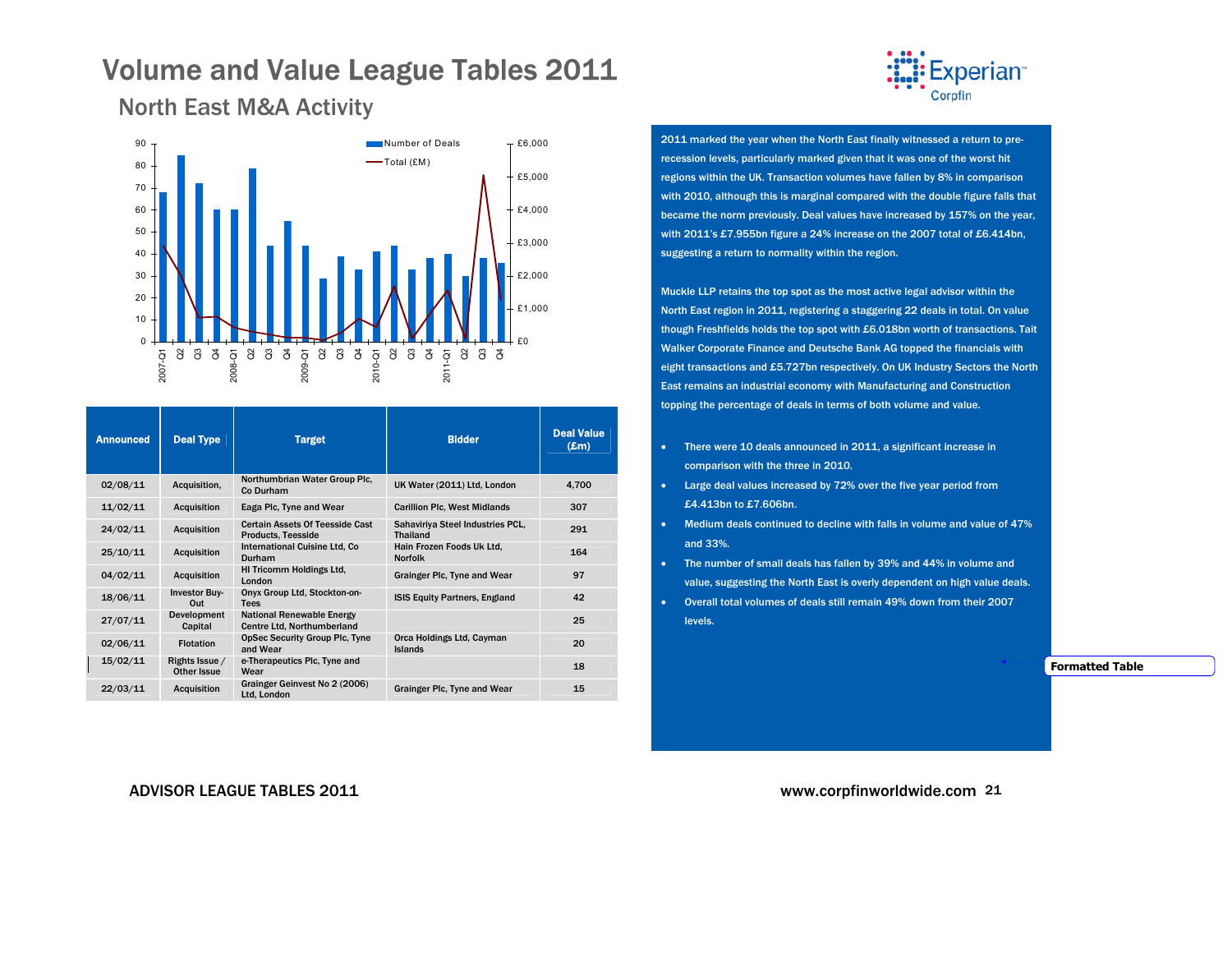

<span id="page-20-0"></span>North East M&A Activity

| <b>Announced</b> | <b>Deal Type</b>              | <b>Target</b>                                                       | <b>Bidder</b>                                       | <b>Deal Value</b><br>$(\mathbf{Em})$ |
|------------------|-------------------------------|---------------------------------------------------------------------|-----------------------------------------------------|--------------------------------------|
| 02/08/11         | Acquisition,                  | Northumbrian Water Group Plc.<br>Co Durham                          | UK Water (2011) Ltd, London                         | 4.700                                |
| 11/02/11         | <b>Acquisition</b>            | Eaga Plc, Tyne and Wear                                             | <b>Carillion Plc, West Midlands</b>                 | 307                                  |
| 24/02/11         | <b>Acquisition</b>            | <b>Certain Assets Of Teesside Cast</b><br><b>Products, Teesside</b> | Sahaviriya Steel Industries PCL,<br><b>Thailand</b> | 291                                  |
| 25/10/11         | <b>Acquisition</b>            | <b>International Cuisine Ltd, Co</b><br>Durham                      | Hain Frozen Foods Uk Ltd.<br><b>Norfolk</b>         | 164                                  |
| 04/02/11         | <b>Acquisition</b>            | HI Tricomm Holdings Ltd.<br>London                                  | Grainger Plc, Tyne and Wear                         | 97                                   |
| 18/06/11         | <b>Investor Buy-</b><br>Out   | Onyx Group Ltd, Stockton-on-<br><b>Tees</b>                         | <b>ISIS Equity Partners, England</b>                | 42                                   |
| 27/07/11         | Development<br>Capital        | National Renewable Energy<br>Centre Ltd, Northumberland             |                                                     | 25                                   |
| 02/06/11         | <b>Flotation</b>              | <b>OpSec Security Group Plc, Tyne</b><br>and Wear                   | Orca Holdings Ltd, Cayman<br><b>Islands</b>         | 20                                   |
| 15/02/11         | Rights Issue /<br>Other Issue | e-Therapeutics Plc. Tyne and<br>Wear                                |                                                     | 18                                   |
| 22/03/11         | <b>Acquisition</b>            | Grainger Geinvest No 2 (2006)<br>Ltd. London                        | Grainger Plc, Tyne and Wear                         | 15                                   |



2011 marked the year when the North East finally witnessed a return to prerecession levels, particularly marked given that it was one of the worst hit regions within the UK. Transaction volumes have fallen by 8% in comparison with 2010, although this is marginal compared with the double figure falls that became the norm previously. Deal values have increased by 157% on the year, with 2011's £7.955bn figure a 24% increase on the 2007 total of £6.414bn, suggesting a return to normality within the region.

Muckle LLP retains the top spot as the most active legal advisor within the North East region in 2011, registering a staggering 22 deals in total. On value though Freshfields holds the top spot with £6.018bn worth of transactions. Tait Walker Corporate Finance and Deutsche Bank AG topped the financials with eight transactions and £5.727bn respectively. On UK Industry Sectors the North East remains an industrial economy with Manufacturing and Construction topping the percentage of deals in terms of both volume and value.

- There were 10 deals announced in 2011, a significant increase in comparison with the three in 2010.
- Large deal values increased by 72% over the five year period from £4.413bn to £7.606bn.
- Medium deals continued to decline with falls in volume and value of 47% and 33%.
- The number of small deals has fallen by 39% and 44% in volume and value, suggesting the North East is overly dependent on high value deals.
- Overall total volumes of deals still remain 49% down from their 2007 levels.

**Formatted Table**

#### ADVISOR LEAGUE TABLES 2011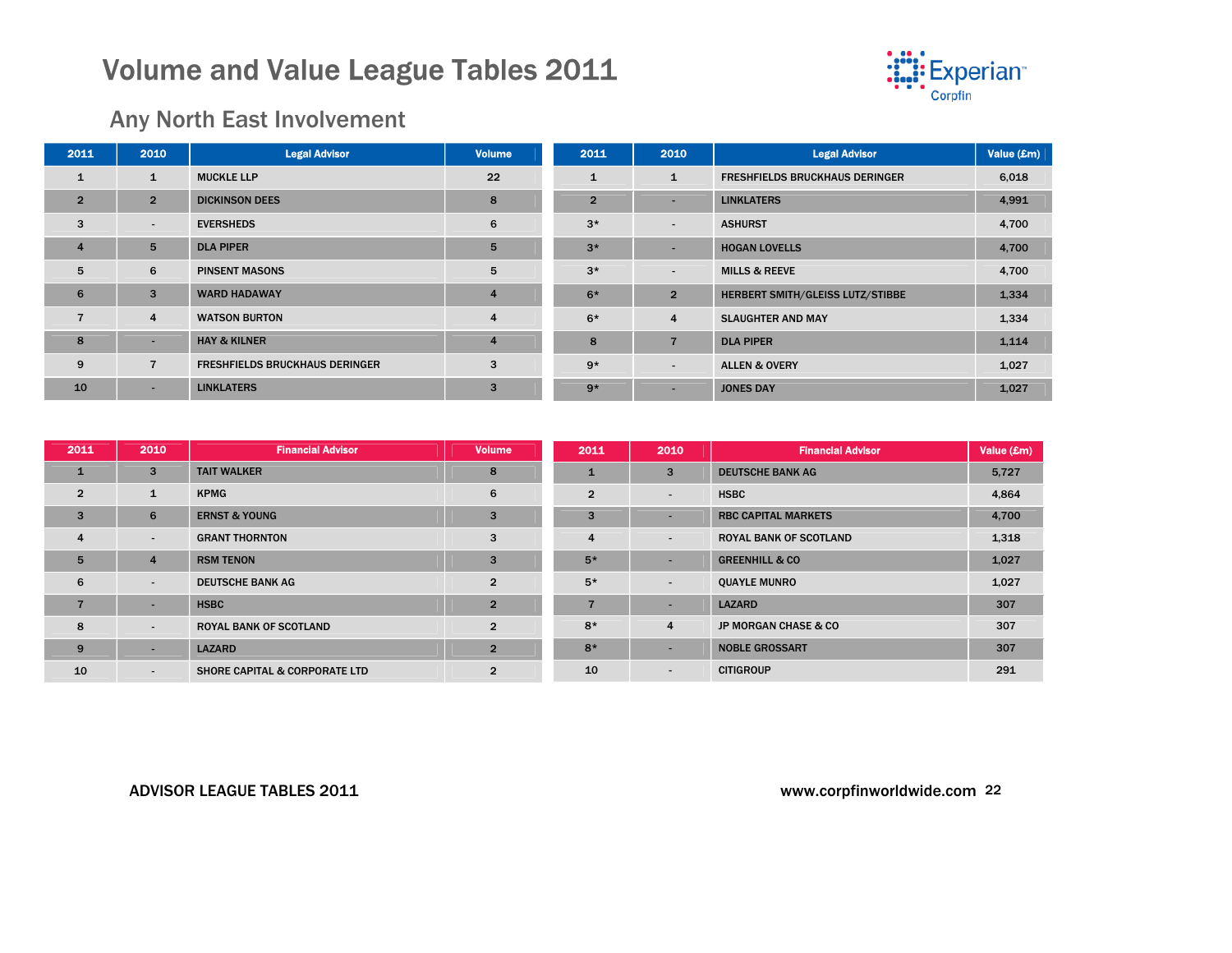

## Any North East Involvement

| 2011           | 2010                     | <b>Legal Advisor</b>                  | <b>Volume</b>  | 2011           | 2010                     | <b>Legal Advisor</b>                  | Value (£m) |
|----------------|--------------------------|---------------------------------------|----------------|----------------|--------------------------|---------------------------------------|------------|
| $\mathbf{1}$   | $\mathbf{1}$             | <b>MUCKLE LLP</b>                     | 22             | $\mathbf{1}$   | $\mathbf{1}$             | <b>FRESHFIELDS BRUCKHAUS DERINGER</b> | 6,018      |
| $\overline{2}$ | $\overline{2}$           | <b>DICKINSON DEES</b>                 | 8              | $\overline{2}$ |                          | <b>LINKLATERS</b>                     | 4,991      |
| 3              | $\overline{\phantom{a}}$ | <b>EVERSHEDS</b>                      | 6              | $3*$           | $\overline{\phantom{a}}$ | <b>ASHURST</b>                        | 4,700      |
| $\overline{4}$ | 5                        | <b>DLA PIPER</b>                      | 5              | $3*$           | -                        | <b>HOGAN LOVELLS</b>                  | 4,700      |
| 5              | 6                        | <b>PINSENT MASONS</b>                 | 5              | $3*$           | $\sim$                   | <b>MILLS &amp; REEVE</b>              | 4,700      |
| 6              | 3                        | <b>WARD HADAWAY</b>                   | $\overline{4}$ | $6*$           | $\overline{2}$           | HERBERT SMITH/GLEISS LUTZ/STIBBE      | 1,334      |
| 7              | $\overline{4}$           | <b>WATSON BURTON</b>                  | $\overline{4}$ | $6*$           | $\overline{4}$           | <b>SLAUGHTER AND MAY</b>              | 1,334      |
| 8              |                          | <b>HAY &amp; KILNER</b>               | $\overline{4}$ | 8              |                          | <b>DLA PIPER</b>                      | 1,114      |
| 9              | $\overline{7}$           | <b>FRESHFIELDS BRUCKHAUS DERINGER</b> | 3              | $9*$           | $\overline{\phantom{a}}$ | <b>ALLEN &amp; OVERY</b>              | 1,027      |
| 10             |                          | <b>LINKLATERS</b>                     | 3              | $9*$           |                          | <b>JONES DAY</b>                      | 1,027      |

| 2011           | 2010                     | <b>Financial Advisor</b>                 | <b>Volume</b>  | 2011           | 2010                     | <b>Financial Advisor</b>      | Value (£m) |
|----------------|--------------------------|------------------------------------------|----------------|----------------|--------------------------|-------------------------------|------------|
| $\mathbf{1}$   | 3                        | <b>TAIT WALKER</b>                       | 8              | з.             | 3                        | <b>DEUTSCHE BANK AG</b>       | 5,727      |
| $\overline{2}$ |                          | <b>KPMG</b>                              | 6              | $\overline{2}$ | $\overline{\phantom{a}}$ | <b>HSBC</b>                   | 4,864      |
| 3              | 6                        | <b>ERNST &amp; YOUNG</b>                 | 3              | 3              |                          | <b>RBC CAPITAL MARKETS</b>    | 4,700      |
| $\overline{4}$ | $\blacksquare$           | <b>GRANT THORNTON</b>                    | 3              | 4              | $\blacksquare$           | <b>ROYAL BANK OF SCOTLAND</b> | 1,318      |
| 5              | 4                        | <b>RSM TENON</b>                         | 3              | $5*$           |                          | <b>GREENHILL &amp; CO</b>     | 1,027      |
| 6              | $\blacksquare$           | <b>DEUTSCHE BANK AG</b>                  | $\overline{2}$ | $5*$           | $\overline{\phantom{a}}$ | <b>QUAYLE MUNRO</b>           | 1,027      |
| $\overline{7}$ | $\overline{\phantom{a}}$ | <b>HSBC</b>                              | $\overline{2}$ |                | $\overline{\phantom{a}}$ | <b>LAZARD</b>                 | 307        |
| 8              | $\blacksquare$           | <b>ROYAL BANK OF SCOTLAND</b>            | $\mathfrak{p}$ | $8*$           | $\overline{4}$           | JP MORGAN CHASE & CO          | 307        |
| 9              | $\overline{\phantom{a}}$ | <b>LAZARD</b>                            | $\overline{2}$ | $8*$           |                          | <b>NOBLE GROSSART</b>         | 307        |
| 10             | $\blacksquare$           | <b>SHORE CAPITAL &amp; CORPORATE LTD</b> | $\overline{2}$ | 10             |                          | <b>CITIGROUP</b>              | 291        |

#### ADVISOR LEAGUE TABLES 2011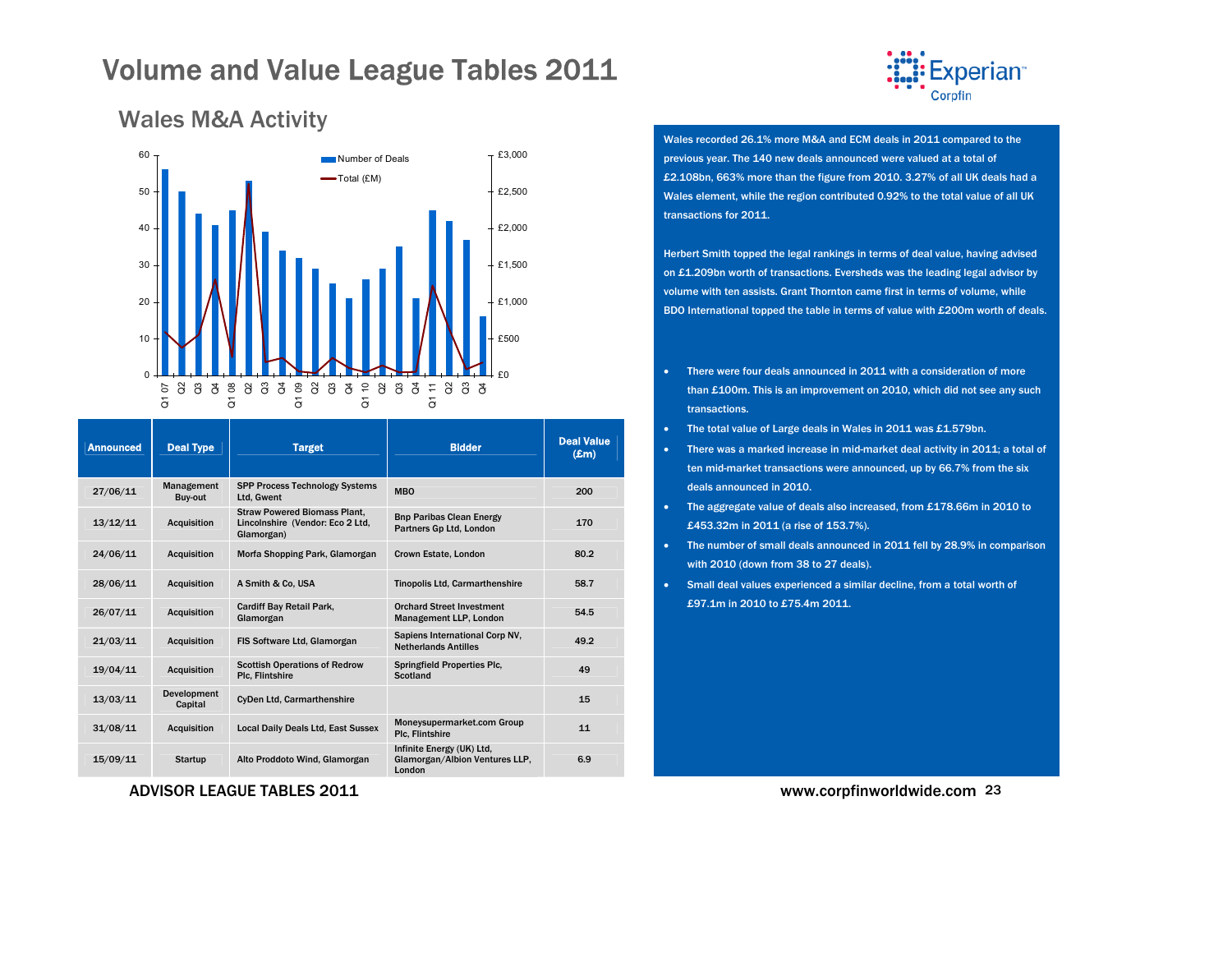

| <b>Announced</b> | <b>Deal Type</b>       | <b>Target</b>                                                                         | <b>Bidder</b>                                                         | <b>Deal Value</b><br>$(\mathbf{Em})$ |
|------------------|------------------------|---------------------------------------------------------------------------------------|-----------------------------------------------------------------------|--------------------------------------|
| 27/06/11         | Management<br>Buy-out  | <b>SPP Process Technology Systems</b><br>Ltd, Gwent                                   | <b>MBO</b>                                                            | 200                                  |
| 13/12/11         | <b>Acquisition</b>     | <b>Straw Powered Biomass Plant,</b><br>Lincolnshire (Vendor: Eco 2 Ltd,<br>Glamorgan) | <b>Bnp Paribas Clean Energy</b><br>Partners Gp Ltd, London            | 170                                  |
| 24/06/11         | <b>Acquisition</b>     | Morfa Shopping Park, Glamorgan                                                        | Crown Estate, London                                                  | 80.2                                 |
| 28/06/11         | <b>Acquisition</b>     | A Smith & Co. USA                                                                     | <b>Tinopolis Ltd, Carmarthenshire</b>                                 | 58.7                                 |
| 26/07/11         | <b>Acquisition</b>     | Cardiff Bay Retail Park,<br>Glamorgan                                                 | <b>Orchard Street Investment</b><br>Management LLP, London            | 54.5                                 |
| 21/03/11         | <b>Acquisition</b>     | FIS Software Ltd, Glamorgan                                                           | Sapiens International Corp NV,<br><b>Netherlands Antilles</b>         | 49.2                                 |
| 19/04/11         | <b>Acquisition</b>     | <b>Scottish Operations of Redrow</b><br>Plc, Flintshire                               | <b>Springfield Properties Plc.</b><br>Scotland                        | 49                                   |
| 13/03/11         | Development<br>Capital | <b>CyDen Ltd. Carmarthenshire</b>                                                     |                                                                       | 15                                   |
| 31/08/11         | <b>Acquisition</b>     | Local Daily Deals Ltd, East Sussex                                                    | Moneysupermarket.com Group<br>Plc, Flintshire                         | 11                                   |
| 15/09/11         | <b>Startup</b>         | Alto Proddoto Wind, Glamorgan                                                         | Infinite Energy (UK) Ltd.<br>Glamorgan/Albion Ventures LLP.<br>London | 6.9                                  |

### <span id="page-22-0"></span>Wales M&A Activity

10

20

30

40

50

60



Wales recorded 26.1% more M&A and ECM deals in 2011 compared to the previous year. The 140 new deals announced were valued at a total of £2.108bn, 663% more than the figure from 2010. 3.27% of all UK deals had a Wales element, while the region contributed 0.92% to the total value of all UK transactions for 2011.

Herbert Smith topped the legal rankings in terms of deal value, having advised on £1.209bn worth of transactions. Eversheds was the leading legal advisor by volume with ten assists. Grant Thornton came first in terms of volume, while BDO International topped the table in terms of value with £200m worth of deals.

- There were four deals announced in 2011 with a consideration of more than £100m. This is an improvement on 2010, which did not see any such transactions.
- •The total value of Large deals in Wales in 2011 was £1.579bn.
- There was a marked increase in mid-market deal activity in 2011; a total of ten mid-market transactions were announced, up by 66.7% from the six deals announced in 2010.
- The aggregate value of deals also increased, from £178.66m in 2010 to £453.32m in 2011 (a rise of 153.7%).
- The number of small deals announced in 2011 fell by 28.9% in comparison with 2010 (down from 38 to 27 deals).
- Small deal values experienced a similar decline, from a total worth of £97.1m in 2010 to £75.4m 2011.

www.corpfinworldwide.com <sup>23</sup>

ADVISOR LEAGUE TABLES 2011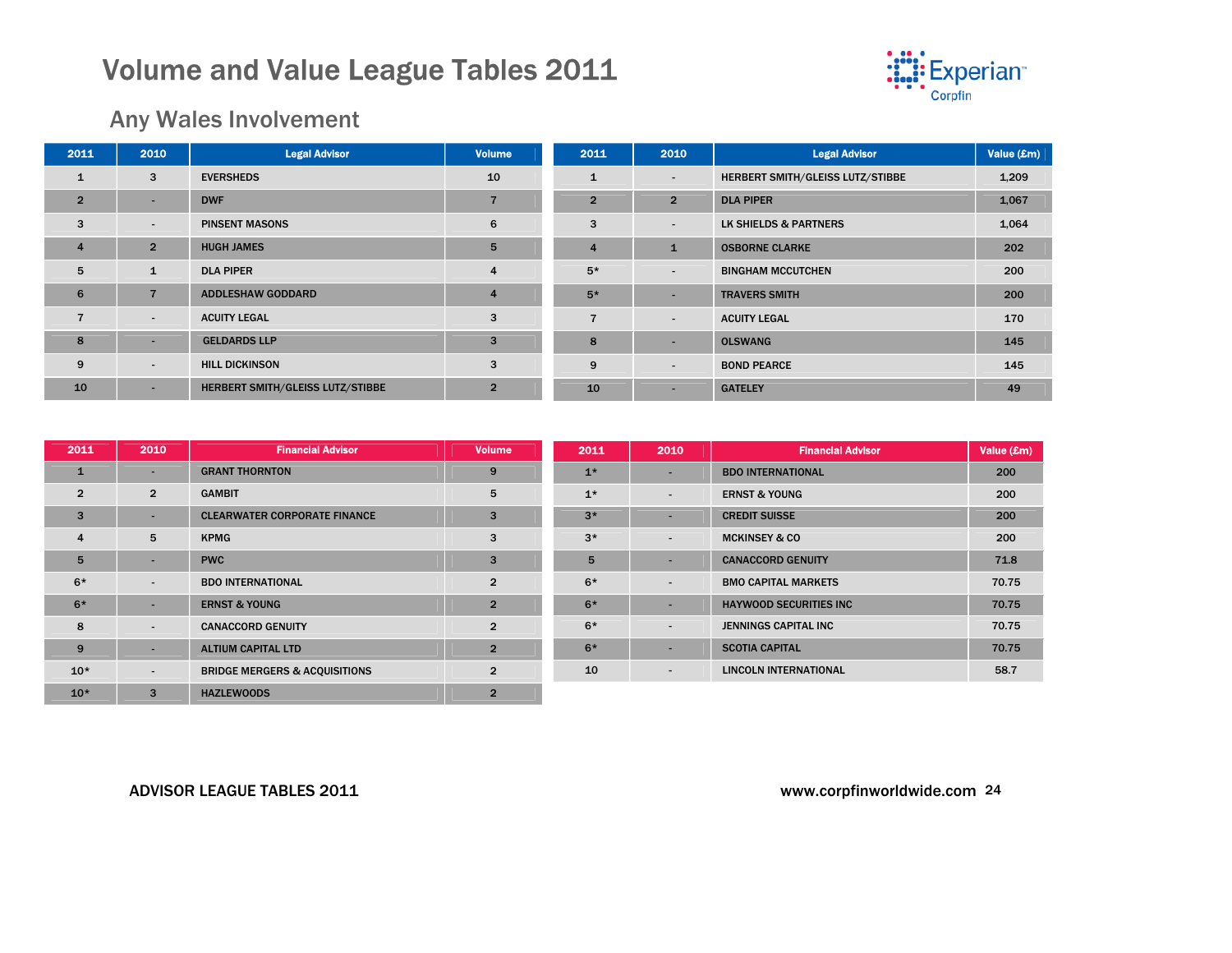

Value (£m)

### Any Wales Involvement

| 2011           | 2010                     | <b>Legal Advisor</b>             | <b>Volume</b>  | 2011           | 2010                     | <b>Legal Advisor</b>             | Value (£m) |
|----------------|--------------------------|----------------------------------|----------------|----------------|--------------------------|----------------------------------|------------|
| $\mathbf{1}$   | 3                        | <b>EVERSHEDS</b>                 | 10             | $\mathbf{1}$   | $\sim$                   | HERBERT SMITH/GLEISS LUTZ/STIBBE | 1,209      |
| $\overline{2}$ | ۰                        | <b>DWF</b>                       | $\overline{7}$ | $\overline{2}$ | $\overline{2}$           | <b>DLA PIPER</b>                 | 1,067      |
| 3              | $\overline{\phantom{a}}$ | <b>PINSENT MASONS</b>            | 6              | 3              | $\sim$                   | LK SHIELDS & PARTNERS            | 1,064      |
| $\overline{4}$ | $\overline{2}$           | <b>HUGH JAMES</b>                | 5              | $\overline{4}$ | ч.                       | <b>OSBORNE CLARKE</b>            | 202        |
| 5              | $\mathbf{1}$             | <b>DLA PIPER</b>                 | 4              | $5*$           | $\sim$                   | <b>BINGHAM MCCUTCHEN</b>         | 200        |
| 6              | $\overline{7}$           | <b>ADDLESHAW GODDARD</b>         | 4              | $5*$           |                          | <b>TRAVERS SMITH</b>             | 200        |
| $\overline{7}$ | $\overline{\phantom{0}}$ | <b>ACUITY LEGAL</b>              | 3              | $\overline{ }$ | $\overline{\phantom{a}}$ | <b>ACUITY LEGAL</b>              | 170        |
| 8              | ٠                        | <b>GELDARDS LLP</b>              | 3              | 8              | $\overline{\phantom{a}}$ | <b>OLSWANG</b>                   | 145        |
| 9              | $\overline{\phantom{a}}$ | <b>HILL DICKINSON</b>            | 3              | 9              | $\sim$                   | <b>BOND PEARCE</b>               | 145        |
| 10             | -                        | HERBERT SMITH/GLEISS LUTZ/STIBBE | $\overline{2}$ | 10             |                          | <b>GATELEY</b>                   | 49         |

| 2011           | 2010                     | <b>Financial Advisor</b>                 | <b>Volume</b>  | 2011 | 2010                     | <b>Financial Advisor</b>      | Value (£r |
|----------------|--------------------------|------------------------------------------|----------------|------|--------------------------|-------------------------------|-----------|
| $\mathbf{1}$   | $\overline{\phantom{0}}$ | <b>GRANT THORNTON</b>                    | 9              | $1*$ | $\overline{\phantom{a}}$ | <b>BDO INTERNATIONAL</b>      | 200       |
| $\overline{2}$ | $\overline{2}$           | <b>GAMBIT</b>                            | 5              | $1*$ | $\overline{\phantom{a}}$ | <b>ERNST &amp; YOUNG</b>      | 200       |
| 3              | ۰                        | <b>CLEARWATER CORPORATE FINANCE</b>      | 3              | $3*$ | $\overline{\phantom{a}}$ | <b>CREDIT SUISSE</b>          | 200       |
| $\overline{4}$ | 5                        | <b>KPMG</b>                              | 3              | $3*$ | $\overline{\phantom{a}}$ | <b>MCKINSEY &amp; CO</b>      | 200       |
| 5              | $\sim$                   | <b>PWC</b>                               | 3              | 5    |                          | <b>CANACCORD GENUITY</b>      | 71.8      |
| $6*$           | $\sim$                   | <b>BDO INTERNATIONAL</b>                 | $\overline{2}$ | $6*$ | $\overline{\phantom{a}}$ | <b>BMO CAPITAL MARKETS</b>    | 70.75     |
| $6*$           | $\overline{\phantom{a}}$ | <b>ERNST &amp; YOUNG</b>                 | $\overline{2}$ | $6*$ | $\overline{\phantom{a}}$ | <b>HAYWOOD SECURITIES INC</b> | 70.75     |
| 8              | $\sim$                   | <b>CANACCORD GENUITY</b>                 | $\overline{2}$ | $6*$ | $\blacksquare$           | JENNINGS CAPITAL INC          | 70.75     |
| 9              | ۰                        | <b>ALTIUM CAPITAL LTD</b>                | $\overline{2}$ | $6*$ | $\overline{\phantom{a}}$ | <b>SCOTIA CAPITAL</b>         | 70.75     |
| $10*$          | $\sim$                   | <b>BRIDGE MERGERS &amp; ACQUISITIONS</b> | $\overline{2}$ | 10   | $\overline{\phantom{a}}$ | <b>LINCOLN INTERNATIONAL</b>  | 58.7      |
| $10*$          | $\mathbf{3}$             | <b>HAZLEWOODS</b>                        | $\overline{2}$ |      |                          |                               |           |

#### ADVISOR LEAGUE TABLES 2011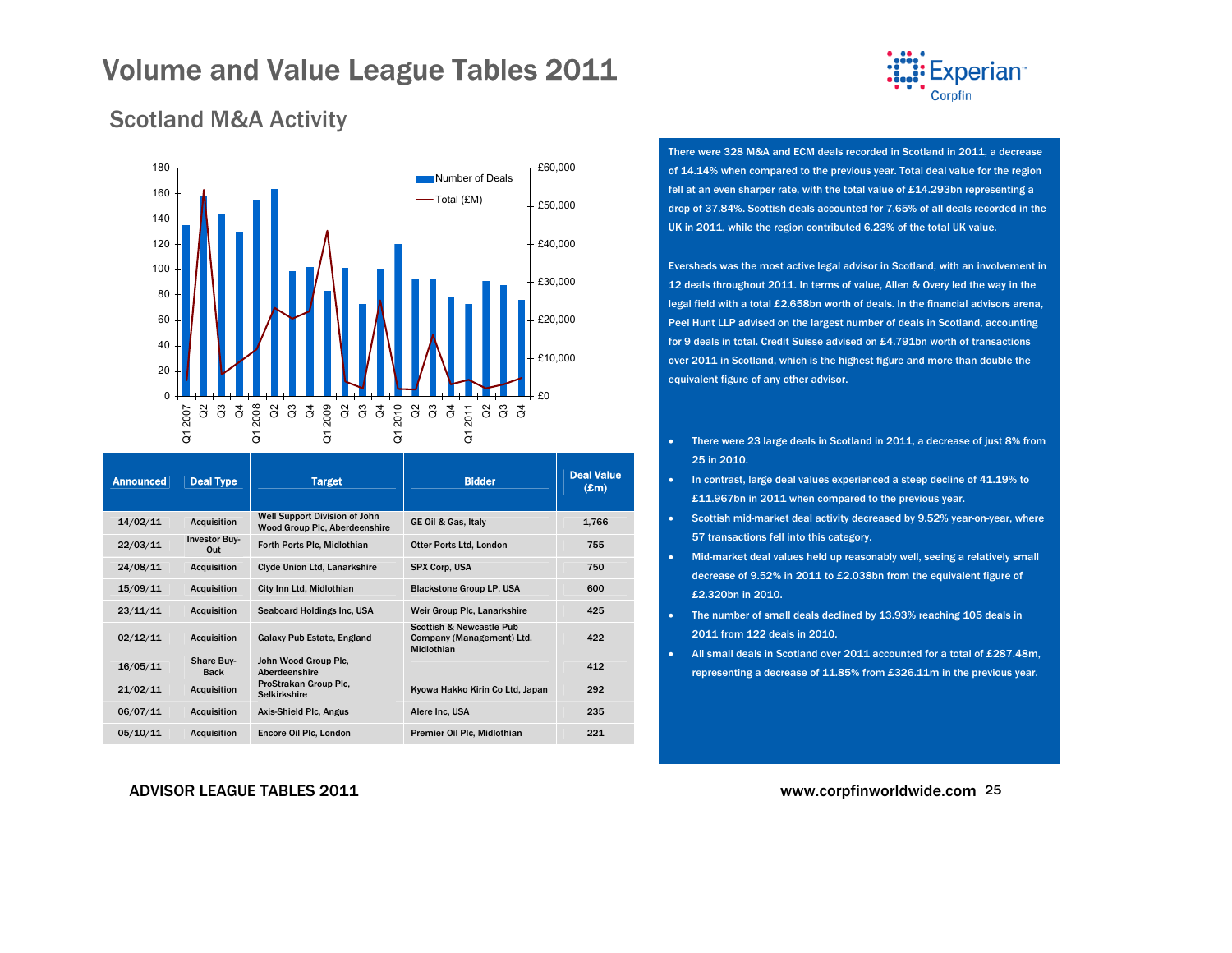

### <span id="page-24-0"></span>Scotland M&A Activity



| <b>Announced</b> | <b>Deal Type</b>            | <b>Target</b>                                                         | <b>Bidder</b>                                                                  | <b>Deal Value</b><br>$(\mathbf{E}$ m $)$ |
|------------------|-----------------------------|-----------------------------------------------------------------------|--------------------------------------------------------------------------------|------------------------------------------|
| 14/02/11         | Acquisition                 | Well Support Division of John<br><b>Wood Group Plc, Aberdeenshire</b> | GE Oil & Gas, Italy                                                            | 1.766                                    |
| 22/03/11         | <b>Investor Buy-</b><br>Out | Forth Ports Plc, Midlothian                                           | Otter Ports Ltd, London                                                        | 755                                      |
| 24/08/11         | Acquisition                 | Clyde Union Ltd, Lanarkshire                                          | SPX Corp. USA                                                                  | 750                                      |
| 15/09/11         | <b>Acquisition</b>          | City Inn Ltd, Midlothian                                              | <b>Blackstone Group LP, USA</b>                                                | 600                                      |
| 23/11/11         | <b>Acquisition</b>          | Seaboard Holdings Inc. USA                                            | Weir Group Plc, Lanarkshire                                                    | 425                                      |
| 02/12/11         | <b>Acquisition</b>          | Galaxy Pub Estate, England                                            | <b>Scottish &amp; Newcastle Pub</b><br>Company (Management) Ltd.<br>Midlothian | 422                                      |
| 16/05/11         | Share Buy-<br><b>Back</b>   | John Wood Group Plc.<br>Aberdeenshire                                 |                                                                                | 412                                      |
| 21/02/11         | Acquisition                 | ProStrakan Group Plc.<br><b>Selkirkshire</b>                          | Kyowa Hakko Kirin Co Ltd, Japan                                                | 292                                      |
| 06/07/11         | Acquisition                 | Axis-Shield Plc, Angus                                                | Alere Inc. USA                                                                 | 235                                      |
| 05/10/11         | <b>Acquisition</b>          | Encore Oil Plc, London                                                | Premier Oil Plc, Midlothian                                                    | 221                                      |

There were 328 M&A and ECM deals recorded in Scotland in 2011, a decrease of 14.14% when compared to the previous year. Total deal value for the region fell at an even sharper rate, with the total value of £14.293bn representing a drop of 37.84%. Scottish deals accounted for 7.65% of all deals recorded in the UK in 2011, while the region contributed 6.23% of the total UK value.

Eversheds was the most active legal advisor in Scotland, with an involvement in 12 deals throughout 2011. In terms of value, Allen & Overy led the way in the legal field with a total £2.658bn worth of deals. In the financial advisors arena, Peel Hunt LLP advised on the largest number of deals in Scotland, accounting for 9 deals in total. Credit Suisse advised on £4.791bn worth of transactions over 2011 in Scotland, which is the highest figure and more than double the equivalent figure of any other advisor.

- There were 23 large deals in Scotland in 2011, a decrease of just 8% from 25 in 2010.
- • In contrast, large deal values experienced a steep decline of 41.19% to £11.967bn in 2011 when compared to the previous year.
- Scottish mid-market deal activity decreased by 9.52% year-on-year, where 57 transactions fell into this category.
- Mid-market deal values held up reasonably well, seeing a relatively small decrease of 9.52% in 2011 to £2.038bn from the equivalent figure of £2.320bn in 2010.
- The number of small deals declined by 13.93% reaching 105 deals in 2011 from 122 deals in 2010.
- All small deals in Scotland over 2011 accounted for a total of £287.48m, representing a decrease of 11.85% from £326.11m in the previous year.

ADVISOR LEAGUE TABLES 2011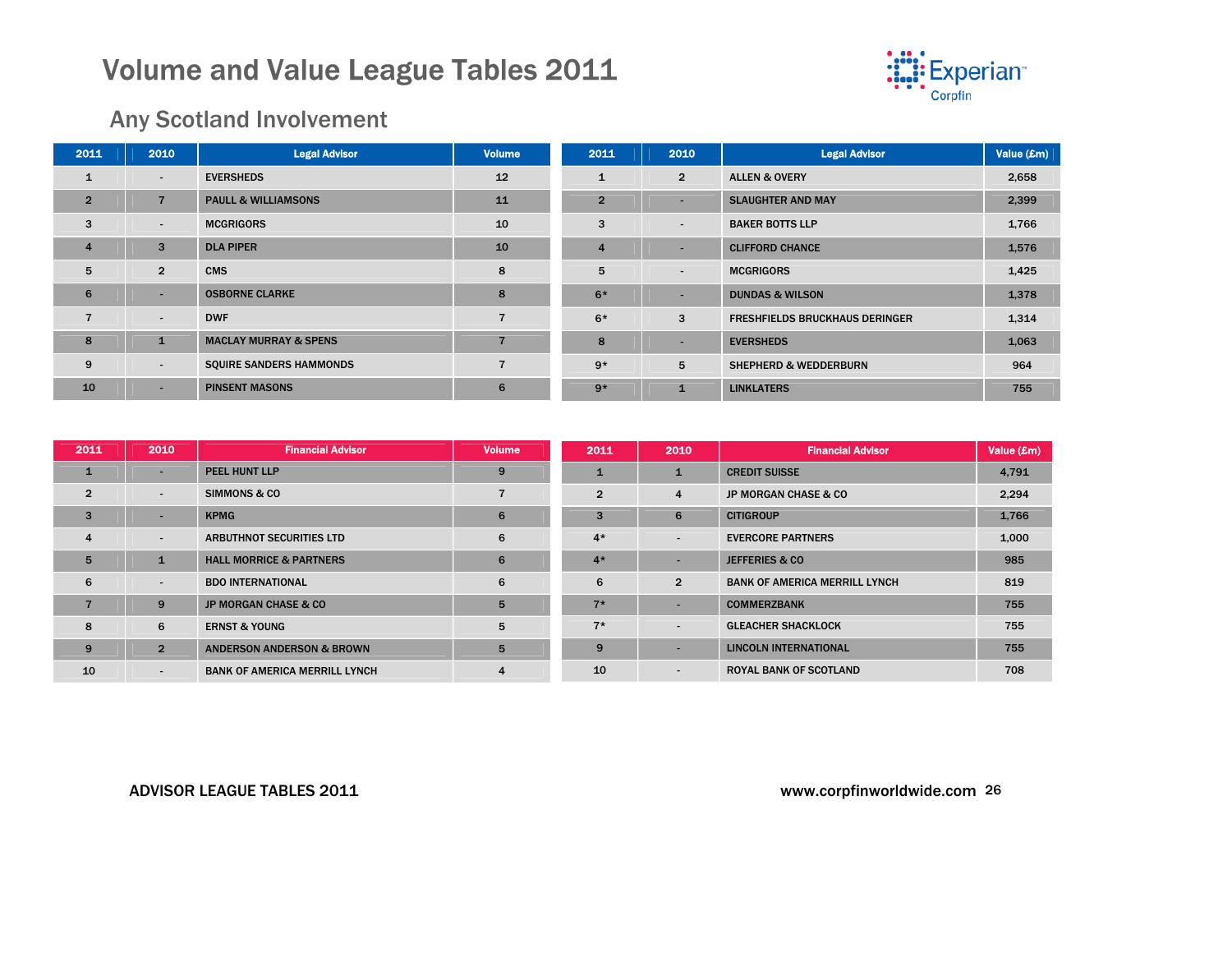

### Any Scotland Involvement

| 2011           | 2010                     | <b>Legal Advisor</b>             | <b>Volume</b>  | 2011           | 2010                     | <b>Legal Advisor</b>                  | Value (£m) |
|----------------|--------------------------|----------------------------------|----------------|----------------|--------------------------|---------------------------------------|------------|
| 1              | $\overline{\phantom{a}}$ | <b>EVERSHEDS</b>                 | 12             |                | $\overline{2}$           | <b>ALLEN &amp; OVERY</b>              | 2,658      |
| $\overline{2}$ | $\overline{7}$           | <b>PAULL &amp; WILLIAMSONS</b>   | 11             | $\overline{2}$ | $\overline{\phantom{a}}$ | <b>SLAUGHTER AND MAY</b>              | 2,399      |
| 3              | $\blacksquare$           | <b>MCGRIGORS</b>                 | 10             | 3              |                          | <b>BAKER BOTTS LLP</b>                | 1,766      |
| $\overline{4}$ | 3                        | <b>DLA PIPER</b>                 | 10             | 4              | ٠                        | <b>CLIFFORD CHANCE</b>                | 1,576      |
| 5              | $\overline{2}$           | <b>CMS</b>                       | 8              | 5              | $\overline{\phantom{a}}$ | <b>MCGRIGORS</b>                      | 1,425      |
| 6              | $\overline{\phantom{a}}$ | <b>OSBORNE CLARKE</b>            | 8              | $6*$           |                          | <b>DUNDAS &amp; WILSON</b>            | 1,378      |
|                | $\blacksquare$           | <b>DWF</b>                       | $\overline{7}$ | $6*$           | 3                        | <b>FRESHFIELDS BRUCKHAUS DERINGER</b> | 1,314      |
| 8              | $\mathbf{1}$             | <b>MACLAY MURRAY &amp; SPENS</b> | $\overline{7}$ | 8              |                          | <b>EVERSHEDS</b>                      | 1,063      |
| 9              | $\overline{\phantom{a}}$ | <b>SQUIRE SANDERS HAMMONDS</b>   | $\overline{7}$ | $9*$           | 5                        | <b>SHEPHERD &amp; WEDDERBURN</b>      | 964        |
| 10             | $\overline{\phantom{a}}$ | <b>PINSENT MASONS</b>            | 6              | $9*$           | $\mathbf{1}$             | <b>LINKLATERS</b>                     | 755        |

| 2011           | 2010                     | <b>Financial Advisor</b>             | <b>Volume</b>  | 2011           | 2010                     | <b>Financial Advisor</b>             | Value (£m) |
|----------------|--------------------------|--------------------------------------|----------------|----------------|--------------------------|--------------------------------------|------------|
| 1              | $\overline{\phantom{a}}$ | PEEL HUNT LLP                        | 9              |                | 1                        | <b>CREDIT SUISSE</b>                 | 4,791      |
| $\overline{2}$ | $\overline{\phantom{a}}$ | <b>SIMMONS &amp; CO</b>              |                | $\overline{2}$ | 4                        | <b>JP MORGAN CHASE &amp; CO</b>      | 2,294      |
| 3              | ۰                        | <b>KPMG</b>                          | 6              | 3              | 6                        | <b>CITIGROUP</b>                     | 1,766      |
| $\overline{4}$ | $\overline{\phantom{0}}$ | <b>ARBUTHNOT SECURITIES LTD</b>      | 6              | $4*$           | $\overline{\phantom{a}}$ | <b>EVERCORE PARTNERS</b>             | 1,000      |
| 5              | $\mathbf{1}$             | <b>HALL MORRICE &amp; PARTNERS</b>   | 6              | $4*$           |                          | <b>JEFFERIES &amp; CO</b>            | 985        |
| 6              | $\overline{\phantom{a}}$ | <b>BDO INTERNATIONAL</b>             | 6              | 6              | $\overline{2}$           | <b>BANK OF AMERICA MERRILL LYNCH</b> | 819        |
|                | 9                        | <b>JP MORGAN CHASE &amp; CO</b>      | 5              | $7*$           | ٠                        | <b>COMMERZBANK</b>                   | 755        |
| 8              | 6                        | <b>ERNST &amp; YOUNG</b>             | 5              | $7*$           | $\blacksquare$           | <b>GLEACHER SHACKLOCK</b>            | 755        |
| 9              | $\overline{2}$           | <b>ANDERSON ANDERSON &amp; BROWN</b> | 5              | 9              |                          | <b>LINCOLN INTERNATIONAL</b>         | 755        |
| 10             | $\overline{\phantom{a}}$ | <b>BANK OF AMERICA MERRILL LYNCH</b> | $\overline{4}$ | 10             | ۰.                       | <b>ROYAL BANK OF SCOTLAND</b>        | 708        |

#### ADVISOR LEAGUE TABLES 2011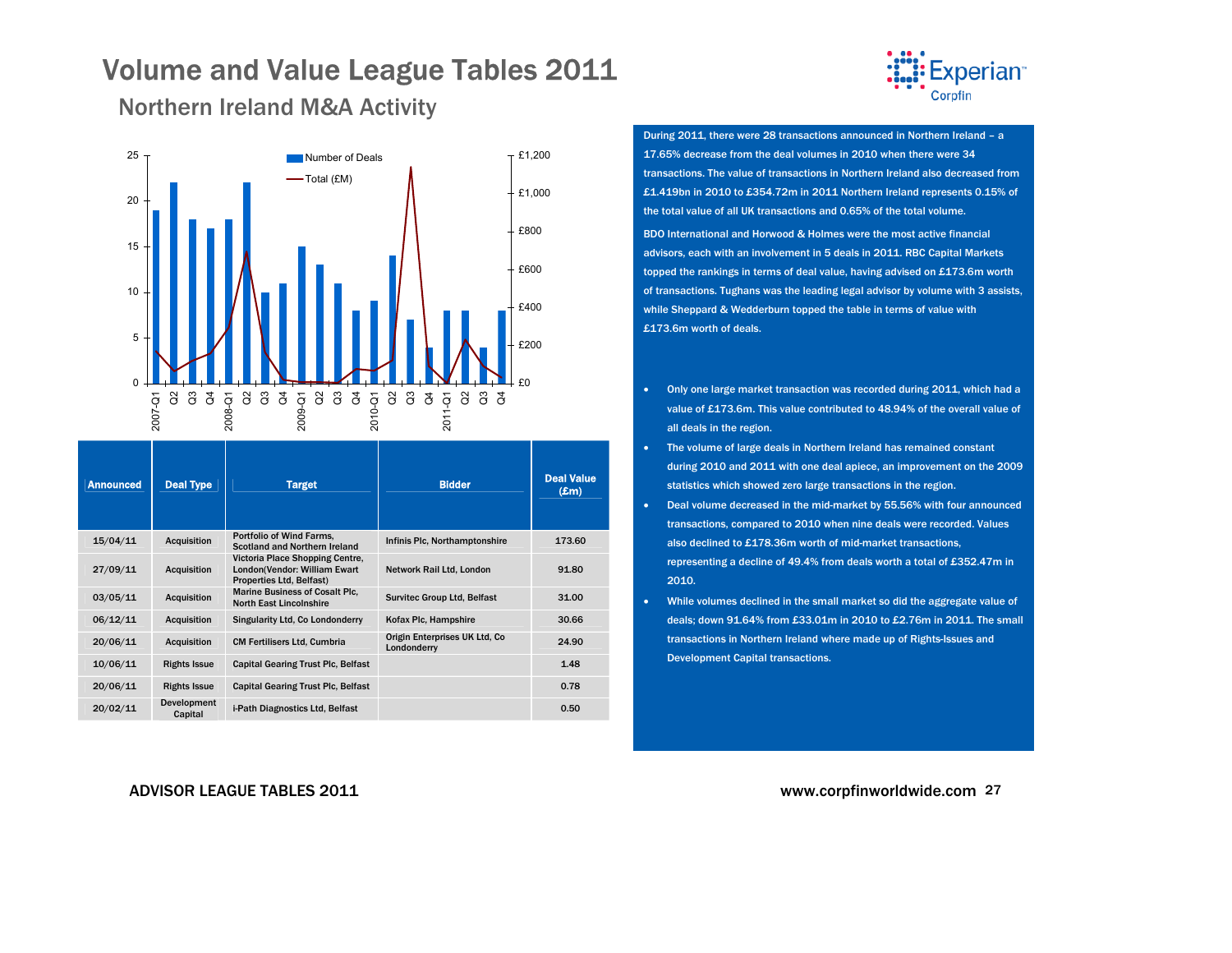

<span id="page-26-0"></span>Northern Ireland M&A Activity



| <b>Announced</b> | <b>Deal Type</b>       | <b>Target</b>                                                                               | <b>Bidder</b>                                | <b>Deal Value</b><br>$(\pmb{\pounds} \mathbf{m})$ |
|------------------|------------------------|---------------------------------------------------------------------------------------------|----------------------------------------------|---------------------------------------------------|
| 15/04/11         | <b>Acquisition</b>     | Portfolio of Wind Farms.<br>Scotland and Northern Ireland                                   | Infinis Plc, Northamptonshire                | 173.60                                            |
| 27/09/11         | <b>Acquisition</b>     | Victoria Place Shopping Centre,<br>London(Vendor: William Ewart<br>Properties Ltd, Belfast) | Network Rail Ltd, London                     | 91.80                                             |
| 03/05/11         | <b>Acquisition</b>     | <b>Marine Business of Cosalt Plc.</b><br><b>North East Lincolnshire</b>                     | <b>Survitec Group Ltd, Belfast</b>           | 31.00                                             |
| 06/12/11         | <b>Acquisition</b>     | Singularity Ltd, Co Londonderry                                                             | Kofax Plc, Hampshire                         | 30.66                                             |
| 20/06/11         | <b>Acquisition</b>     | <b>CM Fertilisers Ltd, Cumbria</b>                                                          | Origin Enterprises UK Ltd, Co<br>Londonderry | 24.90                                             |
| 10/06/11         | <b>Rights Issue</b>    | <b>Capital Gearing Trust Plc, Belfast</b>                                                   |                                              | 1.48                                              |
| 20/06/11         | <b>Rights Issue</b>    | <b>Capital Gearing Trust Plc, Belfast</b>                                                   |                                              | 0.78                                              |
| 20/02/11         | Development<br>Capital | i-Path Diagnostics Ltd, Belfast                                                             |                                              | 0.50                                              |

During 2011, there were 28 transactions announced in Northern Ireland – a 17.65% decrease from the deal volumes in 2010 when there were 34 transactions. The value of transactions in Northern Ireland also decreased from £1.419bn in 2010 to £354.72m in 2011 Northern Ireland represents 0.15% of the total value of all UK transactions and 0.65% of the total volume.

BDO International and Horwood & Holmes were the most active financial advisors, each with an involvement in 5 deals in 2011. RBC Capital Markets topped the rankings in terms of deal value, having advised on £173.6m worth of transactions. Tughans was the leading legal advisor by volume with 3 assists, while Sheppard & Wedderburn topped the table in terms of value with £173.6m worth of deals.

- Only one large market transaction was recorded during 2011, which had a value of £173.6m. This value contributed to 48.94% of the overall value of all deals in the region.
- • The volume of large deals in Northern Ireland has remained constant during 2010 and 2011 with one deal apiece, an improvement on the 2009 statistics which showed zero large transactions in the region.
- Deal volume decreased in the mid-market by 55.56% with four announced transactions, compared to 2010 when nine deals were recorded. Values also declined to £178.36m worth of mid-market transactions, representing a decline of 49.4% from deals worth a total of £352.47m in 2010.
- • While volumes declined in the small market so did the aggregate value of deals; down 91.64% from £33.01m in 2010 to £2.76m in 2011. The small transactions in Northern Ireland where made up of Rights-Issues and Development Capital transactions.

#### ADVISOR LEAGUE TABLES 2011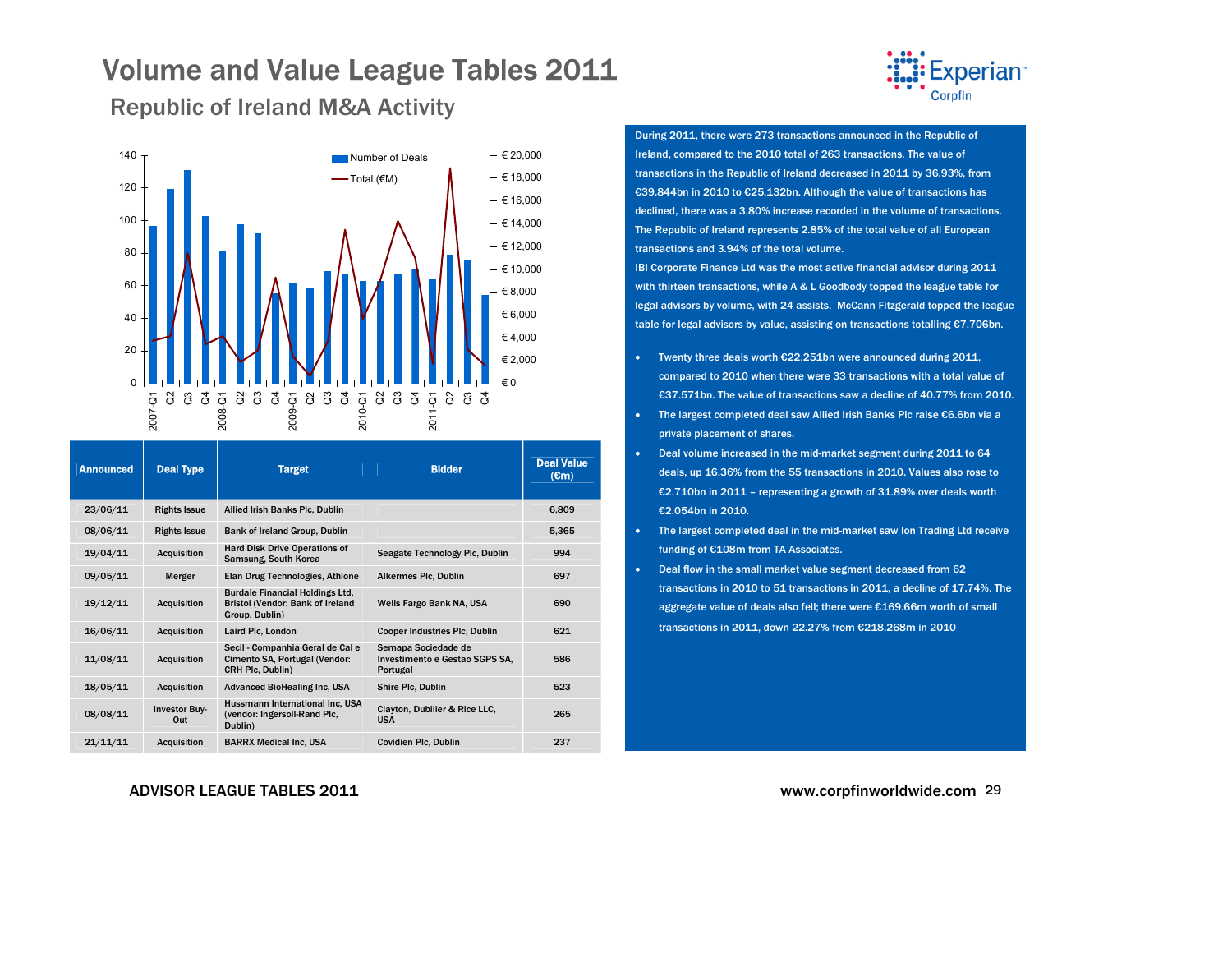

### <span id="page-28-0"></span>Republic of Ireland M&A Activity



| <b>Announced</b> | <b>Deal Type</b>            | <b>Target</b>                                                                                | <b>Bidder</b>                                                     | <b>Deal Value</b><br>$(\epsilon m)$ |
|------------------|-----------------------------|----------------------------------------------------------------------------------------------|-------------------------------------------------------------------|-------------------------------------|
| 23/06/11         | <b>Rights Issue</b>         | Allied Irish Banks Plc, Dublin                                                               |                                                                   | 6.809                               |
| 08/06/11         | <b>Rights Issue</b>         | Bank of Ireland Group, Dublin                                                                |                                                                   | 5,365                               |
| 19/04/11         | <b>Acquisition</b>          | <b>Hard Disk Drive Operations of</b><br>Samsung, South Korea                                 | Seagate Technology Plc, Dublin                                    | 994                                 |
| 09/05/11         | Merger                      | Elan Drug Technologies, Athlone                                                              | Alkermes Plc, Dublin                                              | 697                                 |
| 19/12/11         | <b>Acquisition</b>          | <b>Burdale Financial Holdings Ltd.</b><br>Bristol (Vendor: Bank of Ireland<br>Group, Dublin) | Wells Fargo Bank NA, USA                                          | 690                                 |
| 16/06/11         | <b>Acquisition</b>          | Laird Plc, London                                                                            | <b>Cooper Industries Plc, Dublin</b>                              | 621                                 |
| 11/08/11         | <b>Acquisition</b>          | Secil - Companhia Geral de Cal e<br>Cimento SA, Portugal (Vendor:<br>CRH Plc, Dublin)        | Semapa Sociedade de<br>Investimento e Gestao SGPS SA,<br>Portugal | 586                                 |
| 18/05/11         | <b>Acquisition</b>          | <b>Advanced BioHealing Inc, USA</b>                                                          | Shire Plc, Dublin                                                 | 523                                 |
| 08/08/11         | <b>Investor Buy-</b><br>Out | Hussmann International Inc. USA<br>(vendor: Ingersoll-Rand Plc,<br>Dublin)                   | Clayton, Dubilier & Rice LLC,<br><b>USA</b>                       | 265                                 |
| 21/11/11         | <b>Acquisition</b>          | <b>BARRX Medical Inc. USA</b>                                                                | <b>Covidien Plc, Dublin</b>                                       | 237                                 |

During 2011, there were 273 transactions announced in the Republic of Ireland, compared to the 2010 total of 263 transactions. The value of transactions in the Republic of Ireland decreased in 2011 by 36.93%, from €39.844bn in 2010 to €25.132bn. Although the value of transactions has declined, there was a 3.80% increase recorded in the volume of transactions. The Republic of Ireland represents 2.85% of the total value of all European transactions and 3.94% of the total volume.

IBI Corporate Finance Ltd was the most active financial advisor during 2011 with thirteen transactions, while A & L Goodbody topped the league table for legal advisors by volume, with 24 assists. McCann Fitzgerald topped the league table for legal advisors by value, assisting on transactions totalling €7.706bn.

- • Twenty three deals worth €22.251bn were announced during 2011, compared to 2010 when there were 33 transactions with a total value of €37.571bn. The value of transactions saw a decline of 40.77% from 2010.
- • The largest completed deal saw Allied Irish Banks Plc raise €6.6bn via a private placement of shares.
- Deal volume increased in the mid-market segment during 2011 to 64 deals, up 16.36% from the 55 transactions in 2010. Values also rose to €2.710bn in 2011 – representing <sup>a</sup> growth of 31.89% over deals worth €2.054bn in 2010.
- The largest completed deal in the mid-market saw Ion Trading Ltd receive funding of €108m from TA Associates.
- • Deal flow in the small market value segment decreased from 62 transactions in 2010 to 51 transactions in 2011, a decline of 17.74%. The aggregate value of deals also fell; there were €169.66m worth of small transactions in 2011, down 22.27% from €218.268m in 2010

ADVISOR LEAGUE TABLES 2011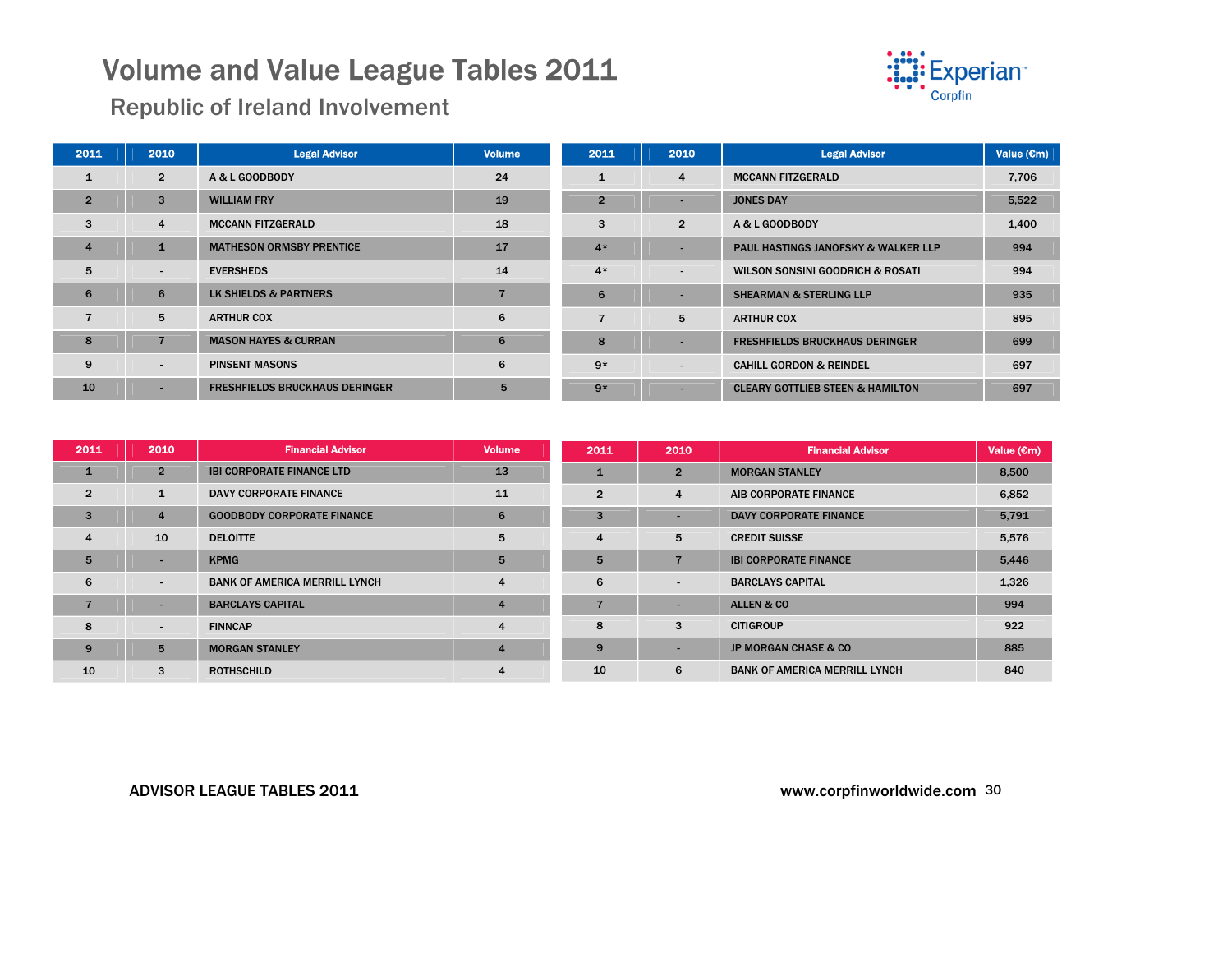

### Republic of Ireland Involvement

| 2011           | 2010                     | <b>Legal Advisor</b>                  | <b>Volume</b> | 2011           | 2010                     | <b>Legal Advisor</b>                           | Value (Cm) |
|----------------|--------------------------|---------------------------------------|---------------|----------------|--------------------------|------------------------------------------------|------------|
|                | $\overline{2}$           | A & L GOODBODY                        | 24            |                | 4                        | <b>MCCANN FITZGERALD</b>                       | 7,706      |
| $\overline{2}$ | 3                        | <b>WILLIAM FRY</b>                    | 19            | $\overline{2}$ | -                        | <b>JONES DAY</b>                               | 5,522      |
| 3              | $\overline{4}$           | <b>MCCANN FITZGERALD</b>              | 18            | 3              | $\overline{2}$           | A & L GOODBODY                                 | 1,400      |
| $\overline{4}$ | $\mathbf{1}$             | <b>MATHESON ORMSBY PRENTICE</b>       | 17            | $4*$           |                          | <b>PAUL HASTINGS JANOFSKY &amp; WALKER LLP</b> | 994        |
| 5              | $\overline{\phantom{a}}$ | <b>EVERSHEDS</b>                      | 14            | $4*$           | $\overline{\phantom{a}}$ | WILSON SONSINI GOODRICH & ROSATI               | 994        |
| 6              | 6                        | LK SHIELDS & PARTNERS                 |               | 6              |                          | <b>SHEARMAN &amp; STERLING LLP</b>             | 935        |
|                | 5                        | <b>ARTHUR COX</b>                     | 6             |                | 5                        | <b>ARTHUR COX</b>                              | 895        |
| 8              | $\overline{7}$           | <b>MASON HAYES &amp; CURRAN</b>       | 6             | 8              |                          | <b>FRESHFIELDS BRUCKHAUS DERINGER</b>          | 699        |
| 9              | $\overline{\phantom{a}}$ | <b>PINSENT MASONS</b>                 | 6             | $9*$           | ۰.                       | <b>CAHILL GORDON &amp; REINDEL</b>             | 697        |
| 10             | $\overline{\phantom{a}}$ | <b>FRESHFIELDS BRUCKHAUS DERINGER</b> | 5             | $9*$           |                          | <b>CLEARY GOTTLIEB STEEN &amp; HAMILTON</b>    | 697        |

| 2011           | 2010                     | <b>Financial Advisor</b>             | <b>Volume</b>  | 2011           | 2010                     | <b>Financial Advisor</b>             | Value $(\epsilon m)$ |
|----------------|--------------------------|--------------------------------------|----------------|----------------|--------------------------|--------------------------------------|----------------------|
| $\mathbf{1}$   | $2^{\circ}$              | <b>IBI CORPORATE FINANCE LTD</b>     | 13             | 1              | $\overline{2}$           | <b>MORGAN STANLEY</b>                | 8.500                |
| $\overline{2}$ | 1                        | <b>DAVY CORPORATE FINANCE</b>        | 11             | $\overline{2}$ | 4                        | AIB CORPORATE FINANCE                | 6,852                |
| $\overline{3}$ | $\overline{4}$           | <b>GOODBODY CORPORATE FINANCE</b>    | 6              | 3              |                          | <b>DAVY CORPORATE FINANCE</b>        | 5,791                |
| $\overline{4}$ | 10                       | <b>DELOITTE</b>                      | 5              | 4              | 5                        | <b>CREDIT SUISSE</b>                 | 5,576                |
| 5              | -                        | <b>KPMG</b>                          | 5              | 5              | $\overline{ }$           | <b>IBI CORPORATE FINANCE</b>         | 5,446                |
| 6              | $\overline{\phantom{a}}$ | <b>BANK OF AMERICA MERRILL LYNCH</b> | $\overline{4}$ | 6              | $\overline{\phantom{a}}$ | <b>BARCLAYS CAPITAL</b>              | 1,326                |
|                | ۰                        | <b>BARCLAYS CAPITAL</b>              | $\overline{4}$ |                |                          | ALLEN & CO                           | 994                  |
| 8              | $\overline{\phantom{a}}$ | <b>FINNCAP</b>                       | $\overline{4}$ | 8              | 3                        | <b>CITIGROUP</b>                     | 922                  |
| 9              | 5                        | <b>MORGAN STANLEY</b>                | $\overline{4}$ | 9              | $\overline{\phantom{a}}$ | <b>JP MORGAN CHASE &amp; CO</b>      | 885                  |
| 10             | 3                        | <b>ROTHSCHILD</b>                    | 4              | 10             | 6                        | <b>BANK OF AMERICA MERRILL LYNCH</b> | 840                  |

#### ADVISOR LEAGUE TABLES 2011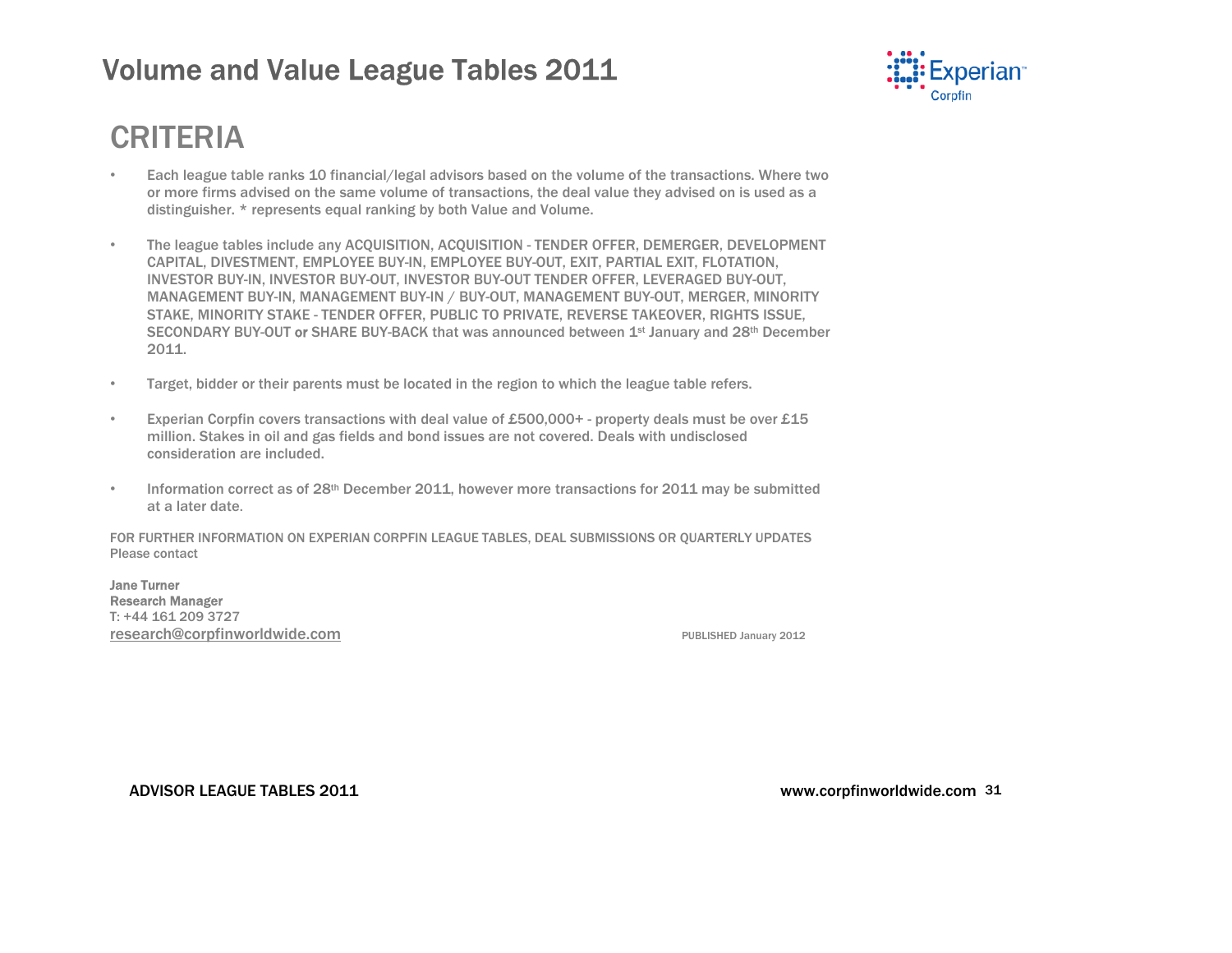

# <span id="page-30-0"></span>CRITERIA

- Each league table ranks 10 financial/legal advisors based on the volume of the transactions. Where two or more firms advised on the same volume of transactions, the deal value they advised on is used as a distinguisher. \* represents equal ranking by both Value and Volume.
- The league tables include any ACQUISITION, ACQUISITION TENDER OFFER, DEMERGER, DEVELOPMENT CAPITAL, DIVESTMENT, EMPLOYEE BUY-IN, EMPLOYEE BUY-OUT, EXIT, PARTIAL EXIT, FLOTATION, INVESTOR BUY-IN, INVESTOR BUY-OUT, INVESTOR BUY-OUT TENDER OFFER, LEVERAGED BUY-OUT, MANAGEMENT BUY-IN, MANAGEMENT BUY-IN / BUY-OUT, MANAGEMENT BUY-OUT, MERGER, MINORITY STAKE, MINORITY STAKE - TENDER OFFER, PUBLIC TO PRIVATE, REVERSE TAKEOVER, RIGHTS ISSUE, SECONDARY BUY-OUT or SHARE BUY-BACK that was announced between 1<sup>st</sup> January and 28<sup>th</sup> December 2011.
- Target, bidder or their parents must be located in the region to which the league table refers.
- Experian Corpfin covers transactions with deal value of £500,000+ property deals must be over £15 million. Stakes in oil and gas fields and bond issues are not covered. Deals with undisclosed consideration are included.
- Information correct as of 28th December 2011, however more transactions for 2011 may be submitted at a later date.

FOR FURTHER INFORMATION ON EXPERIAN CORPFIN LEAGUE TABLES, DEAL SUBMISSIONS OR QUARTERLY UPDATES Please contact

Jane Turner Research Manager T: +44 161 209 3727 **research@corpfinworldwide.com** PUBLISHED January 2012

ADVISOR LEAGUE TABLES 2011